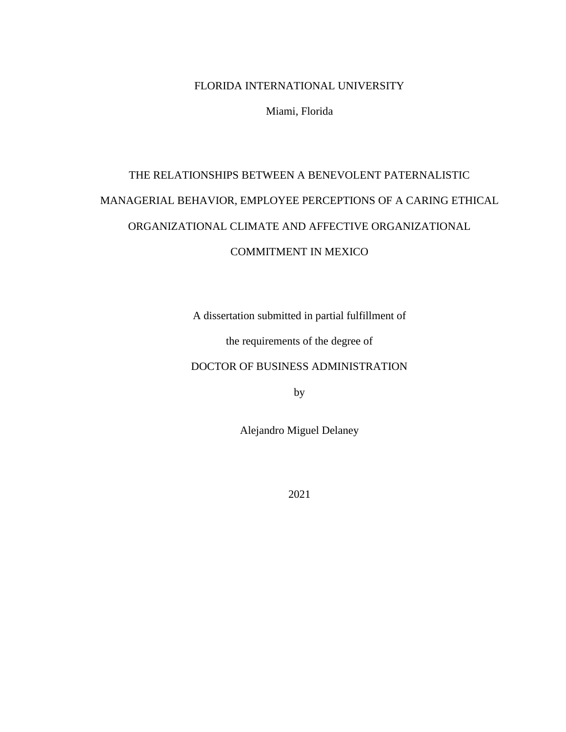### FLORIDA INTERNATIONAL UNIVERSITY

Miami, Florida

# THE RELATIONSHIPS BETWEEN A BENEVOLENT PATERNALISTIC MANAGERIAL BEHAVIOR, EMPLOYEE PERCEPTIONS OF A CARING ETHICAL ORGANIZATIONAL CLIMATE AND AFFECTIVE ORGANIZATIONAL

### COMMITMENT IN MEXICO

A dissertation submitted in partial fulfillment of

the requirements of the degree of

DOCTOR OF BUSINESS ADMINISTRATION

by

Alejandro Miguel Delaney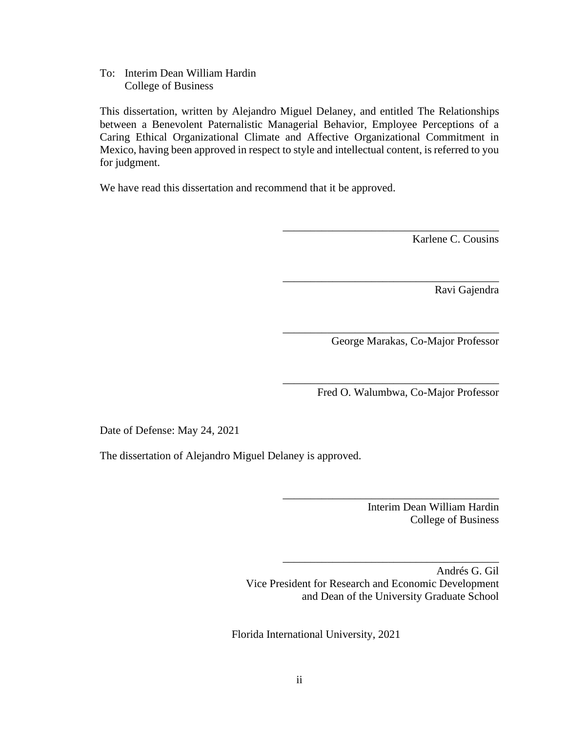To: Interim Dean William Hardin College of Business

This dissertation, written by Alejandro Miguel Delaney, and entitled The Relationships between a Benevolent Paternalistic Managerial Behavior, Employee Perceptions of a Caring Ethical Organizational Climate and Affective Organizational Commitment in Mexico, having been approved in respect to style and intellectual content, is referred to you for judgment.

We have read this dissertation and recommend that it be approved.

Karlene C. Cousins

Ravi Gajendra

George Marakas, Co-Major Professor

\_\_\_\_\_\_\_\_\_\_\_\_\_\_\_\_\_\_\_\_\_\_\_\_\_\_\_\_\_\_\_\_\_\_\_\_\_\_\_

\_\_\_\_\_\_\_\_\_\_\_\_\_\_\_\_\_\_\_\_\_\_\_\_\_\_\_\_\_\_\_\_\_\_\_\_\_\_\_

\_\_\_\_\_\_\_\_\_\_\_\_\_\_\_\_\_\_\_\_\_\_\_\_\_\_\_\_\_\_\_\_\_\_\_\_\_\_\_

\_\_\_\_\_\_\_\_\_\_\_\_\_\_\_\_\_\_\_\_\_\_\_\_\_\_\_\_\_\_\_\_\_\_\_\_\_\_\_

\_\_\_\_\_\_\_\_\_\_\_\_\_\_\_\_\_\_\_\_\_\_\_\_\_\_\_\_\_\_\_\_\_\_\_\_\_\_\_

\_\_\_\_\_\_\_\_\_\_\_\_\_\_\_\_\_\_\_\_\_\_\_\_\_\_\_\_\_\_\_\_\_\_\_\_\_\_\_

Fred O. Walumbwa, Co-Major Professor

Date of Defense: May 24, 2021

The dissertation of Alejandro Miguel Delaney is approved.

Interim Dean William Hardin College of Business

Andrés G. Gil Vice President for Research and Economic Development and Dean of the University Graduate School

Florida International University, 2021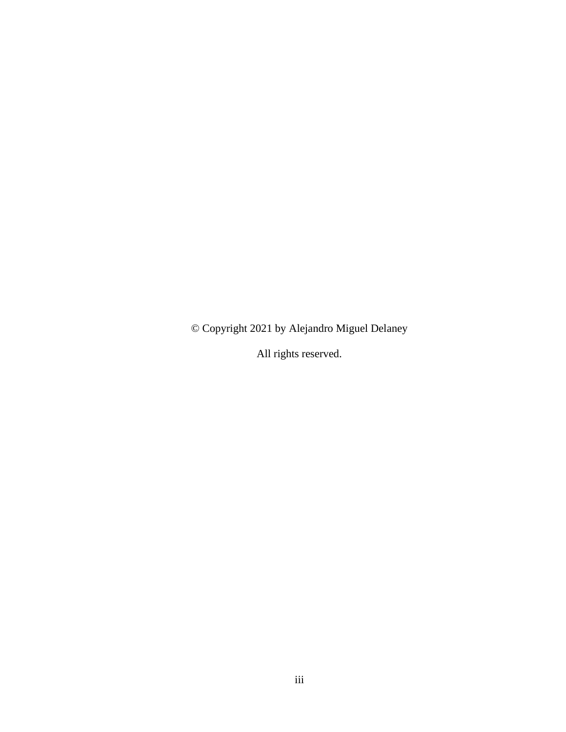© Copyright 2021 by Alejandro Miguel Delaney

All rights reserved.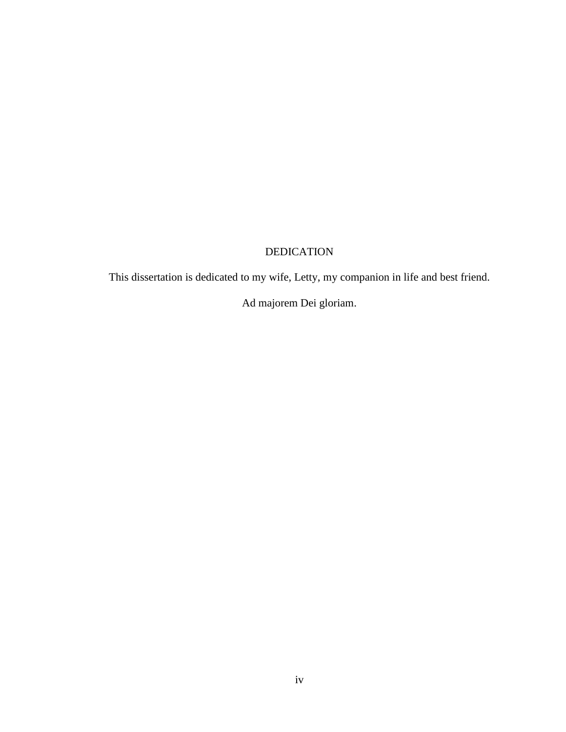# DEDICATION

This dissertation is dedicated to my wife, Letty, my companion in life and best friend.

Ad majorem Dei gloriam.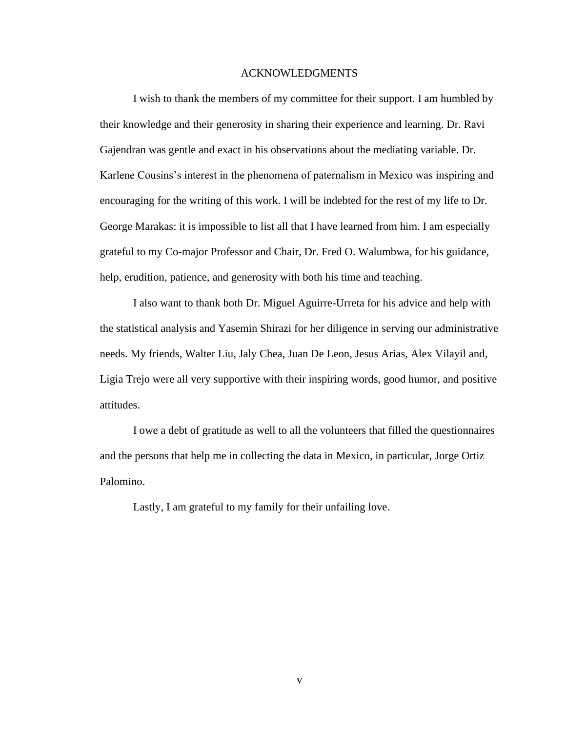#### ACKNOWLEDGMENTS

I wish to thank the members of my committee for their support. I am humbled by their knowledge and their generosity in sharing their experience and learning. Dr. Ravi Gajendran was gentle and exact in his observations about the mediating variable. Dr. Karlene Cousins's interest in the phenomena of paternalism in Mexico was inspiring and encouraging for the writing of this work. I will be indebted for the rest of my life to Dr. George Marakas: it is impossible to list all that I have learned from him. I am especially grateful to my Co-major Professor and Chair, Dr. Fred O. Walumbwa, for his guidance, help, erudition, patience, and generosity with both his time and teaching.

I also want to thank both Dr. Miguel Aguirre-Urreta for his advice and help with the statistical analysis and Yasemin Shirazi for her diligence in serving our administrative needs. My friends, Walter Liu, Jaly Chea, Juan De Leon, Jesus Arias, Alex Vilayil and, Ligia Trejo were all very supportive with their inspiring words, good humor, and positive attitudes.

I owe a debt of gratitude as well to all the volunteers that filled the questionnaires and the persons that help me in collecting the data in Mexico, in particular, Jorge Ortiz Palomino.

Lastly, I am grateful to my family for their unfailing love.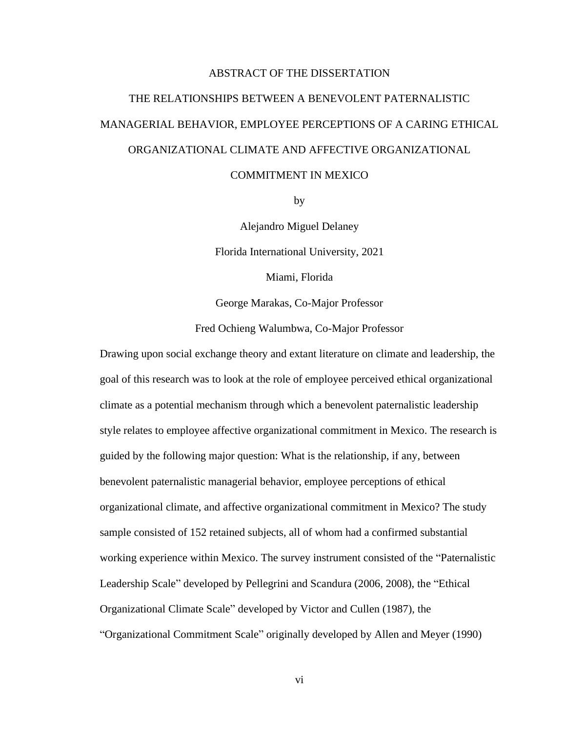#### ABSTRACT OF THE DISSERTATION

# THE RELATIONSHIPS BETWEEN A BENEVOLENT PATERNALISTIC MANAGERIAL BEHAVIOR, EMPLOYEE PERCEPTIONS OF A CARING ETHICAL ORGANIZATIONAL CLIMATE AND AFFECTIVE ORGANIZATIONAL

#### COMMITMENT IN MEXICO

by

Alejandro Miguel Delaney Florida International University, 2021

Miami, Florida

George Marakas, Co-Major Professor

Fred Ochieng Walumbwa, Co-Major Professor

Drawing upon social exchange theory and extant literature on climate and leadership, the goal of this research was to look at the role of employee perceived ethical organizational climate as a potential mechanism through which a benevolent paternalistic leadership style relates to employee affective organizational commitment in Mexico. The research is guided by the following major question: What is the relationship, if any, between benevolent paternalistic managerial behavior, employee perceptions of ethical organizational climate, and affective organizational commitment in Mexico? The study sample consisted of 152 retained subjects, all of whom had a confirmed substantial working experience within Mexico. The survey instrument consisted of the "Paternalistic Leadership Scale" developed by Pellegrini and Scandura (2006, 2008), the "Ethical Organizational Climate Scale" developed by Victor and Cullen (1987), the "Organizational Commitment Scale" originally developed by Allen and Meyer (1990)

vi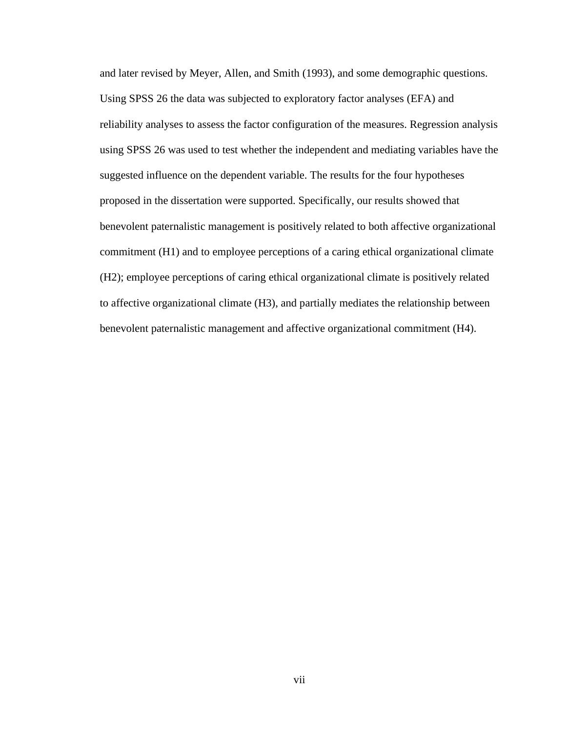and later revised by Meyer, Allen, and Smith (1993), and some demographic questions. Using SPSS 26 the data was subjected to exploratory factor analyses (EFA) and reliability analyses to assess the factor configuration of the measures. Regression analysis using SPSS 26 was used to test whether the independent and mediating variables have the suggested influence on the dependent variable. The results for the four hypotheses proposed in the dissertation were supported. Specifically, our results showed that benevolent paternalistic management is positively related to both affective organizational commitment (H1) and to employee perceptions of a caring ethical organizational climate (H2); employee perceptions of caring ethical organizational climate is positively related to affective organizational climate (H3), and partially mediates the relationship between benevolent paternalistic management and affective organizational commitment (H4).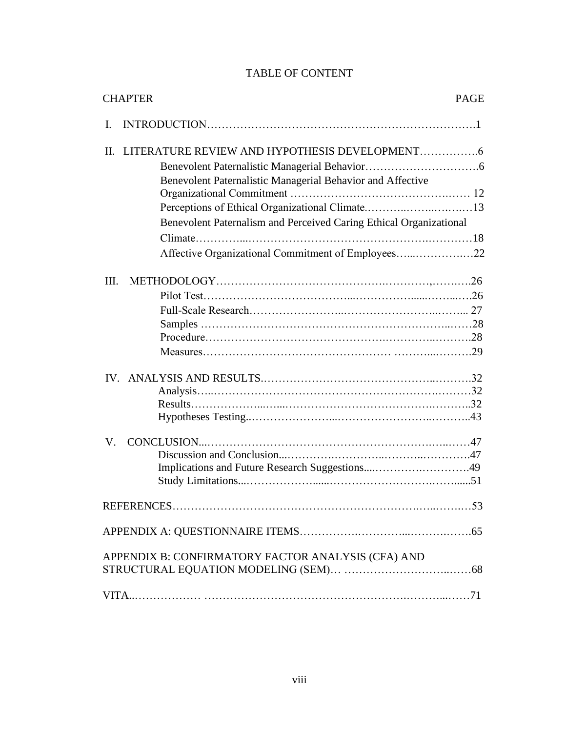## TABLE OF CONTENT

| <b>CHAPTER</b>                                                     | <b>PAGE</b> |
|--------------------------------------------------------------------|-------------|
| L                                                                  |             |
| $\Pi$ .                                                            |             |
|                                                                    |             |
| Benevolent Paternalistic Managerial Behavior and Affective         |             |
|                                                                    |             |
| Perceptions of Ethical Organizational Climate13                    |             |
| Benevolent Paternalism and Perceived Caring Ethical Organizational |             |
|                                                                    |             |
| Affective Organizational Commitment of Employees22                 |             |
|                                                                    |             |
| III.                                                               |             |
|                                                                    |             |
|                                                                    |             |
|                                                                    |             |
|                                                                    |             |
|                                                                    |             |
|                                                                    |             |
|                                                                    |             |
|                                                                    |             |
|                                                                    |             |
| V.                                                                 |             |
|                                                                    |             |
| Implications and Future Research Suggestions49                     |             |
|                                                                    |             |
|                                                                    | 53          |
|                                                                    |             |
| APPENDIX B: CONFIRMATORY FACTOR ANALYSIS (CFA) AND                 |             |
|                                                                    |             |
|                                                                    |             |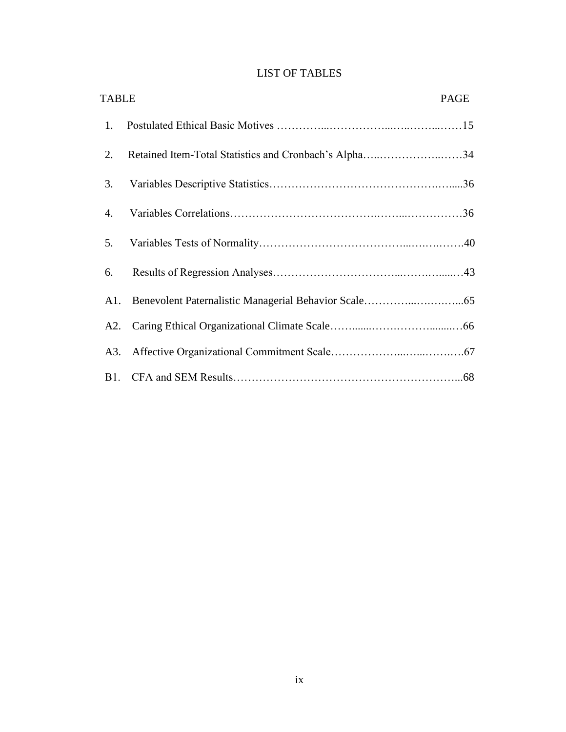|  | <b>LIST OF TABLES</b> |  |
|--|-----------------------|--|
|  |                       |  |

| <b>TABLE</b> |                                                       | PAGE |
|--------------|-------------------------------------------------------|------|
| 1.           |                                                       |      |
| 2.           | Retained Item-Total Statistics and Cronbach's Alpha34 |      |
| 3.           |                                                       |      |
| 4.           |                                                       |      |
| 5.           |                                                       |      |
| 6.           |                                                       |      |
|              |                                                       |      |
|              |                                                       |      |
| A3.          |                                                       |      |
|              |                                                       |      |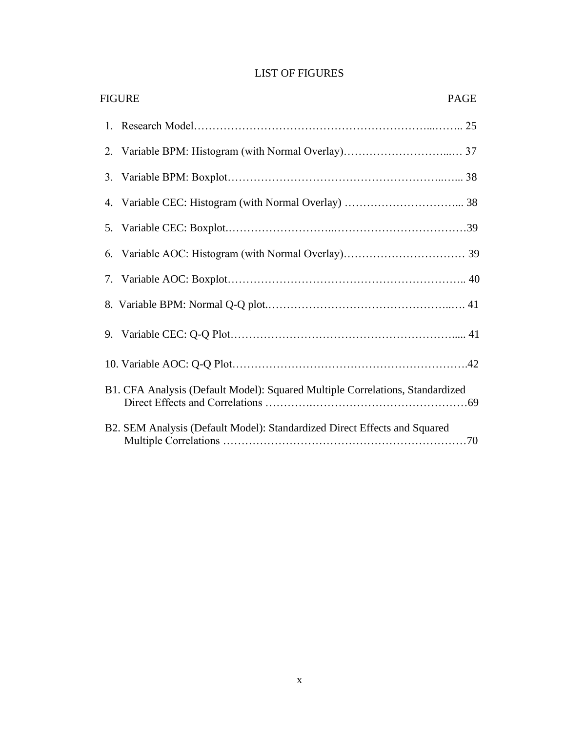|  |  |  | <b>LIST OF FIGURES</b> |
|--|--|--|------------------------|
|--|--|--|------------------------|

|    | <b>FIGURE</b><br><b>PAGE</b>                                                  |  |
|----|-------------------------------------------------------------------------------|--|
|    |                                                                               |  |
|    |                                                                               |  |
|    |                                                                               |  |
|    |                                                                               |  |
|    |                                                                               |  |
| 6. |                                                                               |  |
|    |                                                                               |  |
|    |                                                                               |  |
|    |                                                                               |  |
|    |                                                                               |  |
|    | B1. CFA Analysis (Default Model): Squared Multiple Correlations, Standardized |  |
|    | B2. SEM Analysis (Default Model): Standardized Direct Effects and Squared     |  |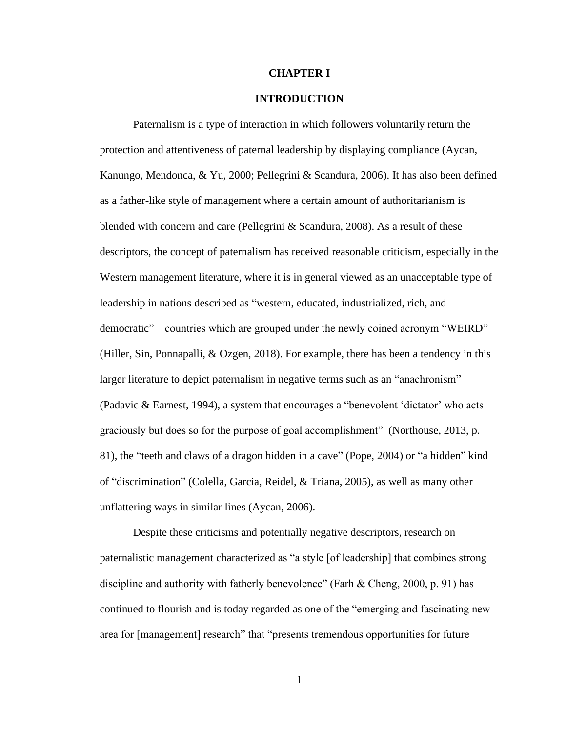#### **CHAPTER I**

#### **INTRODUCTION**

Paternalism is a type of interaction in which followers voluntarily return the protection and attentiveness of paternal leadership by displaying compliance (Aycan, Kanungo, Mendonca, & Yu, 2000; Pellegrini & Scandura, 2006). It has also been defined as a father-like style of management where a certain amount of authoritarianism is blended with concern and care (Pellegrini & Scandura, 2008). As a result of these descriptors, the concept of paternalism has received reasonable criticism, especially in the Western management literature, where it is in general viewed as an unacceptable type of leadership in nations described as "western, educated, industrialized, rich, and democratic"—countries which are grouped under the newly coined acronym "WEIRD" (Hiller, Sin, Ponnapalli, & Ozgen, 2018). For example, there has been a tendency in this larger literature to depict paternalism in negative terms such as an "anachronism" (Padavic & Earnest, 1994), a system that encourages a "benevolent 'dictator' who acts graciously but does so for the purpose of goal accomplishment" (Northouse, 2013, p. 81), the "teeth and claws of a dragon hidden in a cave" (Pope, 2004) or "a hidden" kind of "discrimination" (Colella, Garcia, Reidel, & Triana, 2005), as well as many other unflattering ways in similar lines (Aycan, 2006).

Despite these criticisms and potentially negative descriptors, research on paternalistic management characterized as "a style [of leadership] that combines strong discipline and authority with fatherly benevolence" (Farh & Cheng, 2000, p. 91) has continued to flourish and is today regarded as one of the "emerging and fascinating new area for [management] research" that "presents tremendous opportunities for future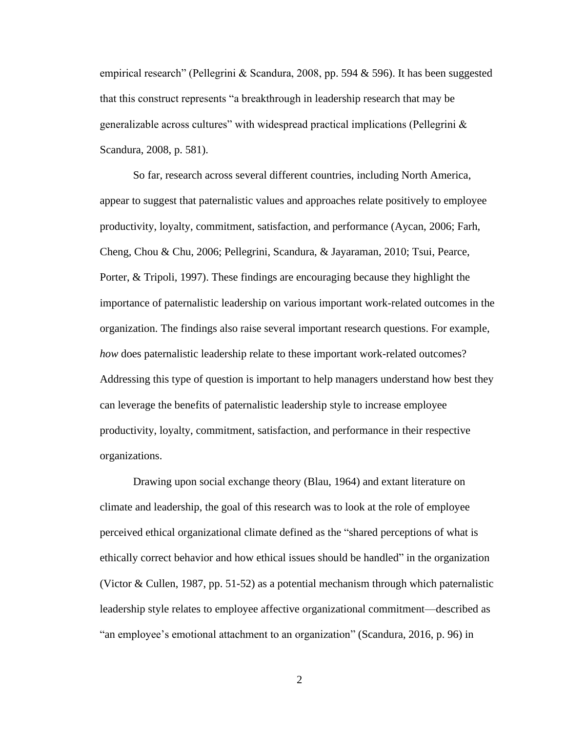empirical research" (Pellegrini & Scandura, 2008, pp. 594 & 596). It has been suggested that this construct represents "a breakthrough in leadership research that may be generalizable across cultures" with widespread practical implications (Pellegrini & Scandura, 2008, p. 581).

So far, research across several different countries, including North America, appear to suggest that paternalistic values and approaches relate positively to employee productivity, loyalty, commitment, satisfaction, and performance (Aycan, 2006; Farh, Cheng, Chou & Chu, 2006; Pellegrini, Scandura, & Jayaraman, 2010; Tsui, Pearce, Porter, & Tripoli, 1997). These findings are encouraging because they highlight the importance of paternalistic leadership on various important work-related outcomes in the organization. The findings also raise several important research questions. For example, *how* does paternalistic leadership relate to these important work-related outcomes? Addressing this type of question is important to help managers understand how best they can leverage the benefits of paternalistic leadership style to increase employee productivity, loyalty, commitment, satisfaction, and performance in their respective organizations.

Drawing upon social exchange theory (Blau, 1964) and extant literature on climate and leadership, the goal of this research was to look at the role of employee perceived ethical organizational climate defined as the "shared perceptions of what is ethically correct behavior and how ethical issues should be handled" in the organization (Victor & Cullen, 1987, pp. 51-52) as a potential mechanism through which paternalistic leadership style relates to employee affective organizational commitment—described as "an employee's emotional attachment to an organization" (Scandura, 2016, p. 96) in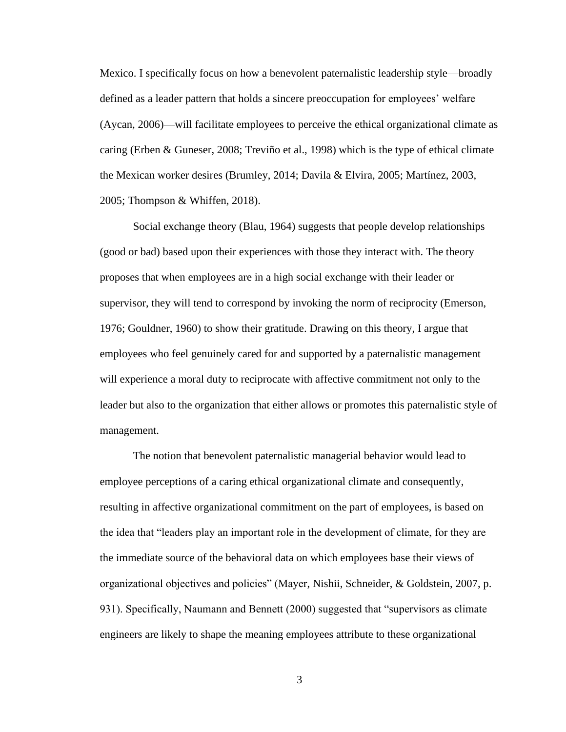Mexico. I specifically focus on how a benevolent paternalistic leadership style—broadly defined as a leader pattern that holds a sincere preoccupation for employees' welfare (Aycan, 2006)—will facilitate employees to perceive the ethical organizational climate as caring (Erben & Guneser, 2008; [Treviño](about:blank) et al., 1998) which is the type of ethical climate the Mexican worker desires (Brumley, 2014; Davila & Elvira, 2005; Martínez, 2003, 2005; Thompson & Whiffen, 2018).

Social exchange theory (Blau, 1964) suggests that people develop relationships (good or bad) based upon their experiences with those they interact with. The theory proposes that when employees are in a high social exchange with their leader or supervisor, they will tend to correspond by invoking the norm of reciprocity (Emerson, 1976; Gouldner, 1960) to show their gratitude. Drawing on this theory, I argue that employees who feel genuinely cared for and supported by a paternalistic management will experience a moral duty to reciprocate with affective commitment not only to the leader but also to the organization that either allows or promotes this paternalistic style of management.

The notion that benevolent paternalistic managerial behavior would lead to employee perceptions of a caring ethical organizational climate and consequently, resulting in affective organizational commitment on the part of employees, is based on the idea that "leaders play an important role in the development of climate, for they are the immediate source of the behavioral data on which employees base their views of organizational objectives and policies" (Mayer, Nishii, Schneider, & Goldstein, 2007, p. 931). Specifically, Naumann and Bennett (2000) suggested that "supervisors as climate engineers are likely to shape the meaning employees attribute to these organizational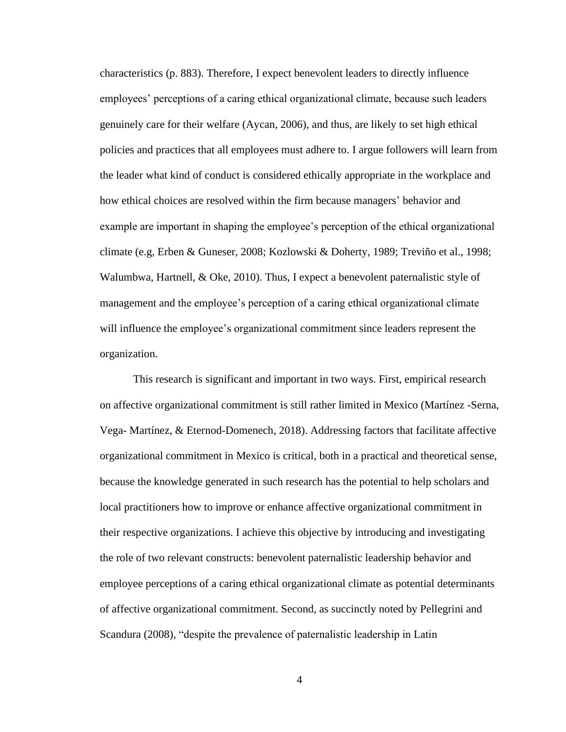characteristics (p. 883). Therefore, I expect benevolent leaders to directly influence employees' perceptions of a caring ethical organizational climate, because such leaders genuinely care for their welfare (Aycan, 2006), and thus, are likely to set high ethical policies and practices that all employees must adhere to. I argue followers will learn from the leader what kind of conduct is considered ethically appropriate in the workplace and how ethical choices are resolved within the firm because managers' behavior and example are important in shaping the employee's perception of the ethical organizational climate (e.g, Erben & Guneser, 2008; Kozlowski & Doherty, 1989; [Treviño](about:blank) et al., 1998; Walumbwa, Hartnell, & Oke, 2010). Thus, I expect a benevolent paternalistic style of management and the employee's perception of a caring ethical organizational climate will influence the employee's organizational commitment since leaders represent the organization.

This research is significant and important in two ways. First, empirical research on affective organizational commitment is still rather limited in Mexico (Martínez -Serna, Vega- Martínez, & Eternod-Domenech, 2018). Addressing factors that facilitate affective organizational commitment in Mexico is critical, both in a practical and theoretical sense, because the knowledge generated in such research has the potential to help scholars and local practitioners how to improve or enhance affective organizational commitment in their respective organizations. I achieve this objective by introducing and investigating the role of two relevant constructs: benevolent paternalistic leadership behavior and employee perceptions of a caring ethical organizational climate as potential determinants of affective organizational commitment. Second, as succinctly noted by Pellegrini and Scandura (2008), "despite the prevalence of paternalistic leadership in Latin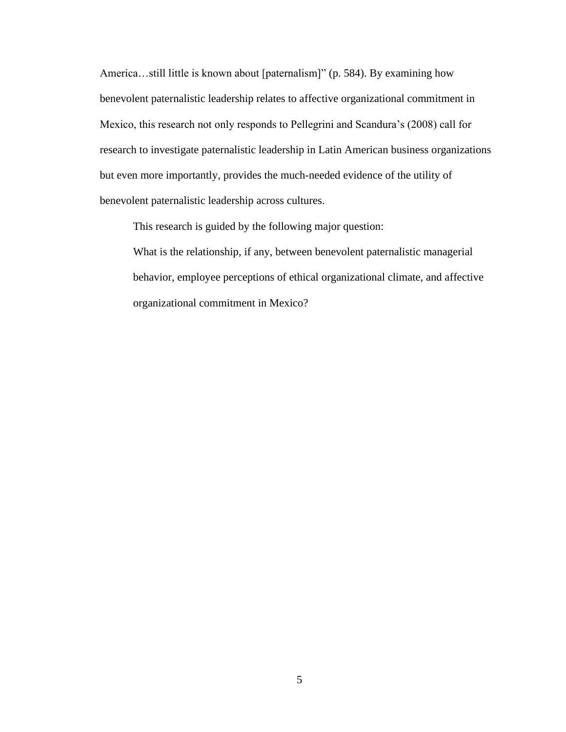America…still little is known about [paternalism]" (p. 584). By examining how benevolent paternalistic leadership relates to affective organizational commitment in Mexico, this research not only responds to Pellegrini and Scandura's (2008) call for research to investigate paternalistic leadership in Latin American business organizations but even more importantly, provides the much-needed evidence of the utility of benevolent paternalistic leadership across cultures.

This research is guided by the following major question:

What is the relationship, if any, between benevolent paternalistic managerial behavior, employee perceptions of ethical organizational climate, and affective organizational commitment in Mexico?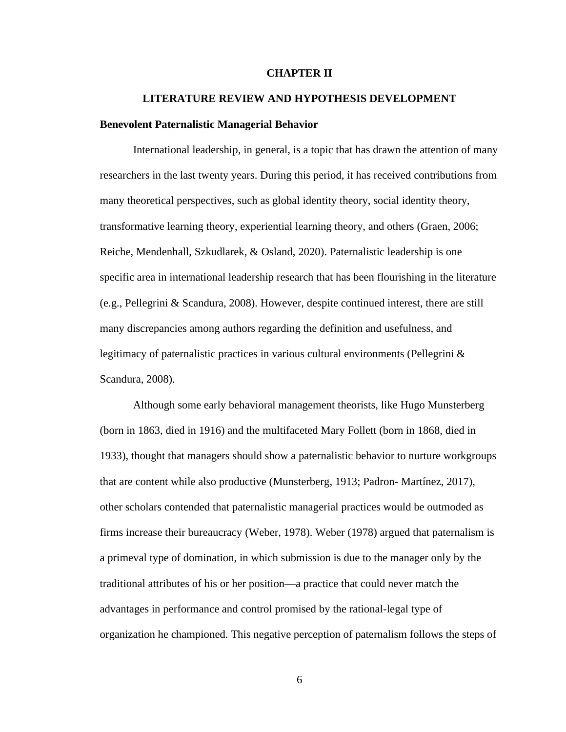#### **CHAPTER II**

#### **LITERATURE REVIEW AND HYPOTHESIS DEVELOPMENT**

#### **Benevolent Paternalistic Managerial Behavior**

International leadership, in general, is a topic that has drawn the attention of many researchers in the last twenty years. During this period, it has received contributions from many theoretical perspectives, such as global identity theory, social identity theory, transformative learning theory, experiential learning theory, and others (Graen, 2006; Reiche, Mendenhall, Szkudlarek, & Osland, 2020). Paternalistic leadership is one specific area in international leadership research that has been flourishing in the literature (e.g., Pellegrini & Scandura, 2008). However, despite continued interest, there are still many discrepancies among authors regarding the definition and usefulness, and legitimacy of paternalistic practices in various cultural environments (Pellegrini  $\&$ Scandura, 2008).

Although some early behavioral management theorists, like Hugo Munsterberg (born in 1863, died in 1916) and the multifaceted Mary Follett (born in 1868, died in 1933), thought that managers should show a paternalistic behavior to nurture workgroups that are content while also productive (Munsterberg, 1913; Padron- Martínez, 2017), other scholars contended that paternalistic managerial practices would be outmoded as firms increase their bureaucracy (Weber, 1978). Weber (1978) argued that paternalism is a primeval type of domination, in which submission is due to the manager only by the traditional attributes of his or her position—a practice that could never match the advantages in performance and control promised by the rational-legal type of organization he championed. This negative perception of paternalism follows the steps of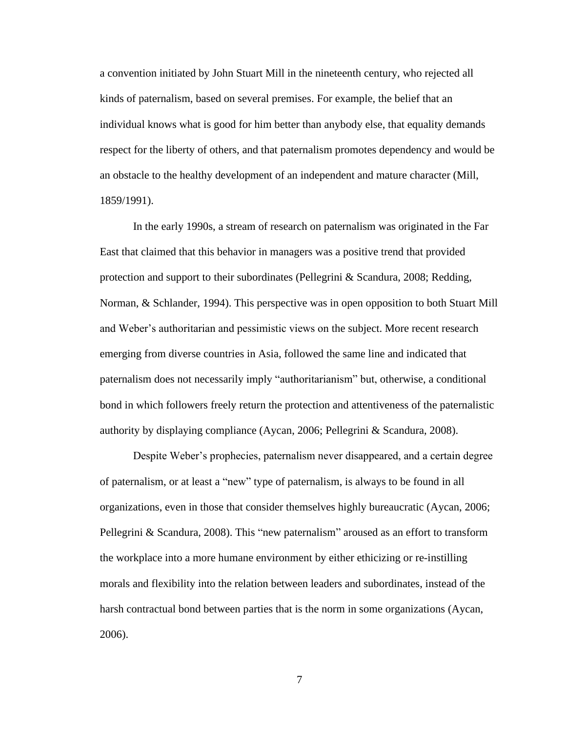a convention initiated by John Stuart Mill in the nineteenth century, who rejected all kinds of paternalism, based on several premises. For example, the belief that an individual knows what is good for him better than anybody else, that equality demands respect for the liberty of others, and that paternalism promotes dependency and would be an obstacle to the healthy development of an independent and mature character (Mill, 1859/1991).

In the early 1990s, a stream of research on paternalism was originated in the Far East that claimed that this behavior in managers was a positive trend that provided protection and support to their subordinates (Pellegrini & Scandura, 2008; Redding, Norman, & Schlander, 1994). This perspective was in open opposition to both Stuart Mill and Weber's authoritarian and pessimistic views on the subject. More recent research emerging from diverse countries in Asia, followed the same line and indicated that paternalism does not necessarily imply "authoritarianism" but, otherwise, a conditional bond in which followers freely return the protection and attentiveness of the paternalistic authority by displaying compliance (Aycan, 2006; Pellegrini & Scandura, 2008).

Despite Weber's prophecies, paternalism never disappeared, and a certain degree of paternalism, or at least a "new" type of paternalism, is always to be found in all organizations, even in those that consider themselves highly bureaucratic (Aycan, 2006; Pellegrini & Scandura, 2008). This "new paternalism" aroused as an effort to transform the workplace into a more humane environment by either ethicizing or re-instilling morals and flexibility into the relation between leaders and subordinates, instead of the harsh contractual bond between parties that is the norm in some organizations (Aycan, 2006).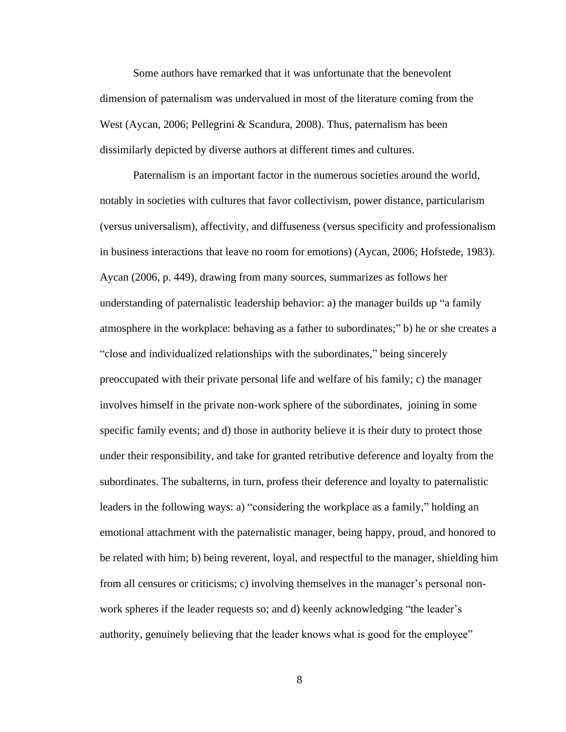Some authors have remarked that it was unfortunate that the benevolent dimension of paternalism was undervalued in most of the literature coming from the West (Aycan, 2006; Pellegrini & Scandura, 2008). Thus, paternalism has been dissimilarly depicted by diverse authors at different times and cultures.

Paternalism is an important factor in the numerous societies around the world, notably in societies with cultures that favor collectivism, power distance, particularism (versus universalism), affectivity, and diffuseness (versus specificity and professionalism in business interactions that leave no room for emotions) (Aycan, 2006; Hofstede, 1983). Aycan (2006, p. 449), drawing from many sources, summarizes as follows her understanding of paternalistic leadership behavior: a) the manager builds up "a family atmosphere in the workplace: behaving as a father to subordinates;" b) he or she creates a "close and individualized relationships with the subordinates," being sincerely preoccupated with their private personal life and welfare of his family; c) the manager involves himself in the private non-work sphere of the subordinates, joining in some specific family events; and d) those in authority believe it is their duty to protect those under their responsibility, and take for granted retributive deference and loyalty from the subordinates. The subalterns, in turn, profess their deference and loyalty to paternalistic leaders in the following ways: a) "considering the workplace as a family," holding an emotional attachment with the paternalistic manager, being happy, proud, and honored to be related with him; b) being reverent, loyal, and respectful to the manager, shielding him from all censures or criticisms; c) involving themselves in the manager's personal nonwork spheres if the leader requests so; and d) keenly acknowledging "the leader's authority, genuinely believing that the leader knows what is good for the employee"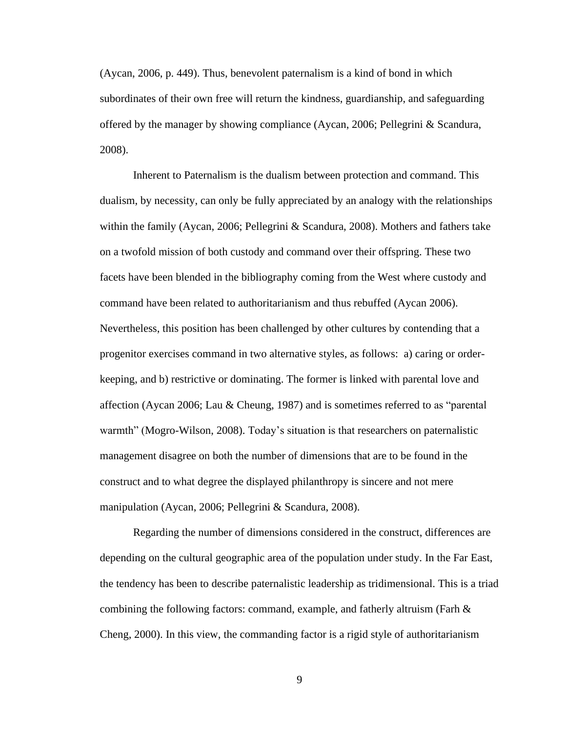(Aycan, 2006, p. 449). Thus, benevolent paternalism is a kind of bond in which subordinates of their own free will return the kindness, guardianship, and safeguarding offered by the manager by showing compliance (Aycan, 2006; Pellegrini & Scandura, 2008).

Inherent to Paternalism is the dualism between protection and command. This dualism, by necessity, can only be fully appreciated by an analogy with the relationships within the family (Aycan, 2006; Pellegrini & Scandura, 2008). Mothers and fathers take on a twofold mission of both custody and command over their offspring. These two facets have been blended in the bibliography coming from the West where custody and command have been related to authoritarianism and thus rebuffed (Aycan 2006). Nevertheless, this position has been challenged by other cultures by contending that a progenitor exercises command in two alternative styles, as follows: a) caring or orderkeeping, and b) restrictive or dominating. The former is linked with parental love and affection (Aycan 2006; Lau & Cheung, 1987) and is sometimes referred to as "parental warmth" (Mogro-Wilson, 2008). Today's situation is that researchers on paternalistic management disagree on both the number of dimensions that are to be found in the construct and to what degree the displayed philanthropy is sincere and not mere manipulation (Aycan, 2006; Pellegrini & Scandura, 2008).

Regarding the number of dimensions considered in the construct, differences are depending on the cultural geographic area of the population under study. In the Far East, the tendency has been to describe paternalistic leadership as tridimensional. This is a triad combining the following factors: command, example, and fatherly altruism (Farh & Cheng, 2000). In this view, the commanding factor is a rigid style of authoritarianism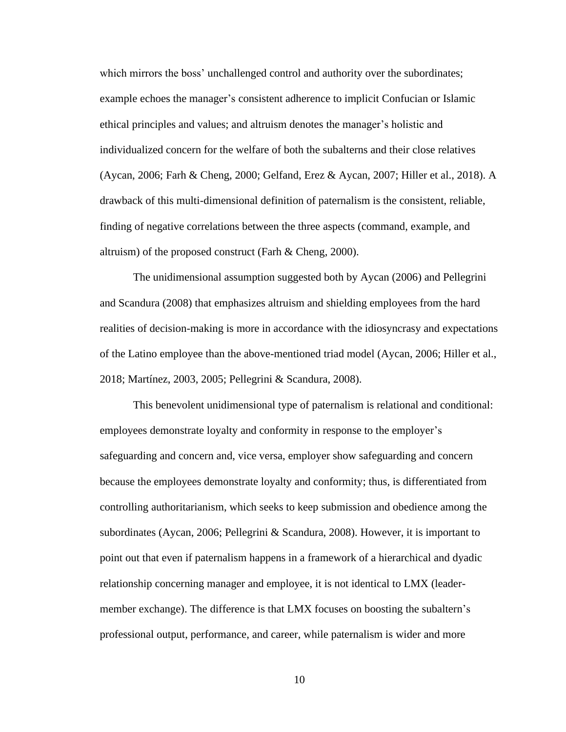which mirrors the boss' unchallenged control and authority over the subordinates; example echoes the manager's consistent adherence to implicit Confucian or Islamic ethical principles and values; and altruism denotes the manager's holistic and individualized concern for the welfare of both the subalterns and their close relatives (Aycan, 2006; Farh & Cheng, 2000; Gelfand, Erez & Aycan, 2007; Hiller et al., 2018). A drawback of this multi-dimensional definition of paternalism is the consistent, reliable, finding of negative correlations between the three aspects (command, example, and altruism) of the proposed construct (Farh & Cheng, 2000).

The unidimensional assumption suggested both by Aycan (2006) and Pellegrini and Scandura (2008) that emphasizes altruism and shielding employees from the hard realities of decision-making is more in accordance with the idiosyncrasy and expectations of the Latino employee than the above-mentioned triad model (Aycan, 2006; Hiller et al., 2018; Martínez, 2003, 2005; Pellegrini & Scandura, 2008).

This benevolent unidimensional type of paternalism is relational and conditional: employees demonstrate loyalty and conformity in response to the employer's safeguarding and concern and, vice versa, employer show safeguarding and concern because the employees demonstrate loyalty and conformity; thus, is differentiated from controlling authoritarianism, which seeks to keep submission and obedience among the subordinates (Aycan, 2006; Pellegrini & Scandura, 2008). However, it is important to point out that even if paternalism happens in a framework of a hierarchical and dyadic relationship concerning manager and employee, it is not identical to LMX (leadermember exchange). The difference is that LMX focuses on boosting the subaltern's professional output, performance, and career, while paternalism is wider and more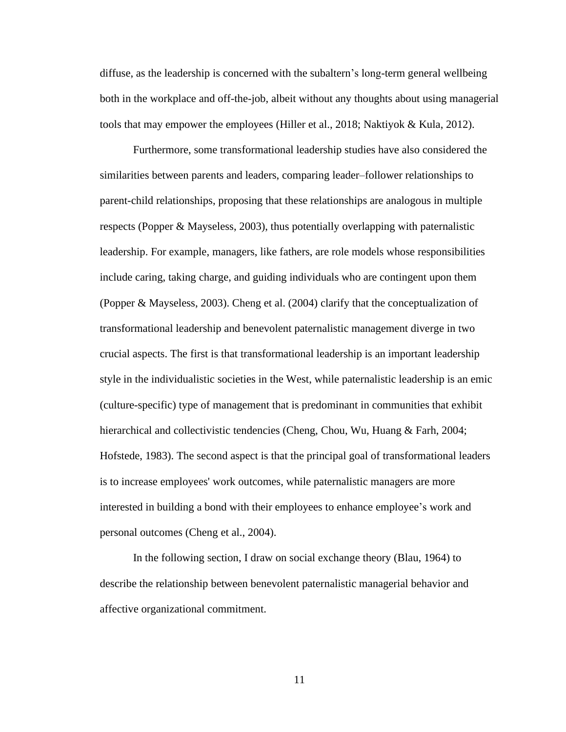diffuse, as the leadership is concerned with the subaltern's long-term general wellbeing both in the workplace and off-the-job, albeit without any thoughts about using managerial tools that may empower the employees (Hiller et al., 2018; Naktiyok & Kula, 2012).

Furthermore, some transformational leadership studies have also considered the similarities between parents and leaders, comparing leader–follower relationships to parent-child relationships, proposing that these relationships are analogous in multiple respects (Popper & Mayseless, 2003), thus potentially overlapping with paternalistic leadership. For example, managers, like fathers, are role models whose responsibilities include caring, taking charge, and guiding individuals who are contingent upon them (Popper & Mayseless, 2003). Cheng et al. (2004) clarify that the conceptualization of transformational leadership and benevolent paternalistic management diverge in two crucial aspects. The first is that transformational leadership is an important leadership style in the individualistic societies in the West, while paternalistic leadership is an emic (culture-specific) type of management that is predominant in communities that exhibit hierarchical and collectivistic tendencies (Cheng, Chou, Wu, Huang & Farh, 2004; Hofstede, 1983). The second aspect is that the principal goal of transformational leaders is to increase employees' work outcomes, while paternalistic managers are more interested in building a bond with their employees to enhance employee's work and personal outcomes (Cheng et al., 2004).

In the following section, I draw on social exchange theory (Blau, 1964) to describe the relationship between benevolent paternalistic managerial behavior and affective organizational commitment.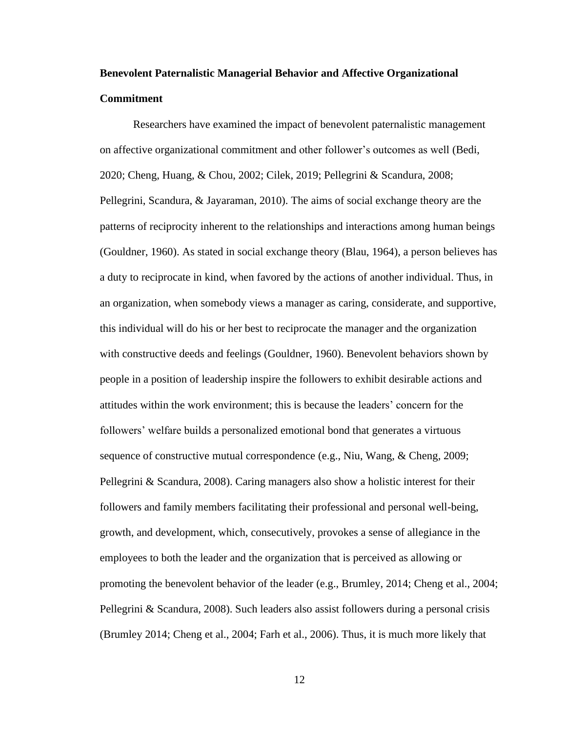# **Benevolent Paternalistic Managerial Behavior and Affective Organizational Commitment**

Researchers have examined the impact of benevolent paternalistic management on affective organizational commitment and other follower's outcomes as well (Bedi, 2020; Cheng, Huang, & Chou, 2002; Cilek, 2019; Pellegrini & Scandura, 2008; Pellegrini, Scandura, & Jayaraman, 2010). The aims of social exchange theory are the patterns of reciprocity inherent to the relationships and interactions among human beings (Gouldner, 1960). As stated in social exchange theory (Blau, 1964), a person believes has a duty to reciprocate in kind, when favored by the actions of another individual. Thus, in an organization, when somebody views a manager as caring, considerate, and supportive, this individual will do his or her best to reciprocate the manager and the organization with constructive deeds and feelings (Gouldner, 1960). Benevolent behaviors shown by people in a position of leadership inspire the followers to exhibit desirable actions and attitudes within the work environment; this is because the leaders' concern for the followers' welfare builds a personalized emotional bond that generates a virtuous sequence of constructive mutual correspondence (e.g., Niu, Wang, & Cheng, 2009; Pellegrini & Scandura, 2008). Caring managers also show a holistic interest for their followers and family members facilitating their professional and personal well-being, growth, and development, which, consecutively, provokes a sense of allegiance in the employees to both the leader and the organization that is perceived as allowing or promoting the benevolent behavior of the leader (e.g., Brumley, 2014; Cheng et al., 2004; Pellegrini & Scandura, 2008). Such leaders also assist followers during a personal crisis (Brumley 2014; Cheng et al., 2004; Farh et al., 2006). Thus, it is much more likely that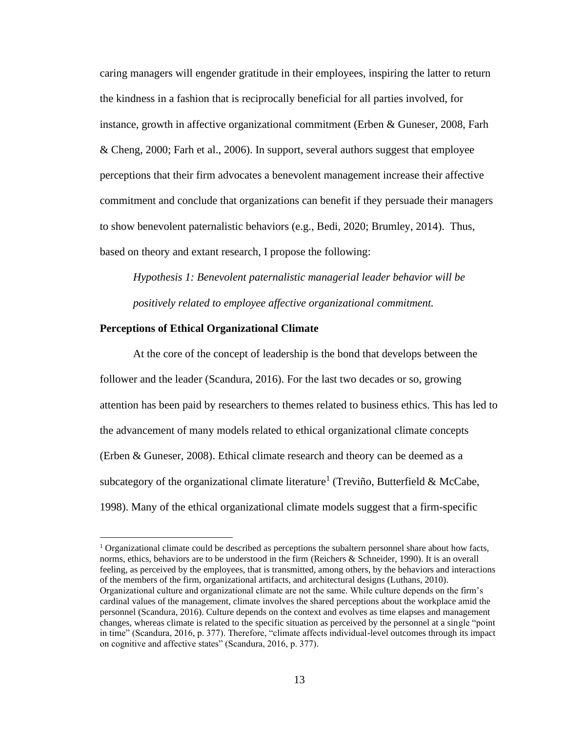caring managers will engender gratitude in their employees, inspiring the latter to return the kindness in a fashion that is reciprocally beneficial for all parties involved, for instance, growth in affective organizational commitment (Erben & Guneser, 2008, Farh & Cheng, 2000; Farh et al., 2006). In support, several authors suggest that employee perceptions that their firm advocates a benevolent management increase their affective commitment and conclude that organizations can benefit if they persuade their managers to show benevolent paternalistic behaviors (e.g., Bedi, 2020; Brumley, 2014). Thus, based on theory and extant research, I propose the following:

*Hypothesis 1: Benevolent paternalistic managerial leader behavior will be positively related to employee affective organizational commitment.* 

#### **Perceptions of Ethical Organizational Climate**

At the core of the concept of leadership is the bond that develops between the follower and the leader (Scandura, 2016). For the last two decades or so, growing attention has been paid by researchers to themes related to business ethics. This has led to the advancement of many models related to ethical organizational climate concepts (Erben & Guneser, 2008). Ethical climate research and theory can be deemed as a subcategory of the organizational climate literature<sup>1</sup> [\(Treviño, Butterfield](about:blank) & McCabe, 1998). Many of the ethical organizational climate models suggest that a firm-specific

 $1$  Organizational climate could be described as perceptions the subaltern personnel share about how facts, norms, ethics, behaviors are to be understood in the firm (Reichers & Schneider, 1990). It is an overall feeling, as perceived by the employees, that is transmitted, among others, by the behaviors and interactions of the members of the firm, organizational artifacts, and architectural designs (Luthans, 2010). Organizational culture and organizational climate are not the same. While culture depends on the firm's cardinal values of the management, climate involves the shared perceptions about the workplace amid the personnel (Scandura, 2016). Culture depends on the context and evolves as time elapses and management changes, whereas climate is related to the specific situation as perceived by the personnel at a single "point in time" (Scandura, 2016, p. 377). Therefore, "climate affects individual-level outcomes through its impact on cognitive and affective states" (Scandura, 2016, p. 377).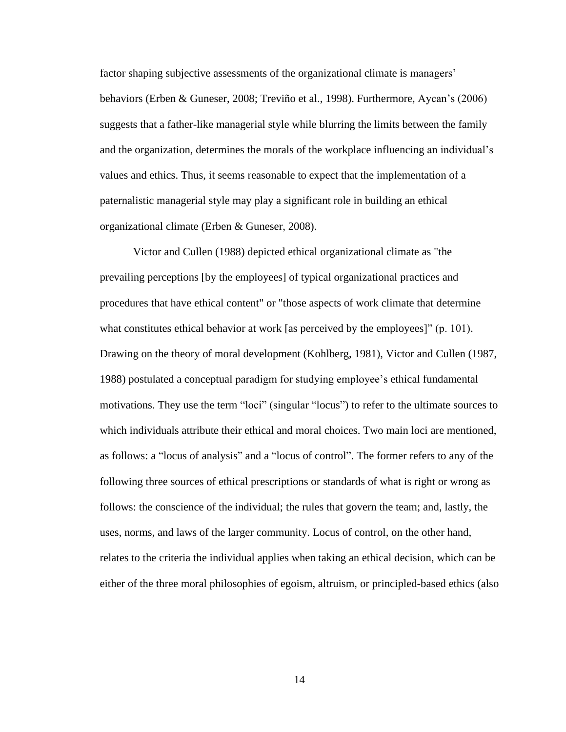factor shaping subjective assessments of the organizational climate is managers' behaviors (Erben & Guneser, 2008; [Treviño](about:blank) et al., 1998). Furthermore, Aycan's (2006) suggests that a father-like managerial style while blurring the limits between the family and the organization, determines the morals of the workplace influencing an individual's values and ethics. Thus, it seems reasonable to expect that the implementation of a paternalistic managerial style may play a significant role in building an ethical organizational climate (Erben & Guneser, 2008).

Victor and Cullen (1988) depicted ethical organizational climate as "the prevailing perceptions [by the employees] of typical organizational practices and procedures that have ethical content" or "those aspects of work climate that determine what constitutes ethical behavior at work [as perceived by the employees]" (p. 101). Drawing on the theory of moral development (Kohlberg, 1981), Victor and Cullen (1987, 1988) postulated a conceptual paradigm for studying employee's ethical fundamental motivations. They use the term "loci" (singular "locus") to refer to the ultimate sources to which individuals attribute their ethical and moral choices. Two main loci are mentioned, as follows: a "locus of analysis" and a "locus of control". The former refers to any of the following three sources of ethical prescriptions or standards of what is right or wrong as follows: the conscience of the individual; the rules that govern the team; and, lastly, the uses, norms, and laws of the larger community. Locus of control, on the other hand, relates to the criteria the individual applies when taking an ethical decision, which can be either of the three moral philosophies of egoism, altruism, or principled-based ethics (also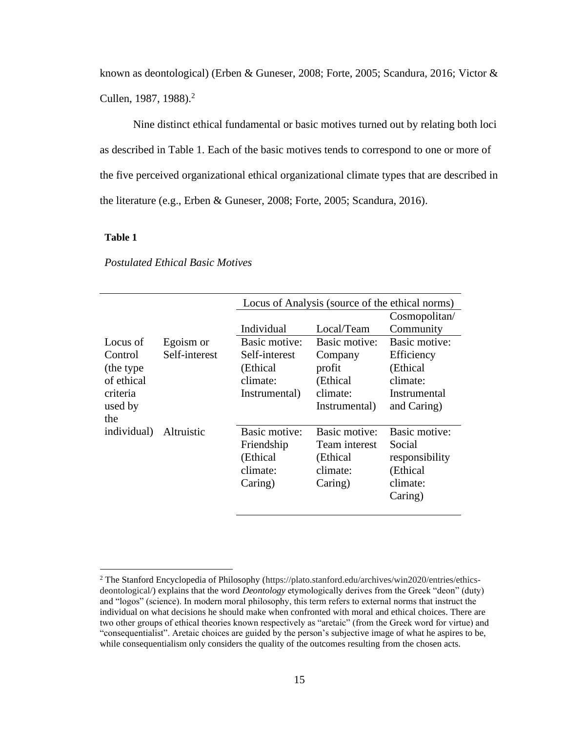known as deontological) (Erben & Guneser, 2008; Forte, 2005; Scandura, 2016; Victor & Cullen, 1987, 1988).<sup>2</sup>

Nine distinct ethical fundamental or basic motives turned out by relating both loci as described in Table 1. Each of the basic motives tends to correspond to one or more of the five perceived organizational ethical organizational climate types that are described in the literature (e.g., Erben & Guneser, 2008; Forte, 2005; Scandura, 2016).

#### **Table 1**

|             |               | Locus of Analysis (source of the ethical norms) |               |                |
|-------------|---------------|-------------------------------------------------|---------------|----------------|
|             |               |                                                 |               | Cosmopolitan/  |
|             |               | Individual                                      | Local/Team    | Community      |
| Locus of    | Egoism or     | Basic motive:                                   | Basic motive: | Basic motive:  |
| Control     | Self-interest | Self-interest                                   | Company       | Efficiency     |
| (the type)  |               | (Ethical)                                       | profit        | (Ethical       |
| of ethical  |               | climate:                                        | (Ethical)     | climate:       |
| criteria    |               | Instrumental)                                   | climate:      | Instrumental   |
| used by     |               |                                                 | Instrumental) | and Caring)    |
| the         |               |                                                 |               |                |
| individual) | Altruistic    | Basic motive:                                   | Basic motive: | Basic motive:  |
|             |               | Friendship                                      | Team interest | Social         |
|             |               | (Ethical                                        | (Ethical)     | responsibility |
|             |               | climate:                                        | climate:      | (Ethical       |
|             |               | Caring)                                         | Caring)       | climate:       |
|             |               |                                                 |               | Caring)        |
|             |               |                                                 |               |                |

*Postulated Ethical Basic Motives*

<sup>2</sup> The Stanford Encyclopedia of Philosophy (https://plato.stanford.edu/archives/win2020/entries/ethicsdeontological/) explains that the word *Deontology* etymologically derives from the Greek "deon" (duty) and "logos" (science). In modern moral philosophy, this term refers to external norms that instruct the individual on what decisions he should make when confronted with moral and ethical choices. There are two other groups of ethical theories known respectively as "aretaic" (from the Greek word for virtue) and "consequentialist". Aretaic choices are guided by the person's subjective image of what he aspires to be, while consequentialism only considers the quality of the outcomes resulting from the chosen acts.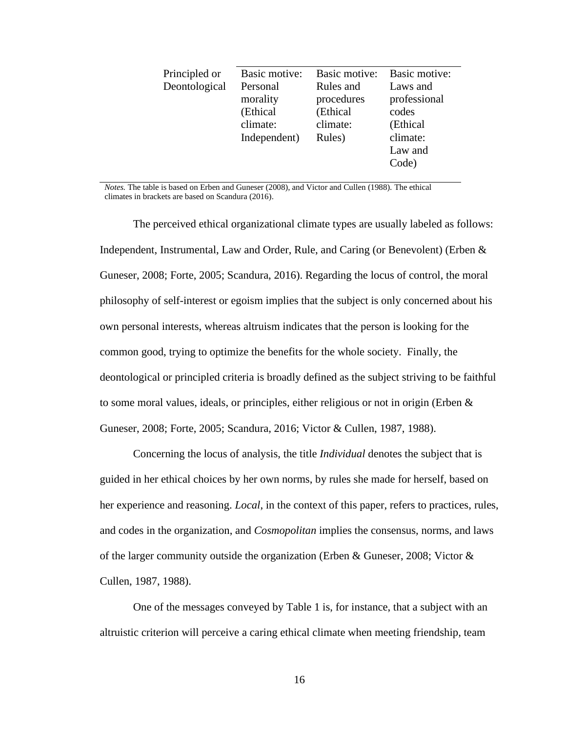| Basic motive: | Basic motive: |
|---------------|---------------|
| Rules and     | Laws and      |
| procedures    | professional  |
| (Ethical      | codes         |
| climate:      | (Ethical      |
| Rules)        | climate:      |
|               | Law and       |
|               | Code)         |
|               |               |

*Notes.* The table is based on Erben and Guneser (2008), and Victor and Cullen (1988). The ethical climates in brackets are based on Scandura (2016).

The perceived ethical organizational climate types are usually labeled as follows: Independent, Instrumental, Law and Order, Rule, and Caring (or Benevolent) (Erben & Guneser, 2008; Forte, 2005; Scandura, 2016). Regarding the locus of control, the moral philosophy of self-interest or egoism implies that the subject is only concerned about his own personal interests, whereas altruism indicates that the person is looking for the common good, trying to optimize the benefits for the whole society. Finally, the deontological or principled criteria is broadly defined as the subject striving to be faithful to some moral values, ideals, or principles, either religious or not in origin (Erben & Guneser, 2008; Forte, 2005; Scandura, 2016; Victor & Cullen, 1987, 1988).

Concerning the locus of analysis, the title *Individual* denotes the subject that is guided in her ethical choices by her own norms, by rules she made for herself, based on her experience and reasoning. *Local*, in the context of this paper, refers to practices, rules, and codes in the organization, and *Cosmopolitan* implies the consensus, norms, and laws of the larger community outside the organization (Erben & Guneser, 2008; Victor & Cullen, 1987, 1988).

One of the messages conveyed by Table 1 is, for instance, that a subject with an altruistic criterion will perceive a caring ethical climate when meeting friendship, team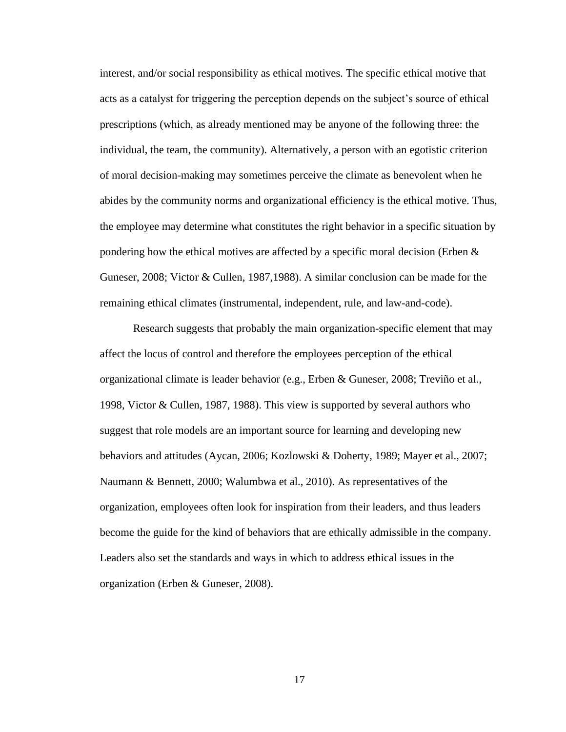interest, and/or social responsibility as ethical motives. The specific ethical motive that acts as a catalyst for triggering the perception depends on the subject's source of ethical prescriptions (which, as already mentioned may be anyone of the following three: the individual, the team, the community). Alternatively, a person with an egotistic criterion of moral decision-making may sometimes perceive the climate as benevolent when he abides by the community norms and organizational efficiency is the ethical motive. Thus, the employee may determine what constitutes the right behavior in a specific situation by pondering how the ethical motives are affected by a specific moral decision (Erben  $\&$ Guneser, 2008; Victor & Cullen, 1987,1988). A similar conclusion can be made for the remaining ethical climates (instrumental, independent, rule, and law-and-code).

Research suggests that probably the main organization-specific element that may affect the locus of control and therefore the employees perception of the ethical organizational climate is leader behavior (e.g., Erben & Guneser, 2008; [Treviño](about:blank) et al., 1998, Victor & Cullen, 1987, 1988). This view is supported by several authors who suggest that role models are an important source for learning and developing new behaviors and attitudes (Aycan, 2006; Kozlowski & Doherty, 1989; Mayer et al., 2007; Naumann & Bennett, 2000; Walumbwa et al., 2010). As representatives of the organization, employees often look for inspiration from their leaders, and thus leaders become the guide for the kind of behaviors that are ethically admissible in the company. Leaders also set the standards and ways in which to address ethical issues in the organization (Erben & Guneser, 2008).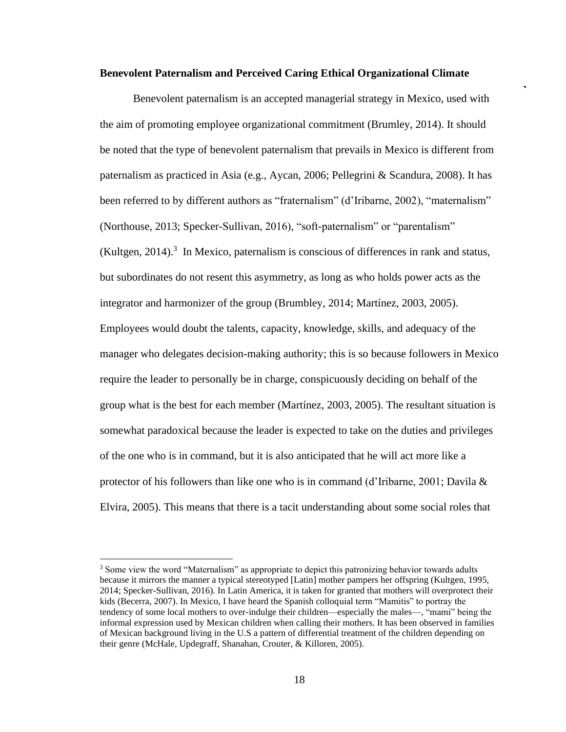#### **Benevolent Paternalism and Perceived Caring Ethical Organizational Climate**

Benevolent paternalism is an accepted managerial strategy in Mexico, used with the aim of promoting employee organizational commitment (Brumley, 2014). It should be noted that the type of benevolent paternalism that prevails in Mexico is different from paternalism as practiced in Asia (e.g., Aycan, 2006; Pellegrini & Scandura, 2008). It has been referred to by different authors as "fraternalism" (d'Iribarne, 2002), "maternalism" (Northouse, 2013; Specker-Sullivan, 2016), "soft-paternalism" or "parentalism"  $(Kultgen, 2014).$ <sup>3</sup> In Mexico, paternalism is conscious of differences in rank and status, but subordinates do not resent this asymmetry, as long as who holds power acts as the integrator and harmonizer of the group (Brumbley, 2014; Martínez, 2003, 2005). Employees would doubt the talents, capacity, knowledge, skills, and adequacy of the manager who delegates decision-making authority; this is so because followers in Mexico require the leader to personally be in charge, conspicuously deciding on behalf of the group what is the best for each member (Martínez, 2003, 2005). The resultant situation is somewhat paradoxical because the leader is expected to take on the duties and privileges of the one who is in command, but it is also anticipated that he will act more like a protector of his followers than like one who is in command (d'Iribarne, 2001; Davila  $\&$ Elvira, 2005). This means that there is a tacit understanding about some social roles that

<sup>&</sup>lt;sup>3</sup> Some view the word "Maternalism" as appropriate to depict this patronizing behavior towards adults because it mirrors the manner a typical stereotyped [Latin] mother pampers her offspring (Kultgen, 1995, 2014; Specker-Sullivan, 2016). In Latin America, it is taken for granted that mothers will overprotect their kids (Becerra, 2007). In Mexico, I have heard the Spanish colloquial term "Mamitis" to portray the tendency of some local mothers to over-indulge their children—especially the males—, "mami" being the informal expression used by Mexican children when calling their mothers. It has been observed in families of Mexican background living in the U.S a pattern of differential treatment of the children depending on their genre (McHale, Updegraff, Shanahan, Crouter, & Killoren, 2005).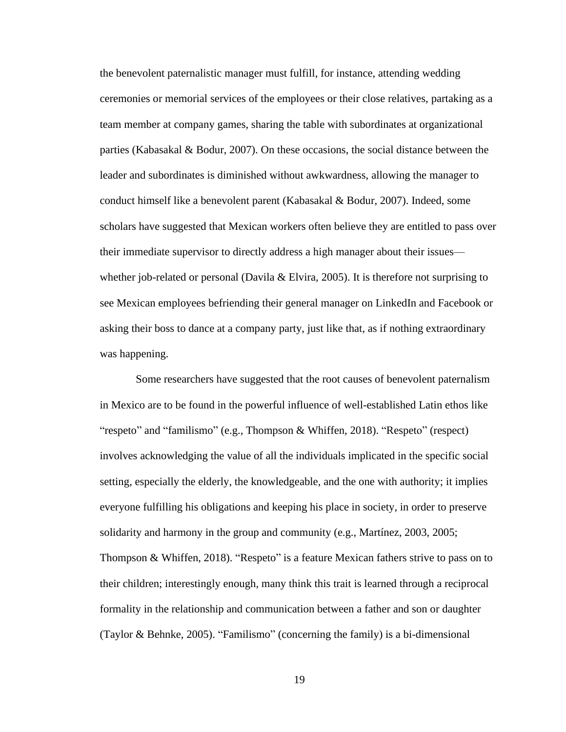the benevolent paternalistic manager must fulfill, for instance, attending wedding ceremonies or memorial services of the employees or their close relatives, partaking as a team member at company games, sharing the table with subordinates at organizational parties (Kabasakal & Bodur, 2007). On these occasions, the social distance between the leader and subordinates is diminished without awkwardness, allowing the manager to conduct himself like a benevolent parent (Kabasakal & Bodur, 2007). Indeed, some scholars have suggested that Mexican workers often believe they are entitled to pass over their immediate supervisor to directly address a high manager about their issues whether job-related or personal (Davila & Elvira, 2005). It is therefore not surprising to see Mexican employees befriending their general manager on LinkedIn and Facebook or asking their boss to dance at a company party, just like that, as if nothing extraordinary was happening.

Some researchers have suggested that the root causes of benevolent paternalism in Mexico are to be found in the powerful influence of well-established Latin ethos like "respeto" and "familismo" (e.g., Thompson & Whiffen, 2018). "Respeto" (respect) involves acknowledging the value of all the individuals implicated in the specific social setting, especially the elderly, the knowledgeable, and the one with authority; it implies everyone fulfilling his obligations and keeping his place in society, in order to preserve solidarity and harmony in the group and community (e.g., Martínez, 2003, 2005; Thompson & Whiffen, 2018). "Respeto" is a feature Mexican fathers strive to pass on to their children; interestingly enough, many think this trait is learned through a reciprocal formality in the relationship and communication between a father and son or daughter (Taylor & Behnke, 2005). "Familismo" (concerning the family) is a bi-dimensional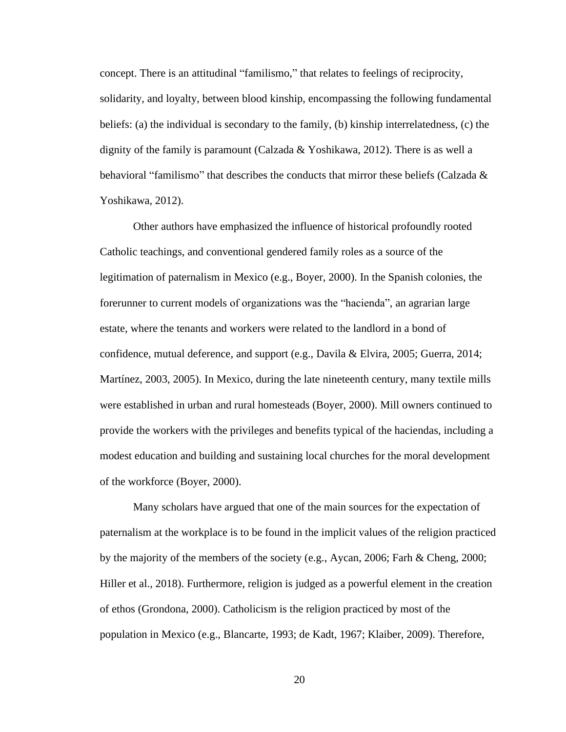concept. There is an attitudinal "familismo," that relates to feelings of reciprocity, solidarity, and loyalty, between blood kinship, encompassing the following fundamental beliefs: (a) the individual is secondary to the family, (b) kinship interrelatedness, (c) the dignity of the family is paramount (Calzada & Yoshikawa, 2012). There is as well a behavioral "familismo" that describes the conducts that mirror these beliefs (Calzada  $\&$ Yoshikawa, 2012).

Other authors have emphasized the influence of historical profoundly rooted Catholic teachings, and conventional gendered family roles as a source of the legitimation of paternalism in Mexico (e.g., Boyer, 2000). In the Spanish colonies, the forerunner to current models of organizations was the "hacienda", an agrarian large estate, where the tenants and workers were related to the landlord in a bond of confidence, mutual deference, and support (e.g., Davila & Elvira, 2005; Guerra, 2014; Martínez, 2003, 2005). In Mexico, during the late nineteenth century, many textile mills were established in urban and rural homesteads (Boyer, 2000). Mill owners continued to provide the workers with the privileges and benefits typical of the haciendas, including a modest education and building and sustaining local churches for the moral development of the workforce (Boyer, 2000).

Many scholars have argued that one of the main sources for the expectation of paternalism at the workplace is to be found in the implicit values of the religion practiced by the majority of the members of the society (e.g., Aycan, 2006; Farh & Cheng, 2000; Hiller et al., 2018). Furthermore, religion is judged as a powerful element in the creation of ethos (Grondona, 2000). Catholicism is the religion practiced by most of the population in Mexico (e.g., Blancarte, 1993; de Kadt, 1967; Klaiber, 2009). Therefore,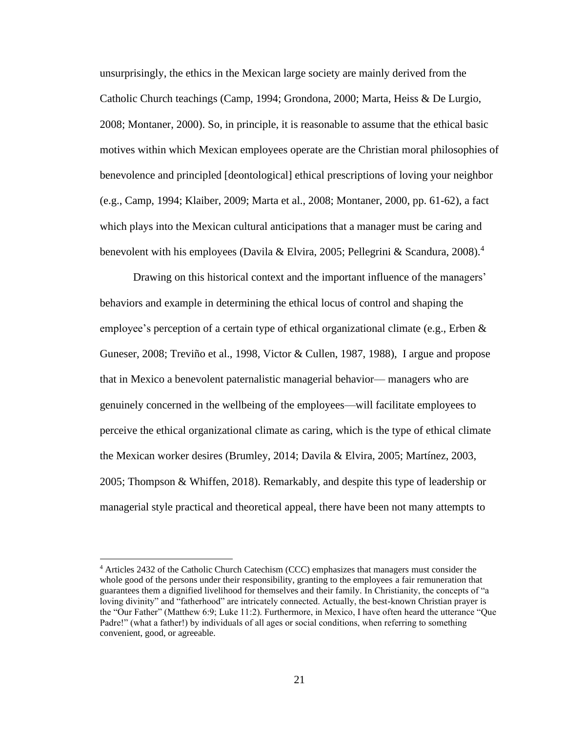unsurprisingly, the ethics in the Mexican large society are mainly derived from the Catholic Church teachings (Camp, 1994; Grondona, 2000; Marta, Heiss & De Lurgio, 2008; Montaner, 2000). So, in principle, it is reasonable to assume that the ethical basic motives within which Mexican employees operate are the Christian moral philosophies of benevolence and principled [deontological] ethical prescriptions of loving your neighbor (e.g., Camp, 1994; Klaiber, 2009; Marta et al., 2008; Montaner, 2000, pp. 61-62), a fact which plays into the Mexican cultural anticipations that a manager must be caring and benevolent with his employees (Davila & Elvira, 2005; Pellegrini & Scandura, 2008).<sup>4</sup>

Drawing on this historical context and the important influence of the managers' behaviors and example in determining the ethical locus of control and shaping the employee's perception of a certain type of ethical organizational climate (e.g., Erben & Guneser, 2008; [Treviño](about:blank) et al., 1998, Victor & Cullen, 1987, 1988), I argue and propose that in Mexico a benevolent paternalistic managerial behavior— managers who are genuinely concerned in the wellbeing of the employees—will facilitate employees to perceive the ethical organizational climate as caring, which is the type of ethical climate the Mexican worker desires (Brumley, 2014; Davila & Elvira, 2005; Martínez, 2003, 2005; Thompson & Whiffen, 2018). Remarkably, and despite this type of leadership or managerial style practical and theoretical appeal, there have been not many attempts to

<sup>4</sup> Articles 2432 of the Catholic Church Catechism (CCC) emphasizes that managers must consider the whole good of the persons under their responsibility, granting to the employees a fair remuneration that guarantees them a dignified livelihood for themselves and their family. In Christianity, the concepts of "a loving divinity" and "fatherhood" are intricately connected. Actually, the best-known Christian prayer is the "Our Father" (Matthew 6:9; Luke 11:2). Furthermore, in Mexico, I have often heard the utterance "Que Padre!" (what a father!) by individuals of all ages or social conditions, when referring to something convenient, good, or agreeable.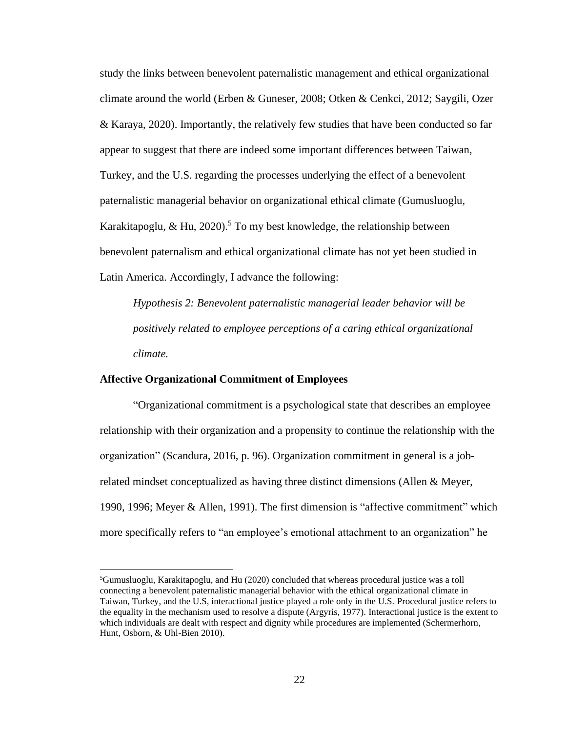study the links between benevolent paternalistic management and ethical organizational climate around the world (Erben & Guneser, 2008; Otken & Cenkci, 2012; Saygili, Ozer & Karaya, 2020). Importantly, the relatively few studies that have been conducted so far appear to suggest that there are indeed some important differences between Taiwan, Turkey, and the U.S. regarding the processes underlying the effect of a benevolent paternalistic managerial behavior on organizational ethical climate (Gumusluoglu, Karakitapoglu, & Hu, 2020). <sup>5</sup> To my best knowledge, the relationship between benevolent paternalism and ethical organizational climate has not yet been studied in Latin America. Accordingly, I advance the following:

*Hypothesis 2: Benevolent paternalistic managerial leader behavior will be positively related to employee perceptions of a caring ethical organizational climate.*

#### **Affective Organizational Commitment of Employees**

"Organizational commitment is a psychological state that describes an employee relationship with their organization and a propensity to continue the relationship with the organization" (Scandura, 2016, p. 96). Organization commitment in general is a jobrelated mindset conceptualized as having three distinct dimensions (Allen  $\&$  Meyer, 1990, 1996; Meyer & Allen, 1991). The first dimension is "affective commitment" which more specifically refers to "an employee's emotional attachment to an organization" he

 ${}^{5}$ Gumusluoglu, Karakitapoglu, and Hu (2020) concluded that whereas procedural justice was a toll connecting a benevolent paternalistic managerial behavior with the ethical organizational climate in Taiwan, Turkey, and the U.S, interactional justice played a role only in the U.S. Procedural justice refers to the equality in the mechanism used to resolve a dispute (Argyris, 1977). Interactional justice is the extent to which individuals are dealt with respect and dignity while procedures are implemented (Schermerhorn, Hunt, Osborn, & Uhl-Bien 2010).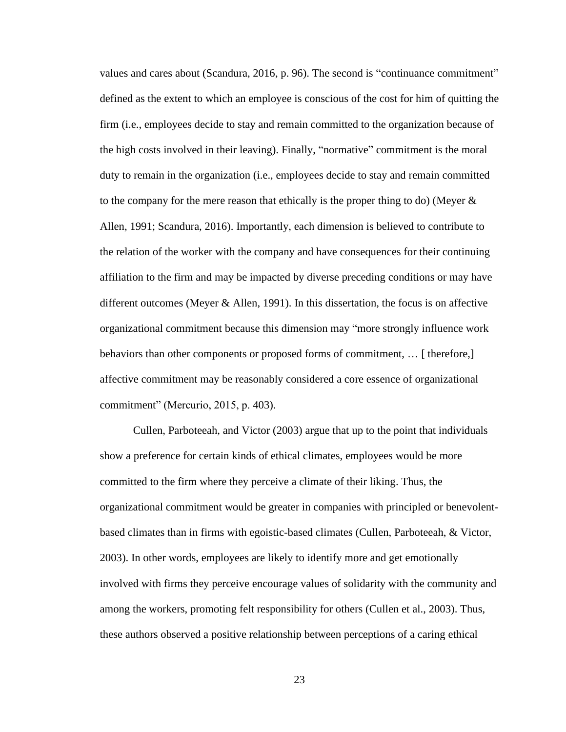values and cares about (Scandura, 2016, p. 96). The second is "continuance commitment" defined as the extent to which an employee is conscious of the cost for him of quitting the firm (i.e., employees decide to stay and remain committed to the organization because of the high costs involved in their leaving). Finally, "normative" commitment is the moral duty to remain in the organization (i.e., employees decide to stay and remain committed to the company for the mere reason that ethically is the proper thing to do) (Meyer  $\&$ Allen, 1991; Scandura, 2016). Importantly, each dimension is believed to contribute to the relation of the worker with the company and have consequences for their continuing affiliation to the firm and may be impacted by diverse preceding conditions or may have different outcomes (Meyer & Allen, 1991). In this dissertation, the focus is on affective organizational commitment because this dimension may "more strongly influence work behaviors than other components or proposed forms of commitment, … [ therefore,] affective commitment may be reasonably considered a core essence of organizational commitment" (Mercurio, 2015, p. 403).

Cullen, Parboteeah, and Victor (2003) argue that up to the point that individuals show a preference for certain kinds of ethical climates, employees would be more committed to the firm where they perceive a climate of their liking. Thus, the organizational commitment would be greater in companies with principled or benevolentbased climates than in firms with egoistic-based climates (Cullen, Parboteeah, & Victor, 2003). In other words, employees are likely to identify more and get emotionally involved with firms they perceive encourage values of solidarity with the community and among the workers, promoting felt responsibility for others (Cullen et al., 2003). Thus, these authors observed a positive relationship between perceptions of a caring ethical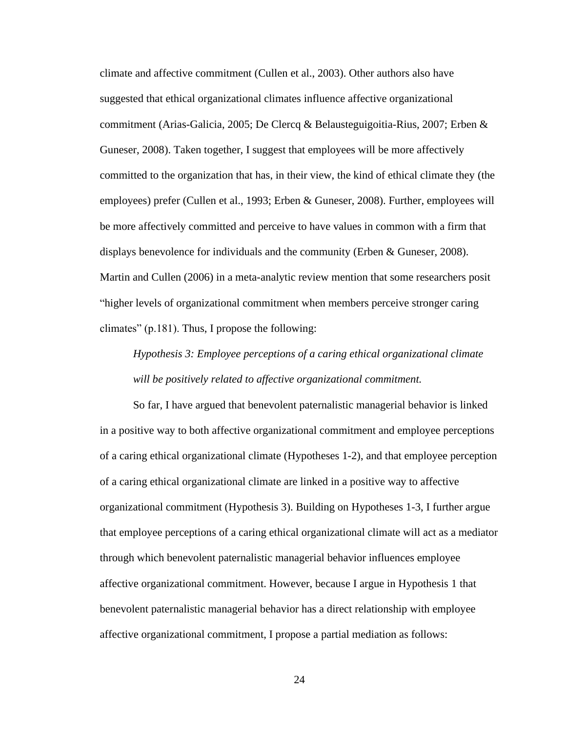climate and affective commitment (Cullen et al., 2003). Other authors also have suggested that ethical organizational climates influence affective organizational commitment (Arias-Galicia, 2005; De Clercq & Belausteguigoitia-Rius, 2007; Erben & Guneser, 2008). Taken together, I suggest that employees will be more affectively committed to the organization that has, in their view, the kind of ethical climate they (the employees) prefer (Cullen et al., 1993; Erben & Guneser, 2008). Further, employees will be more affectively committed and perceive to have values in common with a firm that displays benevolence for individuals and the community (Erben & Guneser, 2008). Martin and Cullen (2006) in a meta-analytic review mention that some researchers posit "higher levels of organizational commitment when members perceive stronger caring climates" (p.181). Thus, I propose the following:

# *Hypothesis 3: Employee perceptions of a caring ethical organizational climate will be positively related to affective organizational commitment.*

So far, I have argued that benevolent paternalistic managerial behavior is linked in a positive way to both affective organizational commitment and employee perceptions of a caring ethical organizational climate (Hypotheses 1-2), and that employee perception of a caring ethical organizational climate are linked in a positive way to affective organizational commitment (Hypothesis 3). Building on Hypotheses 1-3, I further argue that employee perceptions of a caring ethical organizational climate will act as a mediator through which benevolent paternalistic managerial behavior influences employee affective organizational commitment. However, because I argue in Hypothesis 1 that benevolent paternalistic managerial behavior has a direct relationship with employee affective organizational commitment, I propose a partial mediation as follows: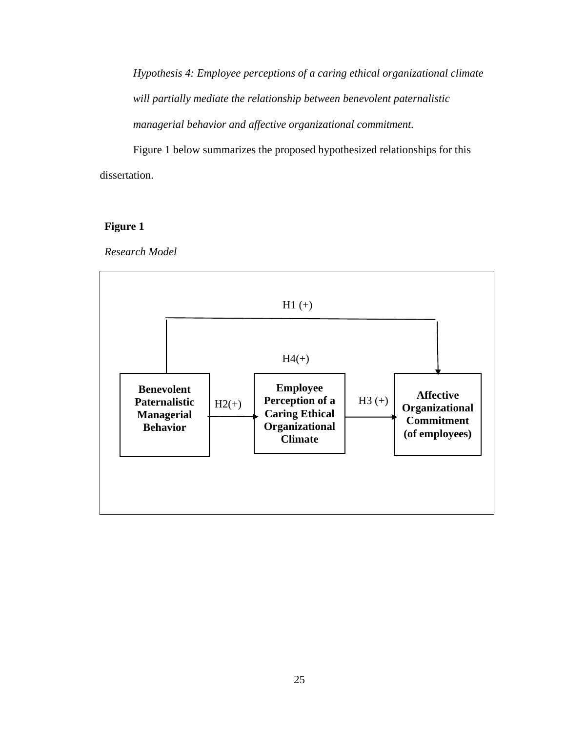*Hypothesis 4: Employee perceptions of a caring ethical organizational climate will partially mediate the relationship between benevolent paternalistic managerial behavior and affective organizational commitment.* 

Figure 1 below summarizes the proposed hypothesized relationships for this dissertation.

## **Figure 1**

*Research Model* 

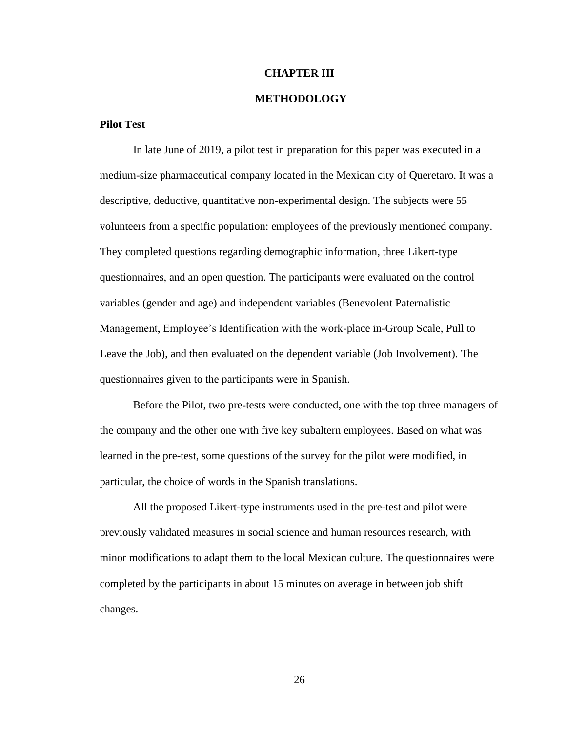#### **CHAPTER III**

#### **METHODOLOGY**

#### **Pilot Test**

In late June of 2019, a pilot test in preparation for this paper was executed in a medium-size pharmaceutical company located in the Mexican city of Queretaro. It was a descriptive, deductive, quantitative non-experimental design. The subjects were 55 volunteers from a specific population: employees of the previously mentioned company. They completed questions regarding demographic information, three Likert-type questionnaires, and an open question. The participants were evaluated on the control variables (gender and age) and independent variables (Benevolent Paternalistic Management, Employee's Identification with the work-place in-Group Scale, Pull to Leave the Job), and then evaluated on the dependent variable (Job Involvement). The questionnaires given to the participants were in Spanish.

Before the Pilot, two pre-tests were conducted, one with the top three managers of the company and the other one with five key subaltern employees. Based on what was learned in the pre-test, some questions of the survey for the pilot were modified, in particular, the choice of words in the Spanish translations.

All the proposed Likert-type instruments used in the pre-test and pilot were previously validated measures in social science and human resources research, with minor modifications to adapt them to the local Mexican culture. The questionnaires were completed by the participants in about 15 minutes on average in between job shift changes.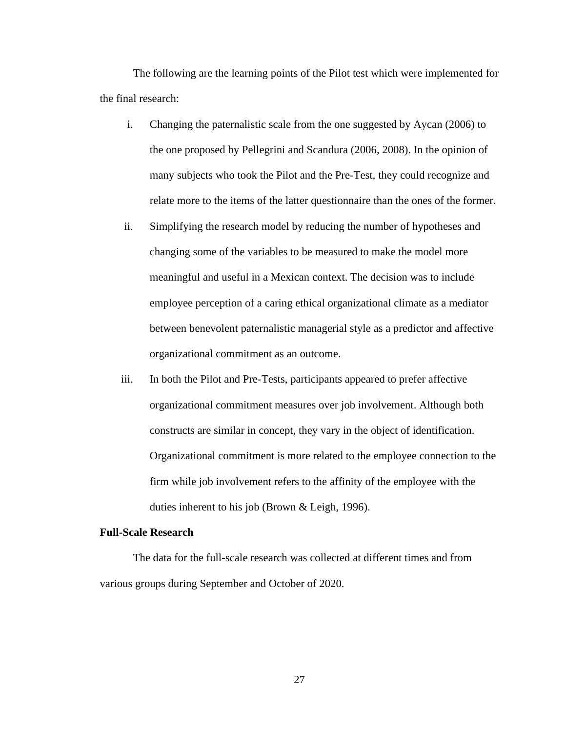The following are the learning points of the Pilot test which were implemented for the final research:

- i. Changing the paternalistic scale from the one suggested by Aycan (2006) to the one proposed by Pellegrini and Scandura (2006, 2008). In the opinion of many subjects who took the Pilot and the Pre-Test, they could recognize and relate more to the items of the latter questionnaire than the ones of the former.
- ii. Simplifying the research model by reducing the number of hypotheses and changing some of the variables to be measured to make the model more meaningful and useful in a Mexican context. The decision was to include employee perception of a caring ethical organizational climate as a mediator between benevolent paternalistic managerial style as a predictor and affective organizational commitment as an outcome.
- iii. In both the Pilot and Pre-Tests, participants appeared to prefer affective organizational commitment measures over job involvement. Although both constructs are similar in concept, they vary in the object of identification. Organizational commitment is more related to the employee connection to the firm while job involvement refers to the affinity of the employee with the duties inherent to his job (Brown & Leigh, 1996).

#### **Full-Scale Research**

The data for the full-scale research was collected at different times and from various groups during September and October of 2020.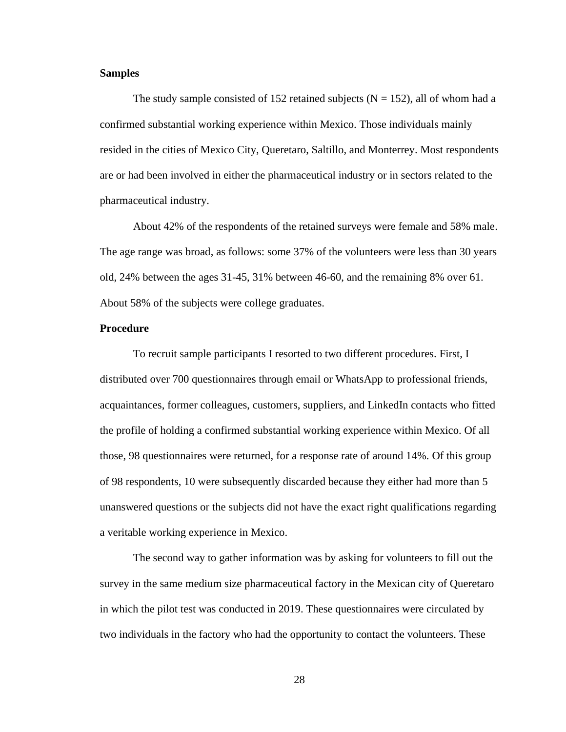### **Samples**

The study sample consisted of 152 retained subjects ( $N = 152$ ), all of whom had a confirmed substantial working experience within Mexico. Those individuals mainly resided in the cities of Mexico City, Queretaro, Saltillo, and Monterrey. Most respondents are or had been involved in either the pharmaceutical industry or in sectors related to the pharmaceutical industry.

About 42% of the respondents of the retained surveys were female and 58% male. The age range was broad, as follows: some 37% of the volunteers were less than 30 years old, 24% between the ages 31-45, 31% between 46-60, and the remaining 8% over 61. About 58% of the subjects were college graduates.

### **Procedure**

To recruit sample participants I resorted to two different procedures. First, I distributed over 700 questionnaires through email or WhatsApp to professional friends, acquaintances, former colleagues, customers, suppliers, and LinkedIn contacts who fitted the profile of holding a confirmed substantial working experience within Mexico. Of all those, 98 questionnaires were returned, for a response rate of around 14%. Of this group of 98 respondents, 10 were subsequently discarded because they either had more than 5 unanswered questions or the subjects did not have the exact right qualifications regarding a veritable working experience in Mexico.

The second way to gather information was by asking for volunteers to fill out the survey in the same medium size pharmaceutical factory in the Mexican city of Queretaro in which the pilot test was conducted in 2019. These questionnaires were circulated by two individuals in the factory who had the opportunity to contact the volunteers. These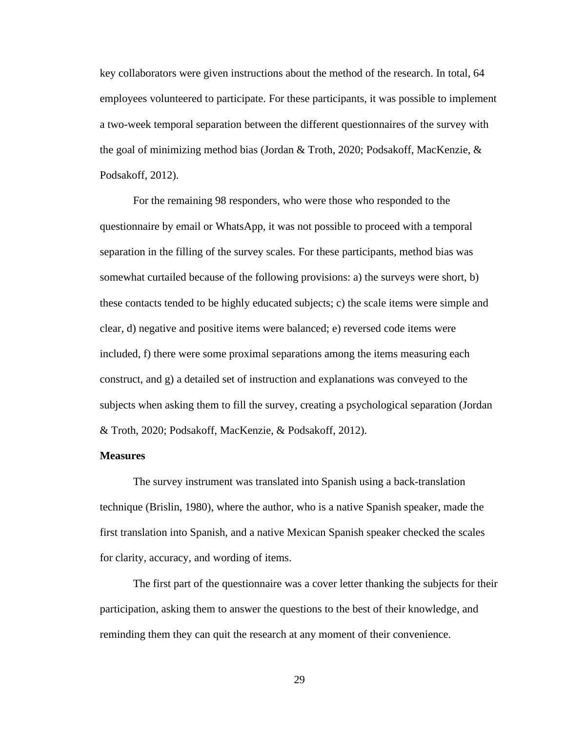key collaborators were given instructions about the method of the research. In total, 64 employees volunteered to participate. For these participants, it was possible to implement a two-week temporal separation between the different questionnaires of the survey with the goal of minimizing method bias (Jordan & Troth, 2020; Podsakoff, MacKenzie, & Podsakoff, 2012).

For the remaining 98 responders, who were those who responded to the questionnaire by email or WhatsApp, it was not possible to proceed with a temporal separation in the filling of the survey scales. For these participants, method bias was somewhat curtailed because of the following provisions: a) the surveys were short, b) these contacts tended to be highly educated subjects; c) the scale items were simple and clear, d) negative and positive items were balanced; e) reversed code items were included, f) there were some proximal separations among the items measuring each construct, and g) a detailed set of instruction and explanations was conveyed to the subjects when asking them to fill the survey, creating a psychological separation (Jordan & Troth, 2020; Podsakoff, MacKenzie, & Podsakoff, 2012).

#### **Measures**

The survey instrument was translated into Spanish using a back-translation technique (Brislin, 1980), where the author, who is a native Spanish speaker, made the first translation into Spanish, and a native Mexican Spanish speaker checked the scales for clarity, accuracy, and wording of items.

The first part of the questionnaire was a cover letter thanking the subjects for their participation, asking them to answer the questions to the best of their knowledge, and reminding them they can quit the research at any moment of their convenience.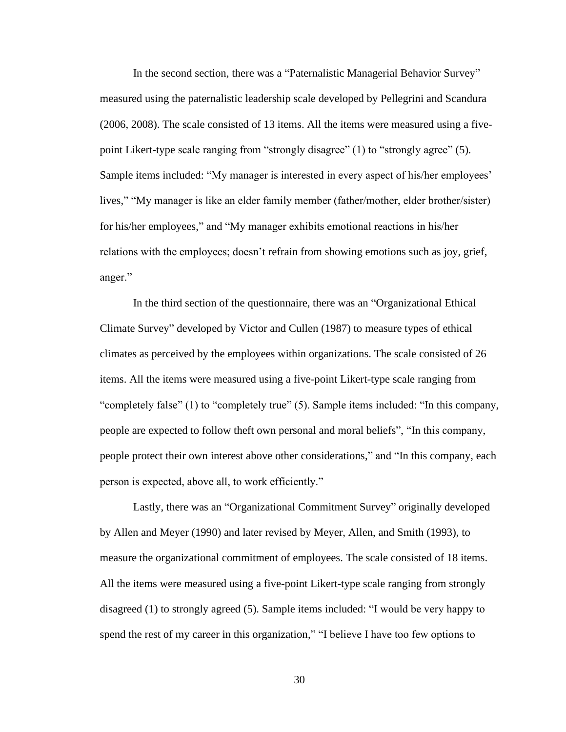In the second section, there was a "Paternalistic Managerial Behavior Survey" measured using the paternalistic leadership scale developed by Pellegrini and Scandura (2006, 2008). The scale consisted of 13 items. All the items were measured using a fivepoint Likert-type scale ranging from "strongly disagree" (1) to "strongly agree" (5). Sample items included: "My manager is interested in every aspect of his/her employees' lives," "My manager is like an elder family member (father/mother, elder brother/sister) for his/her employees," and "My manager exhibits emotional reactions in his/her relations with the employees; doesn't refrain from showing emotions such as joy, grief, anger."

In the third section of the questionnaire, there was an "Organizational Ethical Climate Survey" developed by Victor and Cullen (1987) to measure types of ethical climates as perceived by the employees within organizations. The scale consisted of 26 items. All the items were measured using a five-point Likert-type scale ranging from "completely false" (1) to "completely true" (5). Sample items included: "In this company, people are expected to follow theft own personal and moral beliefs", "In this company, people protect their own interest above other considerations," and "In this company, each person is expected, above all, to work efficiently."

Lastly, there was an "Organizational Commitment Survey" originally developed by Allen and Meyer (1990) and later revised by Meyer, Allen, and Smith (1993), to measure the organizational commitment of employees. The scale consisted of 18 items. All the items were measured using a five-point Likert-type scale ranging from strongly disagreed (1) to strongly agreed (5). Sample items included: "I would be very happy to spend the rest of my career in this organization," "I believe I have too few options to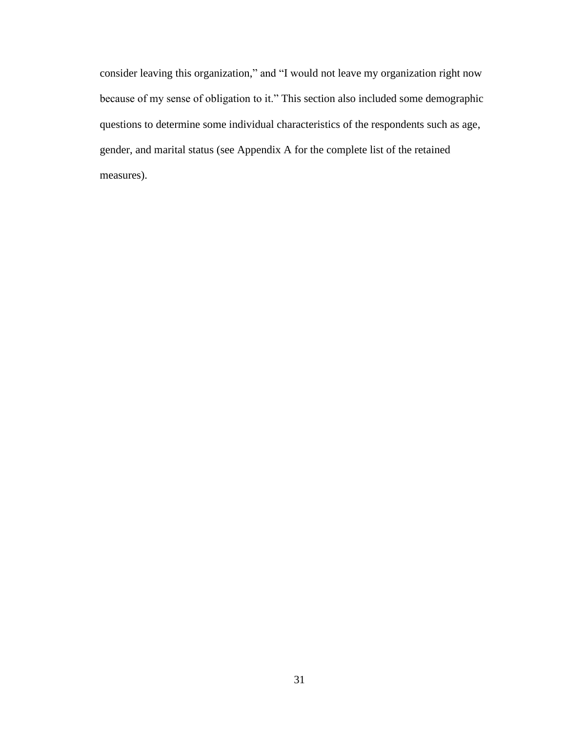consider leaving this organization," and "I would not leave my organization right now because of my sense of obligation to it." This section also included some demographic questions to determine some individual characteristics of the respondents such as age, gender, and marital status (see Appendix A for the complete list of the retained measures).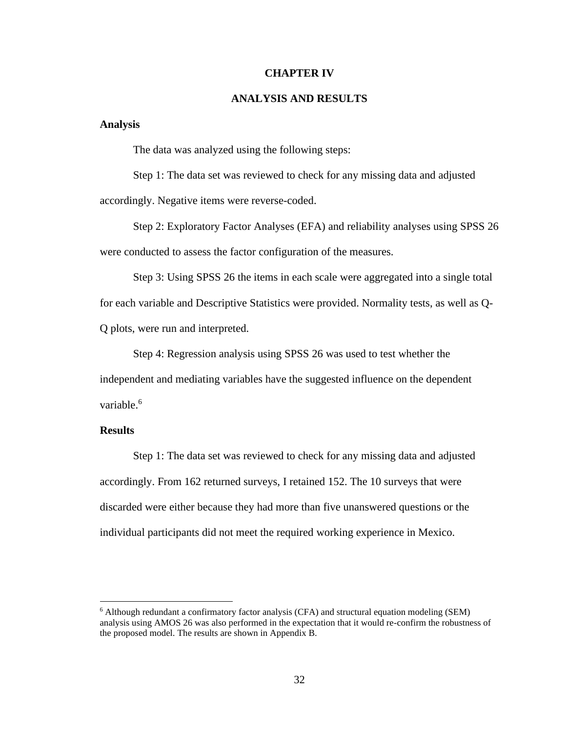### **CHAPTER IV**

### **ANALYSIS AND RESULTS**

### **Analysis**

The data was analyzed using the following steps:

Step 1: The data set was reviewed to check for any missing data and adjusted accordingly. Negative items were reverse-coded.

Step 2: Exploratory Factor Analyses (EFA) and reliability analyses using SPSS 26 were conducted to assess the factor configuration of the measures.

Step 3: Using SPSS 26 the items in each scale were aggregated into a single total for each variable and Descriptive Statistics were provided. Normality tests, as well as Q-Q plots, were run and interpreted.

Step 4: Regression analysis using SPSS 26 was used to test whether the independent and mediating variables have the suggested influence on the dependent variable.<sup>6</sup>

### **Results**

Step 1: The data set was reviewed to check for any missing data and adjusted accordingly. From 162 returned surveys, I retained 152. The 10 surveys that were discarded were either because they had more than five unanswered questions or the individual participants did not meet the required working experience in Mexico.

 $6$  Although redundant a confirmatory factor analysis (CFA) and structural equation modeling (SEM) analysis using AMOS 26 was also performed in the expectation that it would re-confirm the robustness of the proposed model. The results are shown in Appendix B.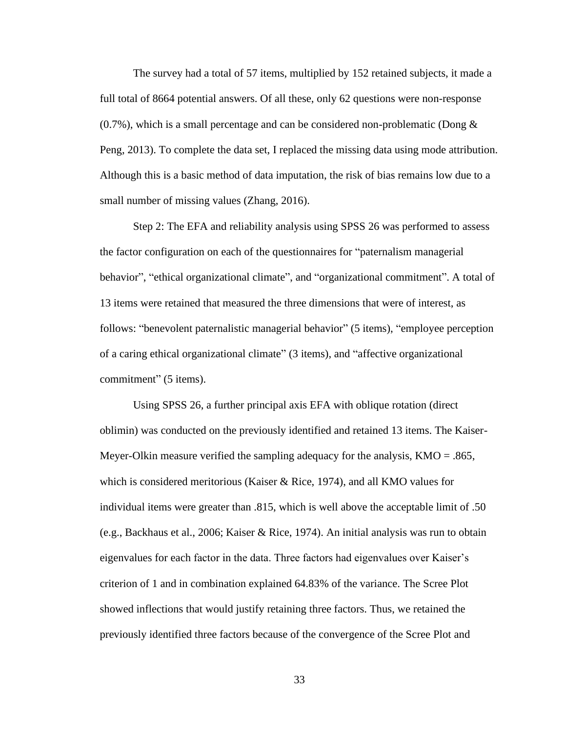The survey had a total of 57 items, multiplied by 152 retained subjects, it made a full total of 8664 potential answers. Of all these, only 62 questions were non-response  $(0.7\%)$ , which is a small percentage and can be considered non-problematic (Dong  $\&$ Peng, 2013). To complete the data set, I replaced the missing data using mode attribution. Although this is a basic method of data imputation, the risk of bias remains low due to a small number of missing values (Zhang, 2016).

Step 2: The EFA and reliability analysis using SPSS 26 was performed to assess the factor configuration on each of the questionnaires for "paternalism managerial behavior", "ethical organizational climate", and "organizational commitment". A total of 13 items were retained that measured the three dimensions that were of interest, as follows: "benevolent paternalistic managerial behavior" (5 items), "employee perception of a caring ethical organizational climate" (3 items), and "affective organizational commitment" (5 items).

Using SPSS 26, a further principal axis EFA with oblique rotation (direct oblimin) was conducted on the previously identified and retained 13 items. The Kaiser-Meyer-Olkin measure verified the sampling adequacy for the analysis,  $KMO = .865$ , which is considered meritorious (Kaiser & Rice, 1974), and all KMO values for individual items were greater than .815, which is well above the acceptable limit of .50 (e.g., Backhaus et al., 2006; Kaiser & Rice, 1974). An initial analysis was run to obtain eigenvalues for each factor in the data. Three factors had eigenvalues over Kaiser's criterion of 1 and in combination explained 64.83% of the variance. The Scree Plot showed inflections that would justify retaining three factors. Thus, we retained the previously identified three factors because of the convergence of the Scree Plot and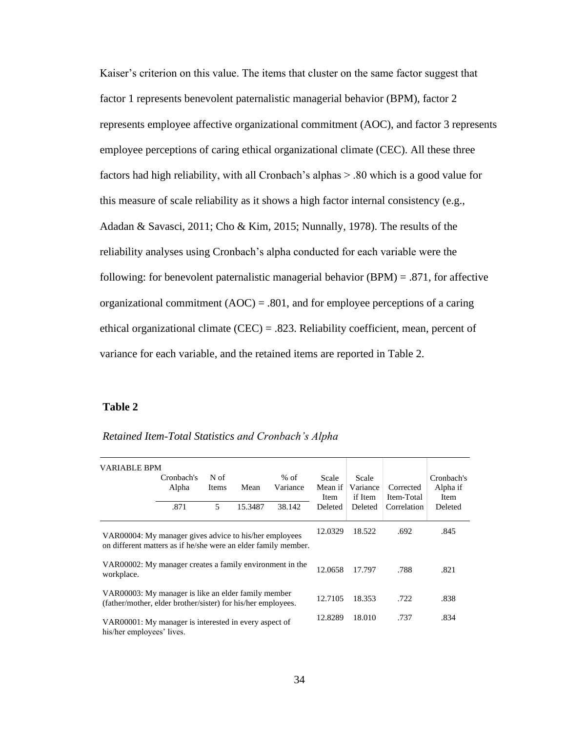Kaiser's criterion on this value. The items that cluster on the same factor suggest that factor 1 represents benevolent paternalistic managerial behavior (BPM), factor 2 represents employee affective organizational commitment (AOC), and factor 3 represents employee perceptions of caring ethical organizational climate (CEC). All these three factors had high reliability, with all Cronbach's alphas > .80 which is a good value for this measure of scale reliability as it shows a high factor internal consistency (e.g., Adadan & Savasci, 2011; Cho & Kim, 2015; Nunnally, 1978). The results of the reliability analyses using Cronbach's alpha conducted for each variable were the following: for benevolent paternalistic managerial behavior  $(BPM) = .871$ , for affective organizational commitment  $(AOC) = .801$ , and for employee perceptions of a caring ethical organizational climate (CEC) = .823. Reliability coefficient, mean, percent of variance for each variable, and the retained items are reported in Table 2.

## **Table 2**

| <b>VARIABLE BPM</b>                                                                                                      | Cronbach's<br>Alpha<br>.871 | N of<br>Items<br>5 | Mean<br>15.3487 | $%$ of<br>Variance<br>38.142 | Scale<br>Mean if<br><b>Item</b><br>Deleted | Scale<br>Variance<br>if Item<br>Deleted | Corrected<br>Item-Total<br>Correlation | Cronbach's<br>Alpha if<br><b>Item</b><br>Deleted |
|--------------------------------------------------------------------------------------------------------------------------|-----------------------------|--------------------|-----------------|------------------------------|--------------------------------------------|-----------------------------------------|----------------------------------------|--------------------------------------------------|
| VAR00004: My manager gives advice to his/her employees<br>on different matters as if he/she were an elder family member. |                             |                    |                 |                              |                                            | 18.522                                  | .692                                   | .845                                             |
| VAR00002: My manager creates a family environment in the<br>workplace.                                                   |                             |                    |                 |                              | 12.0658                                    | 17.797                                  | .788                                   | .821                                             |
| VAR00003: My manager is like an elder family member<br>(father/mother, elder brother/sister) for his/her employees.      |                             |                    |                 |                              |                                            | 18.353                                  | .722                                   | .838                                             |
| VAR00001: My manager is interested in every aspect of<br>his/her employees' lives.                                       |                             |                    |                 |                              |                                            | 18.010                                  | .737                                   | .834                                             |

*Retained Item-Total Statistics and Cronbach's Alpha*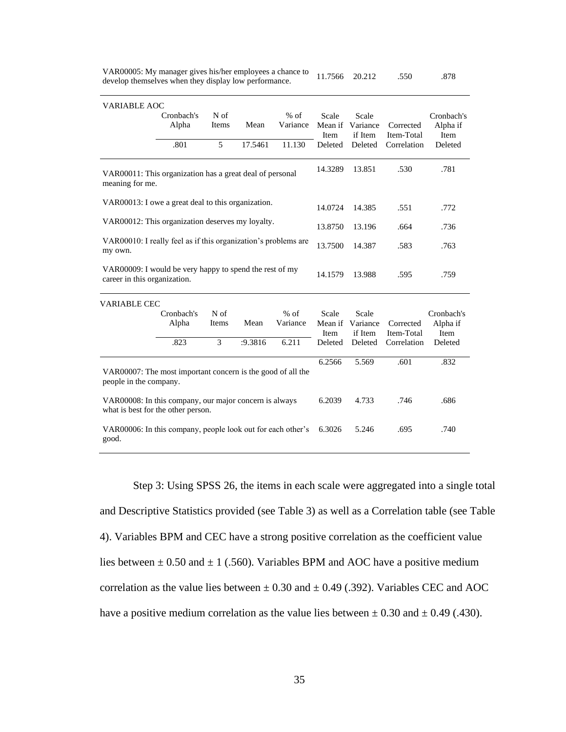| VAR00005: My manager gives his/her employees a chance to 11.7566 20.212 |  | .550 | .878 |
|-------------------------------------------------------------------------|--|------|------|
| develop themselves when they display low performance.                   |  |      |      |

| <b>VARIABLE AOC</b>                                                                          | Cronbach's<br>Alpha | $N$ of<br>Items | Mean    | $%$ of<br>Variance | Scale           | Scale<br>Mean if Variance            | Corrected                 | Cronbach's<br>Alpha if         |
|----------------------------------------------------------------------------------------------|---------------------|-----------------|---------|--------------------|-----------------|--------------------------------------|---------------------------|--------------------------------|
|                                                                                              | .801                | 5               | 17.5461 | 11.130             | Item<br>Deleted | if Item<br>Deleted                   | Item-Total<br>Correlation | Item<br>Deleted                |
| VAR00011: This organization has a great deal of personal<br>meaning for me.                  |                     |                 |         |                    | 14.3289         | 13.851                               | .530                      | .781                           |
| VAR00013: I owe a great deal to this organization.                                           |                     |                 |         |                    | 14.0724         | 14.385                               | .551                      | .772                           |
| VAR00012: This organization deserves my loyalty.                                             |                     |                 |         |                    | 13.8750         | 13.196                               | .664                      | .736                           |
| VAR00010: I really feel as if this organization's problems are<br>my own.                    |                     |                 |         |                    | 13.7500         | 14.387                               | .583                      | .763                           |
| VAR00009: I would be very happy to spend the rest of my<br>career in this organization.      |                     |                 |         |                    | 14.1579         | 13.988                               | .595                      | .759                           |
| <b>VARIABLE CEC</b>                                                                          |                     |                 |         |                    |                 |                                      |                           |                                |
|                                                                                              | Cronbach's<br>Alpha | N of<br>Items   | Mean    | $%$ of<br>Variance | Scale<br>Item   | Scale<br>Mean if Variance<br>if Item | Corrected<br>Item-Total   | Cronbach's<br>Alpha if<br>Item |
|                                                                                              | .823                | 3               | :9.3816 | 6.211              | Deleted         | Deleted                              | Correlation               | Deleted                        |
| VAR00007: The most important concern is the good of all the<br>people in the company.        |                     |                 |         |                    | 6.2566          | 5.569                                | .601                      | .832                           |
| VAR00008: In this company, our major concern is always<br>what is best for the other person. |                     |                 |         |                    | 6.2039          | 4.733                                | .746                      | .686                           |
| VAR00006: In this company, people look out for each other's<br>good.                         |                     |                 |         |                    | 6.3026          | 5.246                                | .695                      | .740                           |

Step 3: Using SPSS 26, the items in each scale were aggregated into a single total and Descriptive Statistics provided (see Table 3) as well as a Correlation table (see Table 4). Variables BPM and CEC have a strong positive correlation as the coefficient value lies between  $\pm$  0.50 and  $\pm$  1 (.560). Variables BPM and AOC have a positive medium correlation as the value lies between  $\pm$  0.30 and  $\pm$  0.49 (.392). Variables CEC and AOC have a positive medium correlation as the value lies between  $\pm$  0.30 and  $\pm$  0.49 (.430).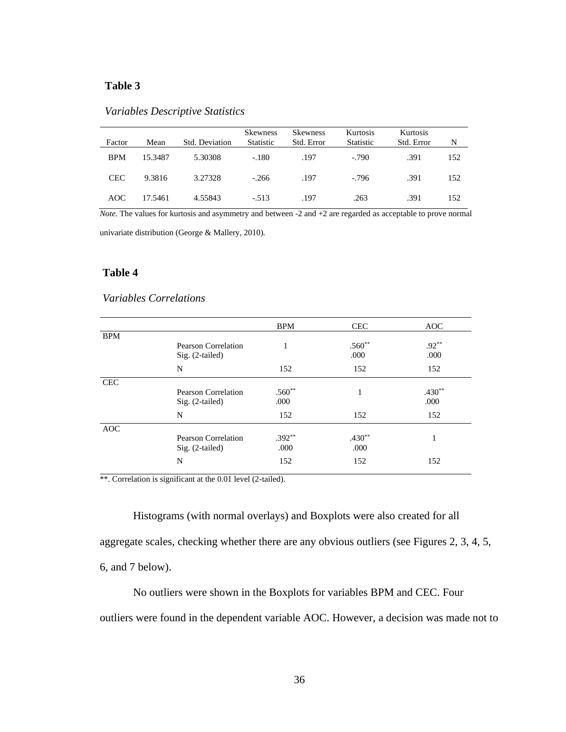### **Table 3**

| Factor     | Mean    | Std. Deviation | <b>Skewness</b><br>Statistic | <b>Skewness</b><br>Std. Error | Kurtosis<br>Statistic | Kurtosis<br>Std. Error | N   |
|------------|---------|----------------|------------------------------|-------------------------------|-----------------------|------------------------|-----|
| <b>BPM</b> | 15.3487 | 5.30308        | $-.180$                      | .197                          | $-790$                | .391                   | 152 |
| <b>CEC</b> | 9.3816  | 3.27328        | $-266$                       | .197                          | $-796$                | .391                   | 152 |
| AOC        | 17.5461 | 4.55843        | $-.513$                      | .197                          | .263                  | .391                   | 152 |

### *Variables Descriptive Statistics*

*Note.* The values for kurtosis and asymmetry and between -2 and +2 are regarded as acceptable to prove normal

univariate distribution (George & Mallery, 2010).

### **Table 4**

### *Variables Correlations*

|            |                                          | <b>BPM</b> | <b>CEC</b>       | <b>AOC</b>       |
|------------|------------------------------------------|------------|------------------|------------------|
| <b>BPM</b> |                                          |            |                  |                  |
|            | Pearson Correlation<br>$Sig. (2-tailed)$ |            | $.560**$<br>.000 | $.92***$<br>.000 |
|            | N                                        | 152        | 152              | 152              |
| <b>CEC</b> |                                          |            |                  |                  |
|            | Pearson Correlation                      | $.560**$   | 1                | $.430**$         |
|            | $Sig. (2-tailed)$                        | .000       |                  | .000             |
|            | N                                        | 152        | 152              | 152              |
| <b>AOC</b> |                                          |            |                  |                  |
|            | Pearson Correlation                      | $.392**$   | $.430**$         |                  |
|            | $Sig. (2-tailed)$                        | .000       | .000             |                  |
|            | N                                        | 152        | 152              | 152              |

\*\*. Correlation is significant at the 0.01 level (2-tailed).

Histograms (with normal overlays) and Boxplots were also created for all aggregate scales, checking whether there are any obvious outliers (see Figures 2, 3, 4, 5, 6, and 7 below).

No outliers were shown in the Boxplots for variables BPM and CEC. Four outliers were found in the dependent variable AOC. However, a decision was made not to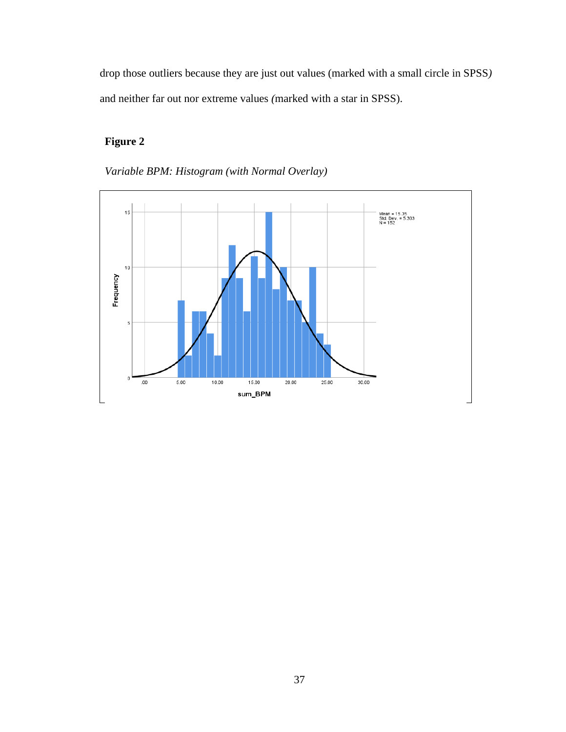drop those outliers because they are just out values (marked with a small circle in SPSS*)*  and neither far out nor extreme values *(*marked with a star in SPSS).

## **Figure 2**



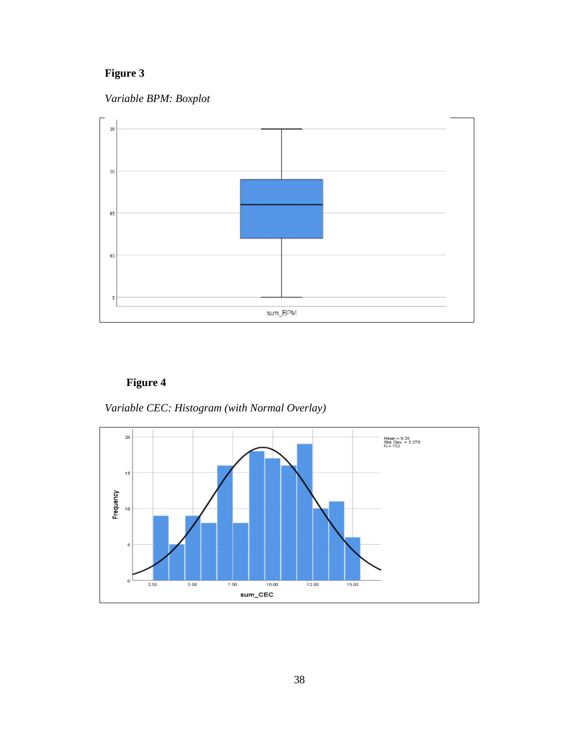*Variable BPM: Boxplot* 



**Figure 4**

*Variable CEC: Histogram (with Normal Overlay)*

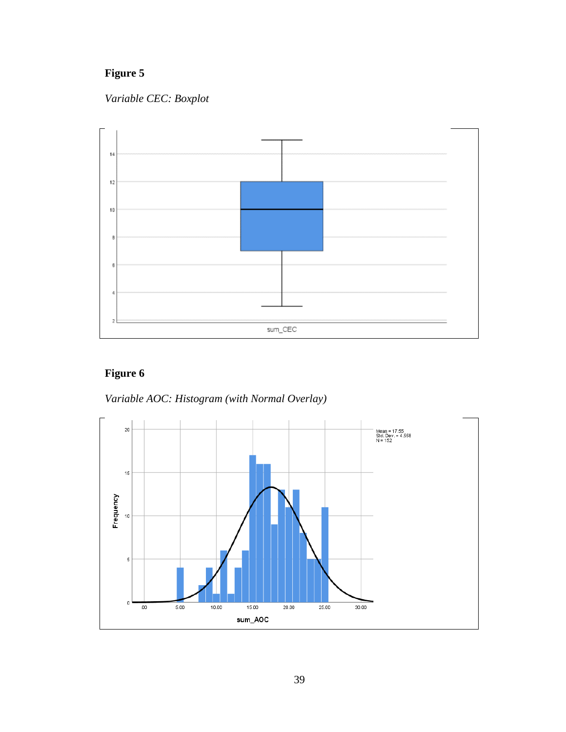*Variable CEC: Boxplot*



# **Figure 6**

*Variable AOC: Histogram (with Normal Overlay)*

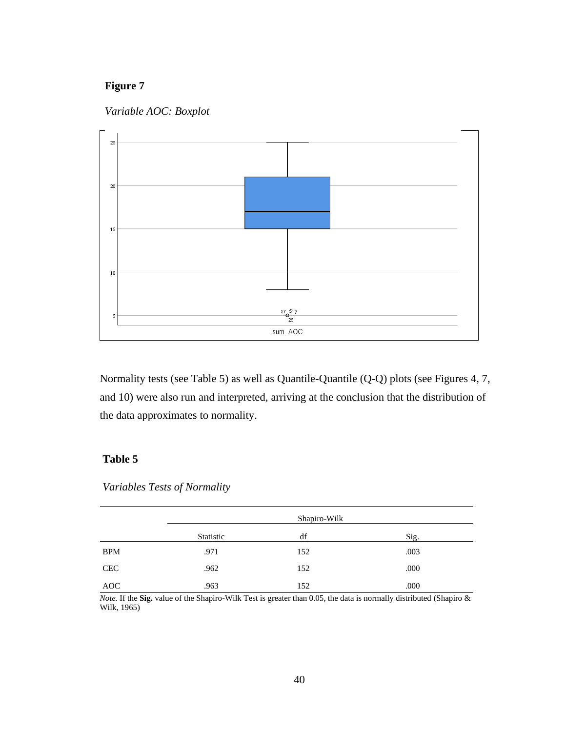



Normality tests (see Table 5) as well as Quantile-Quantile (Q-Q) plots (see Figures 4, 7, and 10) were also run and interpreted, arriving at the conclusion that the distribution of the data approximates to normality.

## **Table 5**

*Variables Tests of Normality*

|            |           | Shapiro-Wilk |      |
|------------|-----------|--------------|------|
|            | Statistic | df           | Sig. |
| <b>BPM</b> | .971      | 152          | .003 |
| <b>CEC</b> | .962      | 152          | .000 |
| AOC        | .963      | 152          | .000 |

*Note.* If the **Sig.** value of the Shapiro-Wilk Test is greater than 0.05, the data is normally distributed (Shapiro & Wilk, 1965)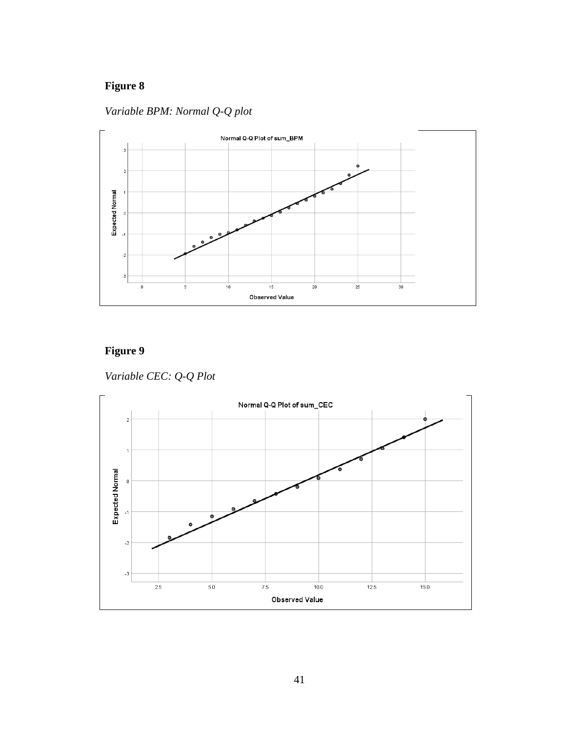*Variable BPM: Normal Q-Q plot*



# **Figure 9**

*Variable CEC: Q-Q Plot*

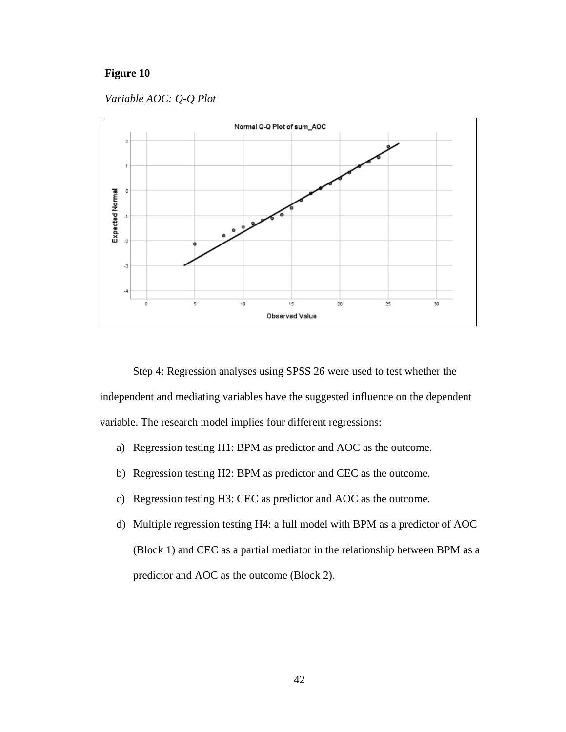*Variable AOC: Q-Q Plot*



Step 4: Regression analyses using SPSS 26 were used to test whether the independent and mediating variables have the suggested influence on the dependent variable. The research model implies four different regressions:

- a) Regression testing H1: BPM as predictor and AOC as the outcome.
- b) Regression testing H2: BPM as predictor and CEC as the outcome.
- c) Regression testing H3: CEC as predictor and AOC as the outcome.
- d) Multiple regression testing H4: a full model with BPM as a predictor of AOC (Block 1) and CEC as a partial mediator in the relationship between BPM as a predictor and AOC as the outcome (Block 2).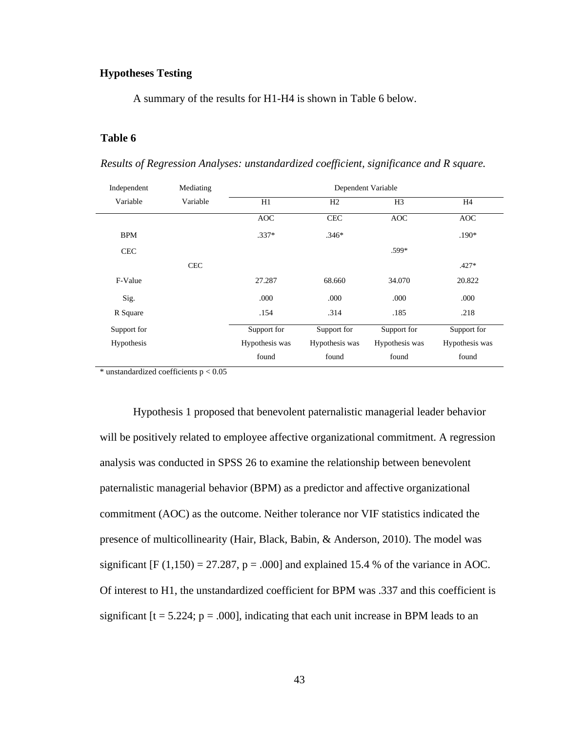## **Hypotheses Testing**

A summary of the results for H1-H4 is shown in Table 6 below.

### **Table 6**

*Results of Regression Analyses: unstandardized coefficient, significance and R square.*

| Independent | Mediating  | Dependent Variable |                |                |                |  |
|-------------|------------|--------------------|----------------|----------------|----------------|--|
| Variable    | Variable   | H1                 | H2             | H <sub>3</sub> | H <sub>4</sub> |  |
|             |            | <b>AOC</b>         | <b>CEC</b>     | <b>AOC</b>     | <b>AOC</b>     |  |
| <b>BPM</b>  |            | $.337*$            | $.346*$        |                | $.190*$        |  |
| <b>CEC</b>  |            |                    |                | $.599*$        |                |  |
|             | <b>CEC</b> |                    |                |                | $.427*$        |  |
| F-Value     |            | 27.287             | 68.660         | 34.070         | 20.822         |  |
| Sig.        |            | .000               | .000           | .000           | .000           |  |
| R Square    |            | .154               | .314           | .185           | .218           |  |
| Support for |            | Support for        | Support for    | Support for    | Support for    |  |
| Hypothesis  |            | Hypothesis was     | Hypothesis was | Hypothesis was | Hypothesis was |  |
|             |            | found              | found          | found          | found          |  |

 $*$  unstandardized coefficients  $p < 0.05$ 

Hypothesis 1 proposed that benevolent paternalistic managerial leader behavior will be positively related to employee affective organizational commitment. A regression analysis was conducted in SPSS 26 to examine the relationship between benevolent paternalistic managerial behavior (BPM) as a predictor and affective organizational commitment (AOC) as the outcome. Neither tolerance nor VIF statistics indicated the presence of multicollinearity (Hair, Black, Babin, & Anderson, 2010). The model was significant  $[F (1,150) = 27.287, p = .000]$  and explained 15.4 % of the variance in AOC. Of interest to H1, the unstandardized coefficient for BPM was .337 and this coefficient is significant  $[t = 5.224; p = .000]$ , indicating that each unit increase in BPM leads to an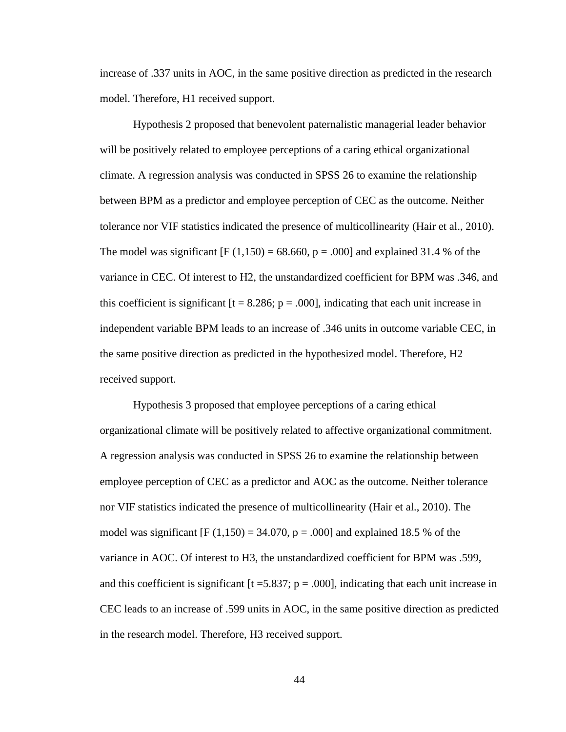increase of .337 units in AOC, in the same positive direction as predicted in the research model. Therefore, H1 received support.

Hypothesis 2 proposed that benevolent paternalistic managerial leader behavior will be positively related to employee perceptions of a caring ethical organizational climate. A regression analysis was conducted in SPSS 26 to examine the relationship between BPM as a predictor and employee perception of CEC as the outcome. Neither tolerance nor VIF statistics indicated the presence of multicollinearity (Hair et al., 2010). The model was significant [F  $(1,150) = 68.660$ , p = .000] and explained 31.4 % of the variance in CEC. Of interest to H2, the unstandardized coefficient for BPM was .346, and this coefficient is significant  $[t = 8.286; p = .000]$ , indicating that each unit increase in independent variable BPM leads to an increase of .346 units in outcome variable CEC, in the same positive direction as predicted in the hypothesized model. Therefore, H2 received support.

Hypothesis 3 proposed that employee perceptions of a caring ethical organizational climate will be positively related to affective organizational commitment. A regression analysis was conducted in SPSS 26 to examine the relationship between employee perception of CEC as a predictor and AOC as the outcome. Neither tolerance nor VIF statistics indicated the presence of multicollinearity (Hair et al., 2010). The model was significant [F  $(1,150) = 34.070$ , p = .000] and explained 18.5 % of the variance in AOC. Of interest to H3, the unstandardized coefficient for BPM was .599, and this coefficient is significant [ $t = 5.837$ ;  $p = .000$ ], indicating that each unit increase in CEC leads to an increase of .599 units in AOC, in the same positive direction as predicted in the research model. Therefore, H3 received support.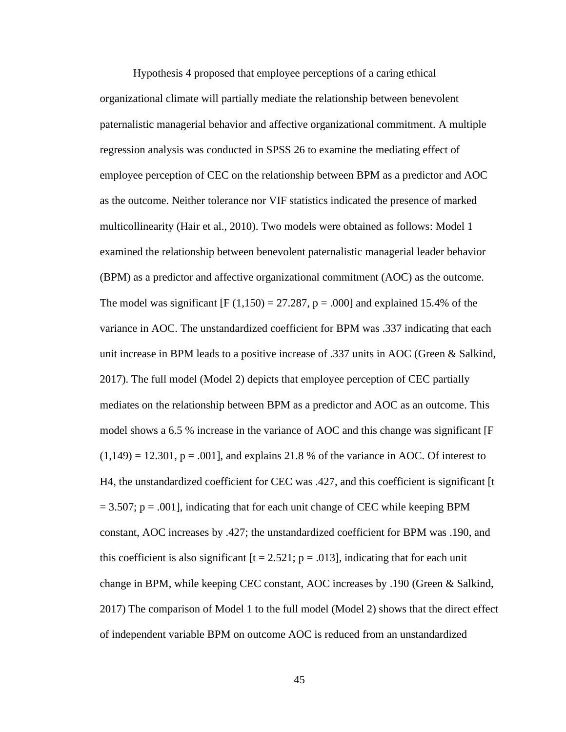Hypothesis 4 proposed that employee perceptions of a caring ethical organizational climate will partially mediate the relationship between benevolent paternalistic managerial behavior and affective organizational commitment. A multiple regression analysis was conducted in SPSS 26 to examine the mediating effect of employee perception of CEC on the relationship between BPM as a predictor and AOC as the outcome. Neither tolerance nor VIF statistics indicated the presence of marked multicollinearity (Hair et al., 2010). Two models were obtained as follows: Model 1 examined the relationship between benevolent paternalistic managerial leader behavior (BPM) as a predictor and affective organizational commitment (AOC) as the outcome. The model was significant  $[F(1,150) = 27.287, p = .000]$  and explained 15.4% of the variance in AOC. The unstandardized coefficient for BPM was .337 indicating that each unit increase in BPM leads to a positive increase of .337 units in AOC (Green & Salkind, 2017). The full model (Model 2) depicts that employee perception of CEC partially mediates on the relationship between BPM as a predictor and AOC as an outcome. This model shows a 6.5 % increase in the variance of AOC and this change was significant [F  $(1,149) = 12.301$ ,  $p = .001$ , and explains 21.8 % of the variance in AOC. Of interest to H4, the unstandardized coefficient for CEC was .427, and this coefficient is significant [t  $= 3.507$ ; p = .001], indicating that for each unit change of CEC while keeping BPM constant, AOC increases by .427; the unstandardized coefficient for BPM was .190, and this coefficient is also significant  $[t = 2.521; p = .013]$ , indicating that for each unit change in BPM, while keeping CEC constant, AOC increases by .190 (Green & Salkind, 2017) The comparison of Model 1 to the full model (Model 2) shows that the direct effect of independent variable BPM on outcome AOC is reduced from an unstandardized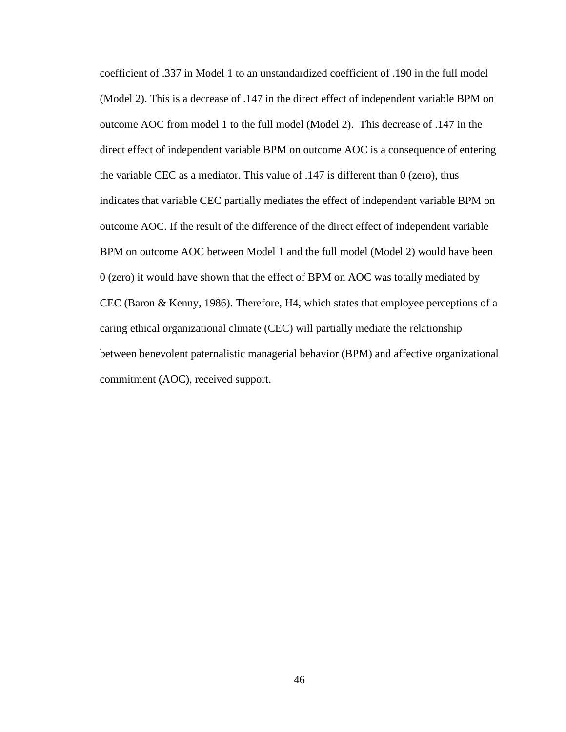coefficient of .337 in Model 1 to an unstandardized coefficient of .190 in the full model (Model 2). This is a decrease of .147 in the direct effect of independent variable BPM on outcome AOC from model 1 to the full model (Model 2). This decrease of .147 in the direct effect of independent variable BPM on outcome AOC is a consequence of entering the variable CEC as a mediator. This value of .147 is different than 0 (zero), thus indicates that variable CEC partially mediates the effect of independent variable BPM on outcome AOC. If the result of the difference of the direct effect of independent variable BPM on outcome AOC between Model 1 and the full model (Model 2) would have been 0 (zero) it would have shown that the effect of BPM on AOC was totally mediated by CEC (Baron & Kenny, 1986). Therefore, H4, which states that employee perceptions of a caring ethical organizational climate (CEC) will partially mediate the relationship between benevolent paternalistic managerial behavior (BPM) and affective organizational commitment (AOC), received support.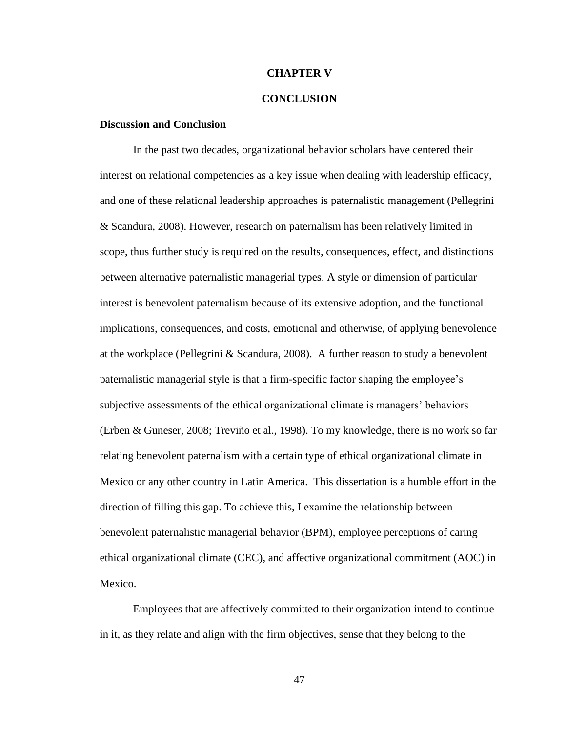### **CHAPTER V**

### **CONCLUSION**

### **Discussion and Conclusion**

In the past two decades, organizational behavior scholars have centered their interest on relational competencies as a key issue when dealing with leadership efficacy, and one of these relational leadership approaches is paternalistic management (Pellegrini & Scandura, 2008). However, research on paternalism has been relatively limited in scope, thus further study is required on the results, consequences, effect, and distinctions between alternative paternalistic managerial types. A style or dimension of particular interest is benevolent paternalism because of its extensive adoption, and the functional implications, consequences, and costs, emotional and otherwise, of applying benevolence at the workplace (Pellegrini & Scandura, 2008). A further reason to study a benevolent paternalistic managerial style is that a firm-specific factor shaping the employee's subjective assessments of the ethical organizational climate is managers' behaviors (Erben & Guneser, 2008; [Treviño](about:blank) et al., 1998). To my knowledge, there is no work so far relating benevolent paternalism with a certain type of ethical organizational climate in Mexico or any other country in Latin America. This dissertation is a humble effort in the direction of filling this gap. To achieve this, I examine the relationship between benevolent paternalistic managerial behavior (BPM), employee perceptions of caring ethical organizational climate (CEC), and affective organizational commitment (AOC) in Mexico.

Employees that are affectively committed to their organization intend to continue in it, as they relate and align with the firm objectives, sense that they belong to the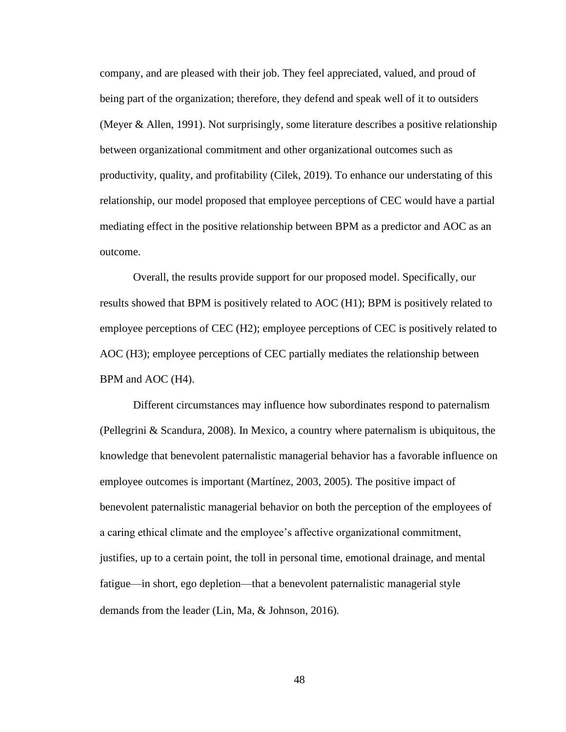company, and are pleased with their job. They feel appreciated, valued, and proud of being part of the organization; therefore, they defend and speak well of it to outsiders (Meyer & Allen, 1991). Not surprisingly, some literature describes a positive relationship between organizational commitment and other organizational outcomes such as productivity, quality, and profitability (Cilek, 2019). To enhance our understating of this relationship, our model proposed that employee perceptions of CEC would have a partial mediating effect in the positive relationship between BPM as a predictor and AOC as an outcome.

Overall, the results provide support for our proposed model. Specifically, our results showed that BPM is positively related to AOC (H1); BPM is positively related to employee perceptions of CEC (H2); employee perceptions of CEC is positively related to AOC (H3); employee perceptions of CEC partially mediates the relationship between BPM and AOC (H4).

Different circumstances may influence how subordinates respond to paternalism (Pellegrini & Scandura, 2008). In Mexico, a country where paternalism is ubiquitous, the knowledge that benevolent paternalistic managerial behavior has a favorable influence on employee outcomes is important (Martínez, 2003, 2005). The positive impact of benevolent paternalistic managerial behavior on both the perception of the employees of a caring ethical climate and the employee's affective organizational commitment, justifies, up to a certain point, the toll in personal time, emotional drainage, and mental fatigue—in short, ego depletion—that a benevolent paternalistic managerial style demands from the leader (Lin, Ma, & Johnson, 2016).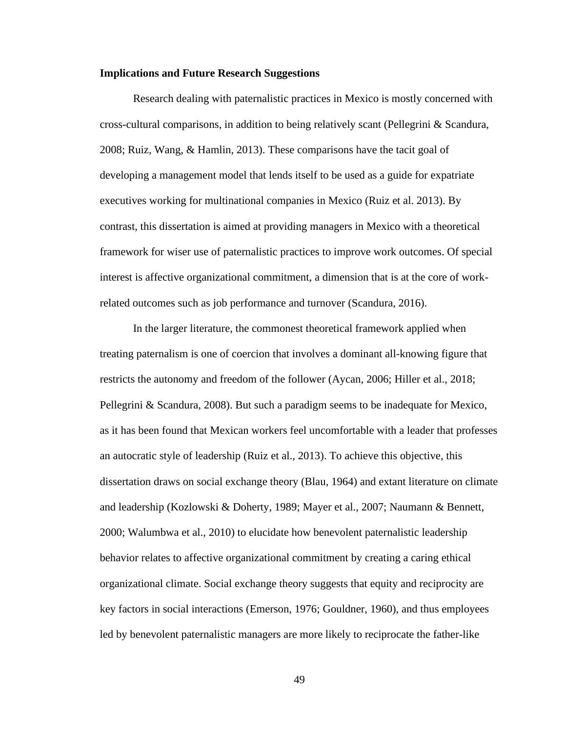#### **Implications and Future Research Suggestions**

Research dealing with paternalistic practices in Mexico is mostly concerned with cross-cultural comparisons, in addition to being relatively scant (Pellegrini & Scandura, 2008; Ruiz, Wang, & Hamlin, 2013). These comparisons have the tacit goal of developing a management model that lends itself to be used as a guide for expatriate executives working for multinational companies in Mexico (Ruiz et al. 2013). By contrast, this dissertation is aimed at providing managers in Mexico with a theoretical framework for wiser use of paternalistic practices to improve work outcomes. Of special interest is affective organizational commitment, a dimension that is at the core of workrelated outcomes such as job performance and turnover (Scandura, 2016).

In the larger literature, the commonest theoretical framework applied when treating paternalism is one of coercion that involves a dominant all-knowing figure that restricts the autonomy and freedom of the follower (Aycan, 2006; Hiller et al., 2018; Pellegrini & Scandura, 2008). But such a paradigm seems to be inadequate for Mexico, as it has been found that Mexican workers feel uncomfortable with a leader that professes an autocratic style of leadership (Ruiz et al., 2013). To achieve this objective, this dissertation draws on social exchange theory (Blau, 1964) and extant literature on climate and leadership (Kozlowski & Doherty, 1989; Mayer et al., 2007; Naumann & Bennett, 2000; Walumbwa et al., 2010) to elucidate how benevolent paternalistic leadership behavior relates to affective organizational commitment by creating a caring ethical organizational climate. Social exchange theory suggests that equity and reciprocity are key factors in social interactions (Emerson, 1976; Gouldner, 1960), and thus employees led by benevolent paternalistic managers are more likely to reciprocate the father-like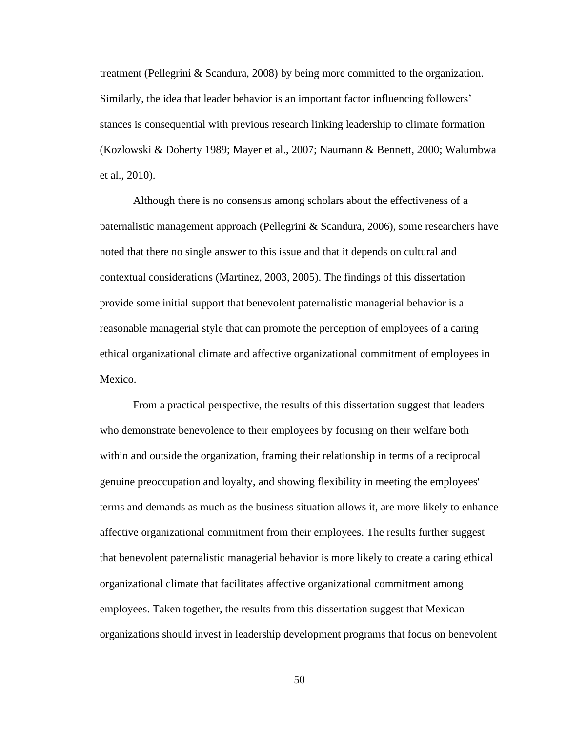treatment (Pellegrini & Scandura, 2008) by being more committed to the organization. Similarly, the idea that leader behavior is an important factor influencing followers' stances is consequential with previous research linking leadership to climate formation (Kozlowski & Doherty 1989; Mayer et al., 2007; Naumann & Bennett, 2000; Walumbwa et al., 2010).

Although there is no consensus among scholars about the effectiveness of a paternalistic management approach (Pellegrini & Scandura, 2006), some researchers have noted that there no single answer to this issue and that it depends on cultural and contextual considerations (Martínez, 2003, 2005). The findings of this dissertation provide some initial support that benevolent paternalistic managerial behavior is a reasonable managerial style that can promote the perception of employees of a caring ethical organizational climate and affective organizational commitment of employees in Mexico.

From a practical perspective, the results of this dissertation suggest that leaders who demonstrate benevolence to their employees by focusing on their welfare both within and outside the organization, framing their relationship in terms of a reciprocal genuine preoccupation and loyalty, and showing flexibility in meeting the employees' terms and demands as much as the business situation allows it, are more likely to enhance affective organizational commitment from their employees. The results further suggest that benevolent paternalistic managerial behavior is more likely to create a caring ethical organizational climate that facilitates affective organizational commitment among employees. Taken together, the results from this dissertation suggest that Mexican organizations should invest in leadership development programs that focus on benevolent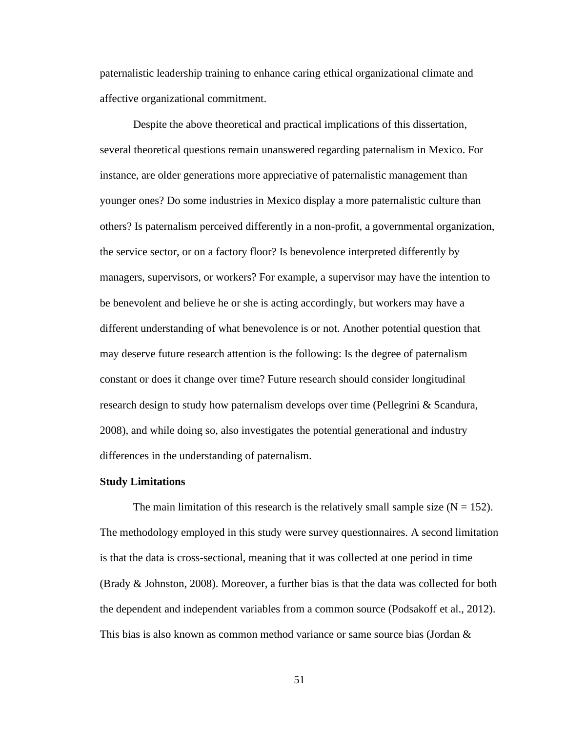paternalistic leadership training to enhance caring ethical organizational climate and affective organizational commitment.

Despite the above theoretical and practical implications of this dissertation, several theoretical questions remain unanswered regarding paternalism in Mexico. For instance, are older generations more appreciative of paternalistic management than younger ones? Do some industries in Mexico display a more paternalistic culture than others? Is paternalism perceived differently in a non-profit, a governmental organization, the service sector, or on a factory floor? Is benevolence interpreted differently by managers, supervisors, or workers? For example, a supervisor may have the intention to be benevolent and believe he or she is acting accordingly, but workers may have a different understanding of what benevolence is or not. Another potential question that may deserve future research attention is the following: Is the degree of paternalism constant or does it change over time? Future research should consider longitudinal research design to study how paternalism develops over time (Pellegrini & Scandura, 2008), and while doing so, also investigates the potential generational and industry differences in the understanding of paternalism.

#### **Study Limitations**

The main limitation of this research is the relatively small sample size  $(N = 152)$ . The methodology employed in this study were survey questionnaires. A second limitation is that the data is cross-sectional, meaning that it was collected at one period in time (Brady & Johnston, 2008). Moreover, a further bias is that the data was collected for both the dependent and independent variables from a common source (Podsakoff et al., 2012). This bias is also known as common method variance or same source bias (Jordan &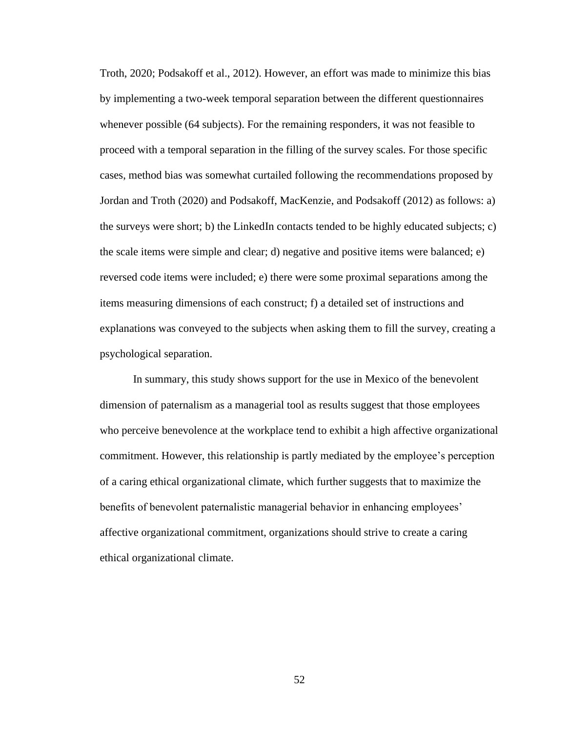Troth, 2020; Podsakoff et al., 2012). However, an effort was made to minimize this bias by implementing a two-week temporal separation between the different questionnaires whenever possible (64 subjects). For the remaining responders, it was not feasible to proceed with a temporal separation in the filling of the survey scales. For those specific cases, method bias was somewhat curtailed following the recommendations proposed by Jordan and Troth (2020) and Podsakoff, MacKenzie, and Podsakoff (2012) as follows: a) the surveys were short; b) the LinkedIn contacts tended to be highly educated subjects; c) the scale items were simple and clear; d) negative and positive items were balanced; e) reversed code items were included; e) there were some proximal separations among the items measuring dimensions of each construct; f) a detailed set of instructions and explanations was conveyed to the subjects when asking them to fill the survey, creating a psychological separation.

In summary, this study shows support for the use in Mexico of the benevolent dimension of paternalism as a managerial tool as results suggest that those employees who perceive benevolence at the workplace tend to exhibit a high affective organizational commitment. However, this relationship is partly mediated by the employee's perception of a caring ethical organizational climate, which further suggests that to maximize the benefits of benevolent paternalistic managerial behavior in enhancing employees' affective organizational commitment, organizations should strive to create a caring ethical organizational climate.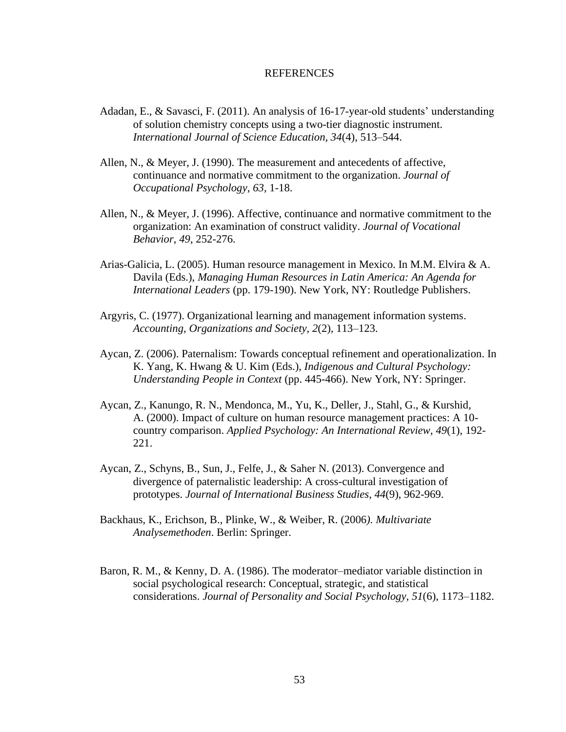### REFERENCES

- Adadan, E., & Savasci, F. (2011). An analysis of 16-17-year-old students' understanding of solution chemistry concepts using a two-tier diagnostic instrument. *International Journal of Science Education, 34*(4), 513–544.
- Allen, N., & Meyer, J. (1990). The measurement and antecedents of affective, continuance and normative commitment to the organization. *Journal of Occupational Psychology*, *63*, 1-18.
- Allen, N., & Meyer, J. (1996). Affective, continuance and normative commitment to the organization: An examination of construct validity. *Journal of Vocational Behavior*, *49*, 252-276.
- Arias-Galicia, L. (2005). Human resource management in Mexico. In M.M. Elvira & A. Davila (Eds.), *Managing Human Resources in Latin America: An Agenda for International Leaders* (pp. 179-190). New York, NY: Routledge Publishers.
- Argyris, C. (1977). Organizational learning and management information systems. *Accounting, Organizations and Society*, *2*(2), 113–123.
- Aycan, Z. (2006). Paternalism: Towards conceptual refinement and operationalization. In K. Yang, K. Hwang & U. Kim (Eds.), *Indigenous and Cultural Psychology: Understanding People in Context* (pp. 445-466). New York, NY: Springer.
- Aycan, Z., Kanungo, R. N., Mendonca, M., Yu, K., Deller, J., Stahl, G., & Kurshid, A. (2000). Impact of culture on human resource management practices: A 10 country comparison. *Applied Psychology: An International Review*, *49*(1), 192- 221.
- Aycan, Z., Schyns, B., Sun, J., Felfe, J., & Saher N. (2013). Convergence and divergence of paternalistic leadership: A cross-cultural investigation of prototypes. *Journal of International Business Studies*, *44*(9), 962-969.
- Backhaus, K., Erichson, B., Plinke, W., & Weiber, R. (2006*). Multivariate Analysemethoden*. Berlin: Springer.
- Baron, R. M., & Kenny, D. A. (1986). The moderator–mediator variable distinction in social psychological research: Conceptual, strategic, and statistical considerations. *Journal of Personality and Social Psychology, 51*(6), 1173–1182.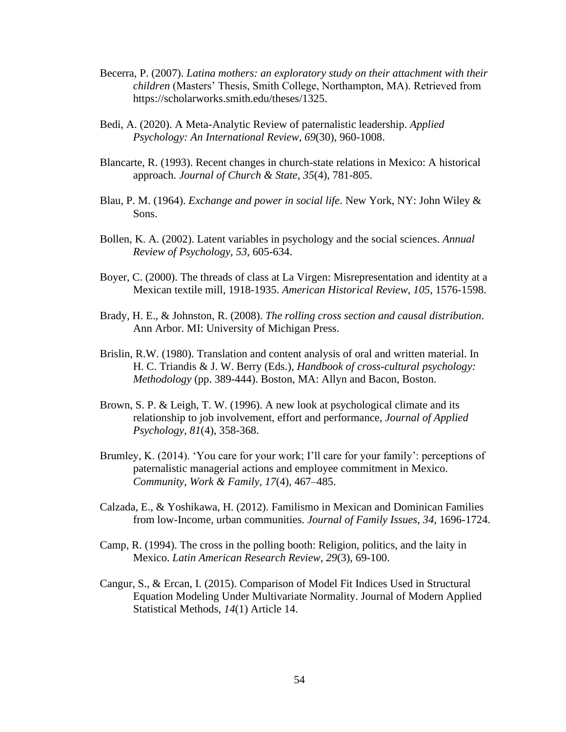- Becerra, P. (2007). *Latina mothers: an exploratory study on their attachment with their children* (Masters' Thesis, Smith College, Northampton, MA). Retrieved from [https://scholarworks.smith.edu/theses/1325.](https://scholarworks.smith.edu/theses/1325)
- Bedi, A. (2020). A Meta-Analytic Review of paternalistic leadership. *Applied Psychology: An International Review*, *69*(30), 960-1008.
- Blancarte, R. (1993). Recent changes in church-state relations in Mexico: A historical approach. *Journal of Church & State*, *35*(4), 781-805.
- Blau, P. M. (1964). *Exchange and power in social life*. New York, NY: John Wiley & Sons.
- Bollen, K. A. (2002). Latent variables in psychology and the social sciences. *Annual Review of Psychology*, *53*, 605-634.
- Boyer, C. (2000). The threads of class at La Virgen: Misrepresentation and identity at a Mexican textile mill, 1918-1935. *American Historical Review*, *105*, 1576-1598.
- Brady, H. E., & Johnston, R. (2008). *The rolling cross section and causal distribution*. Ann Arbor. MI: University of Michigan Press.
- Brislin, R.W. (1980). Translation and content analysis of oral and written material. In H. C. Triandis & J. W. Berry (Eds.), *Handbook of cross-cultural psychology: Methodology* (pp. 389-444). Boston, MA: Allyn and Bacon, Boston.
- Brown, S. P. & Leigh, T. W. (1996). A new look at psychological climate and its relationship to job involvement, effort and performance, *Journal of Applied Psychology*, *81*(4), 358-368.
- Brumley, K. (2014). 'You care for your work; I'll care for your family': perceptions of paternalistic managerial actions and employee commitment in Mexico. *Community, Work & Family*, *17*(4), 467–485.
- Calzada, E., & Yoshikawa, H. (2012). Familismo in Mexican and Dominican Families from low-Income, urban communities. *Journal of Family Issues*, *34*, 1696-1724.
- Camp, R. (1994). The cross in the polling booth: Religion, politics, and the laity in Mexico. *Latin American Research Review*, *29*(3), 69-100.
- Cangur, S., & Ercan, I. (2015). Comparison of Model Fit Indices Used in Structural Equation Modeling Under Multivariate Normality. Journal of Modern Applied Statistical Methods, *14*(1) Article 14.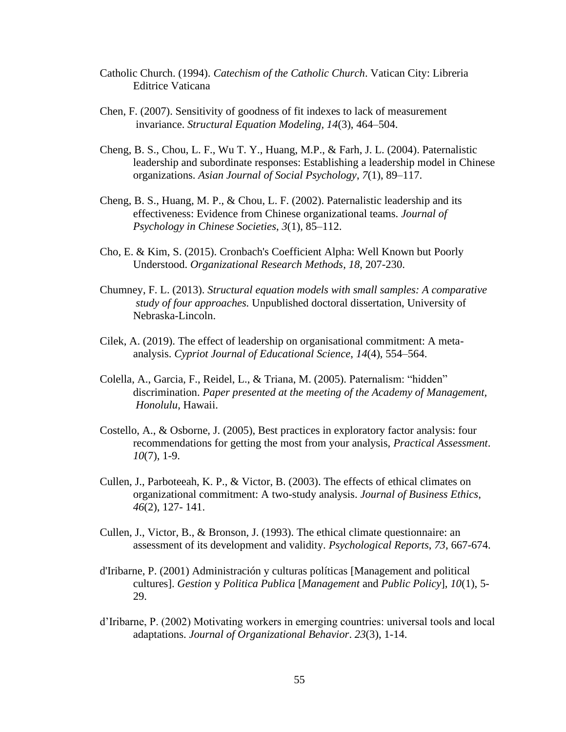- Catholic Church. (1994). *Catechism of the Catholic Church*. Vatican City: Libreria Editrice Vaticana
- Chen, F. (2007). Sensitivity of goodness of fit indexes to lack of measurement invariance. *Structural Equation Modeling, 14*(3), 464–504.
- Cheng, B. S., Chou, L. F., Wu T. Y., Huang, M.P., & Farh, J. L. (2004). Paternalistic leadership and subordinate responses: Establishing a leadership model in Chinese organizations. *Asian Journal of Social Psychology*, *7*(1), 89–117.
- Cheng, B. S., Huang, M. P., & Chou, L. F. (2002). Paternalistic leadership and its effectiveness: Evidence from Chinese organizational teams*. Journal of Psychology in Chinese Societies*, *3*(1), 85–112.
- Cho, E. & Kim, S. (2015). Cronbach's Coefficient Alpha: Well Known but Poorly Understood. *Organizational Research Methods*, *18*, 207-230.
- Chumney, F. L. (2013). *Structural equation models with small samples: A comparative study of four approaches.* Unpublished doctoral dissertation, University of Nebraska-Lincoln.
- Cilek, A. (2019). The effect of leadership on organisational commitment: A metaanalysis. *Cypriot Journal of Educational Science*, *14*(4), 554–564.
- Colella, A., Garcia, F., Reidel, L., & Triana, M. (2005). Paternalism: "hidden" discrimination. *Paper presented at the meeting of the Academy of Management, Honolulu*, Hawaii.
- Costello, A., & Osborne, J. (2005), Best practices in exploratory factor analysis: four recommendations for getting the most from your analysis, *Practical Assessment*. *10*(7), 1-9.
- Cullen, J., Parboteeah, K. P., & Victor, B. (2003). The effects of ethical climates on organizational commitment: A two-study analysis. *Journal of Business Ethics*, *46*(2), 127- 141.
- Cullen, J., Victor, B., & Bronson, J. (1993). The ethical climate questionnaire: an assessment of its development and validity. *Psychological Reports*, *73*, 667-674.
- d'Iribarne, P. (2001) Administración y culturas políticas [Management and political cultures]. *Gestion* y *Politica Publica* [*Management* and *Public Policy*], *10*(1), 5- 29.
- d'Iribarne, P. (2002) Motivating workers in emerging countries: universal tools and local adaptations. *Journal of Organizational Behavior*. *23*(3), 1-14.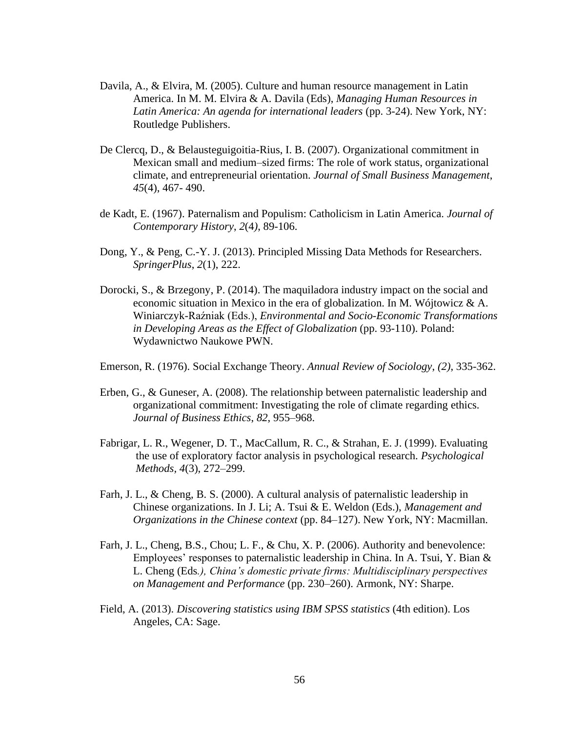- Davila, A., & Elvira, M. (2005). Culture and human resource management in Latin America. In M. M. Elvira & A. Davila (Eds), *Managing Human Resources in Latin America: An agenda for international leaders* (pp. 3-24). New York, NY: Routledge Publishers.
- De Clercq, D., & Belausteguigoitia-Rius, I. B. (2007). Organizational commitment in Mexican small and medium–sized firms: The role of work status, organizational climate, and entrepreneurial orientation. *Journal of Small Business Management*, *45*(4), 467- 490.
- de Kadt, E. (1967). Paternalism and Populism: Catholicism in Latin America. *Journal of Contemporary History*, *2*(4*)*, 89-106.
- Dong, Y., & Peng, C.-Y. J. (2013). Principled Missing Data Methods for Researchers. *SpringerPlus*, *2*(1), 222.
- Dorocki, S., & Brzegony, P. (2014). The maquiladora industry impact on the social and economic situation in Mexico in the era of globalization. In M. Wójtowicz & A. Winiarczyk-Raźniak (Eds.), *Environmental and Socio-Economic Transformations in Developing Areas as the Effect of Globalization* (pp. 93-110). Poland: Wydawnictwo Naukowe PWN.

Emerson, R. (1976). Social Exchange Theory. *Annual Review of Sociology*, *(2)*, 335-362.

- Erben, G., & Guneser, A. (2008). The relationship between paternalistic leadership and organizational commitment: Investigating the role of climate regarding ethics. *Journal of Business Ethics*, *82*, 955–968.
- Fabrigar, L. R., Wegener, D. T., MacCallum, R. C., & Strahan, E. J. (1999). Evaluating the use of exploratory factor analysis in psychological research. *Psychological Methods, 4*(3), 272–299.
- Farh, J. L., & Cheng, B. S. (2000). A cultural analysis of paternalistic leadership in Chinese organizations. In J. Li; A. Tsui & E. Weldon (Eds.), *Management and Organizations in the Chinese context* (pp. 84–127). New York, NY: Macmillan.
- Farh, J. L., Cheng, B.S., Chou; L. F., & Chu, X. P. (2006). Authority and benevolence: Employees' responses to paternalistic leadership in China. In A. Tsui, Y. Bian & L. Cheng (Eds*.), China's domestic private firms: Multidisciplinary perspectives on Management and Performance* (pp. 230–260). Armonk, NY: Sharpe.
- Field, A. (2013). *Discovering statistics using IBM SPSS statistics* (4th edition). Los Angeles, CA: Sage.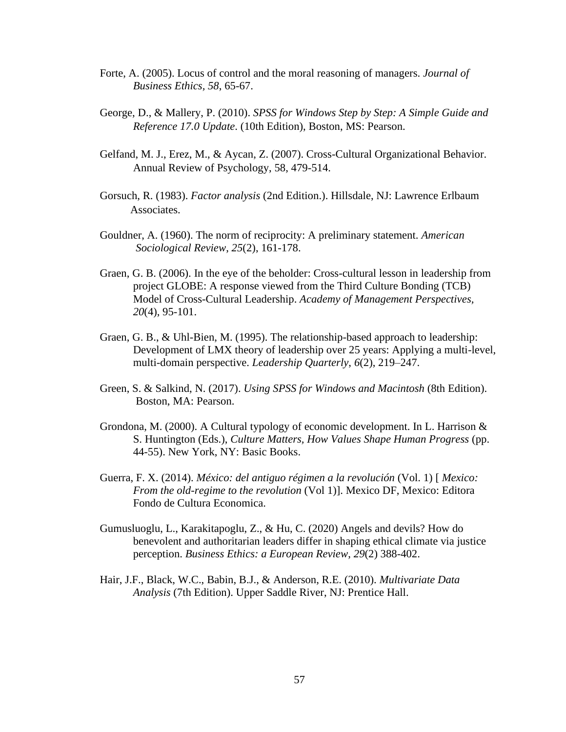- Forte, A. (2005). Locus of control and the moral reasoning of managers. *Journal of Business Ethics, 58*, 65-67.
- George, D., & Mallery, P. (2010). *SPSS for Windows Step by Step: A Simple Guide and Reference 17.0 Update*. (10th Edition), Boston, MS: Pearson.
- Gelfand, M. J., Erez, M., & Aycan, Z. (2007). Cross-Cultural Organizational Behavior. Annual Review of Psychology, 58, 479-514.
- Gorsuch, R. (1983). *Factor analysis* (2nd Edition.). Hillsdale, NJ: Lawrence Erlbaum Associates.
- Gouldner, A. (1960). The norm of reciprocity: A preliminary statement. *American Sociological Review*, *25*(2), 161-178.
- Graen, G. B. (2006). In the eye of the beholder: Cross-cultural lesson in leadership from project GLOBE: A response viewed from the Third Culture Bonding (TCB) Model of Cross-Cultural Leadership. *Academy of Management Perspectives, 20*(4), 95-101.
- Graen, G. B., & Uhl-Bien, M. (1995). The relationship-based approach to leadership: Development of LMX theory of leadership over 25 years: Applying a multi-level, multi-domain perspective. *Leadership Quarterly*, *6*(2), 219–247.
- Green, S. & Salkind, N. (2017). *Using SPSS for Windows and Macintosh* (8th Edition). Boston, MA: Pearson.
- Grondona, M. (2000). A Cultural typology of economic development. In L. Harrison & S. Huntington (Eds.), *Culture Matters, How Values Shape Human Progress* (pp. 44-55). New York, NY: Basic Books.
- Guerra, F. X. (2014). *México: del antiguo régimen a la revolución* (Vol. 1) [ *Mexico: From the old-regime to the revolution* (Vol 1)]. Mexico DF, Mexico: Editora Fondo de Cultura Economica.
- Gumusluoglu, L., Karakitapoglu, Z., & Hu, C. (2020) Angels and devils? How do benevolent and authoritarian leaders differ in shaping ethical climate via justice perception. *Business Ethics: a European Review*, *29*(2) 388-402.
- Hair, J.F., Black, W.C., Babin, B.J., & Anderson, R.E. (2010). *Multivariate Data Analysis* (7th Edition). Upper Saddle River, NJ: Prentice Hall.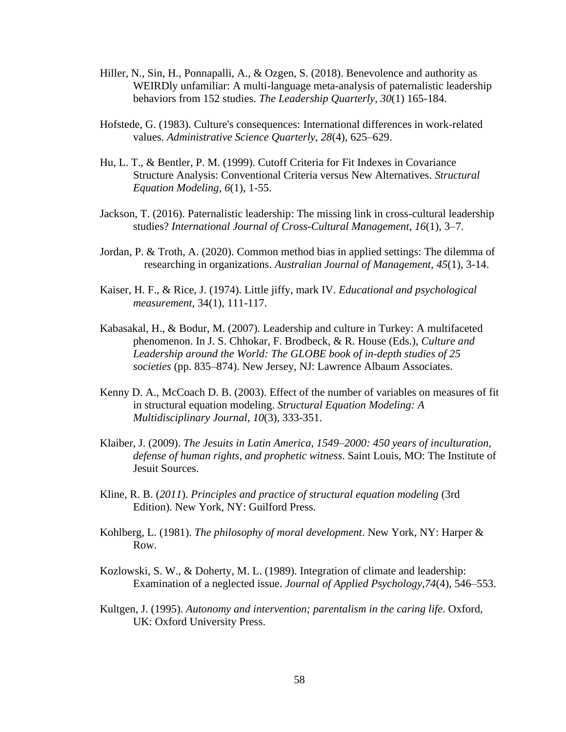- Hiller, N., Sin, H., Ponnapalli, A., & Ozgen, S. (2018). Benevolence and authority as WEIRDly unfamiliar: A multi-language meta-analysis of paternalistic leadership behaviors from 152 studies. *The Leadership Quarterly*, *30*(1) 165-184.
- Hofstede, G. (1983). Culture's consequences: International differences in work-related values. *Administrative Science Quarterly*, *28*(4), 625–629.
- Hu, L. T., & Bentler, P. M. (1999). Cutoff Criteria for Fit Indexes in Covariance Structure Analysis: Conventional Criteria versus New Alternatives. *Structural Equation Modeling*, *6*(1), 1-55.
- Jackson, T. (2016). Paternalistic leadership: The missing link in cross-cultural leadership studies? *International Journal of Cross-Cultural Management*, *16*(1), 3–7.
- Jordan, P. & Troth, A. (2020). Common method bias in applied settings: The dilemma of researching in organizations. *[Australian Journal of Management,](https://ideas.repec.org/s/sae/ausman.html) 45*(1), 3-14.
- Kaiser, H. F., & Rice, J. (1974). Little jiffy, mark IV. *Educational and psychological measurement*, 34(1), 111-117.
- Kabasakal, H., & Bodur, M. (2007). Leadership and culture in Turkey: A multifaceted phenomenon. In J. S. Chhokar, F. Brodbeck, & R. House (Eds.), *Culture and Leadership around the World: The GLOBE book of in-depth studies of 25 societies* (pp. 835–874). New Jersey, NJ: Lawrence Albaum Associates.
- Kenny D. A., McCoach D. B. (2003). Effect of the number of variables on measures of fit in structural equation modeling. *Structural Equation Modeling: A Multidisciplinary Journal*, *10*(3), 333-351.
- Klaiber, J. (2009). *The Jesuits in Latin America, 1549–2000: 450 years of inculturation, defense of human rights, and prophetic witness*. Saint Louis, MO: The Institute of Jesuit Sources.
- Kline*,* R. B. (*2011*). *Principles and practice of structural equation modeling* (3rd Edition). New York, NY: Guilford Press.
- Kohlberg, L. (1981). *The philosophy of moral development*. New York, NY: Harper & Row.
- Kozlowski, S. W., & Doherty, M. L. (1989). Integration of climate and leadership: Examination of a neglected issue. *Journal of Applied Psychology,74*(4), 546–553.
- Kultgen, J. (1995). *Autonomy and intervention; parentalism in the caring life*. Oxford, UK: Oxford University Press.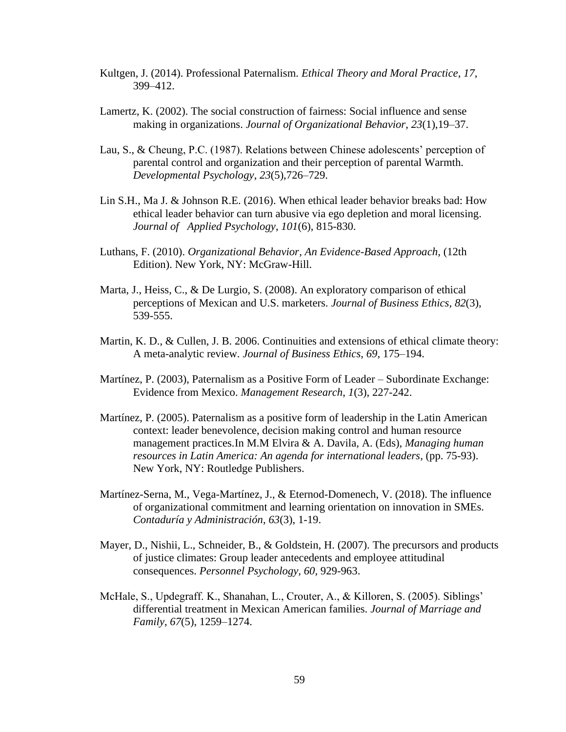- Kultgen, J. (2014). Professional Paternalism. *Ethical Theory and Moral Practice*, *17*, 399–412.
- Lamertz, K. (2002). The social construction of fairness: Social influence and sense making in organizations. *Journal of Organizational Behavior*, *23*(1),19–37.
- Lau, S., & Cheung, P.C. (1987). Relations between Chinese adolescents' perception of parental control and organization and their perception of parental Warmth. *Developmental Psychology*, *23*(5),726–729.
- Lin S.H., Ma J. & Johnson R.E. (2016). When ethical leader behavior breaks bad: How ethical leader behavior can turn abusive via ego depletion and moral licensing. *Journal of Applied Psychology*, *101*(6), 815-830.
- Luthans, F. (2010). *Organizational Behavior, An Evidence-Based Approach*, (12th Edition). New York, NY: McGraw-Hill.
- Marta, J., Heiss, C., & De Lurgio, S. (2008). An exploratory comparison of ethical perceptions of Mexican and U.S. marketers. *Journal of Business Ethics*, *82*(3), 539-555.
- Martin, K. D., & Cullen, J. B. 2006. Continuities and extensions of ethical climate theory: A meta-analytic review. *Journal of Business Ethics*, *69*, 175–194.
- [Martínez, P.](https://www.emerald.com/insight/search?q=Patricia%20G.%20Mart%C3%ADnez) (2003), Paternalism as a Positive Form of Leader Subordinate Exchange: Evidence from Mexico. *[Management Research](https://www.emerald.com/insight/publication/issn/1536-5433)*, *1*(3), 227-242.
- Martínez, P. (2005). Paternalism as a positive form of leadership in the Latin American context: leader benevolence, decision making control and human resource management practices.In M.M Elvira & A. Davila, A. (Eds), *Managing human resources in Latin America: An agenda for international leaders*, (pp. 75-93). New York, NY: Routledge Publishers.
- Martínez-Serna, M., Vega-Martínez, J., & Eternod-Domenech, V. (2018). The influence of organizational commitment and learning orientation on innovation in SMEs. *Contaduría y Administración*, *63*(3), 1-19.
- Mayer, D., Nishii, L., Schneider, B., & Goldstein, H. (2007). The precursors and products of justice climates: Group leader antecedents and employee attitudinal consequences. *Personnel Psychology, 60,* 929-963.
- McHale, S., Updegraff. K., Shanahan, L., Crouter, A., & Killoren, S. (2005). Siblings' differential treatment in Mexican American families. *Journal of Marriage and Family*, *67*(5), 1259–1274.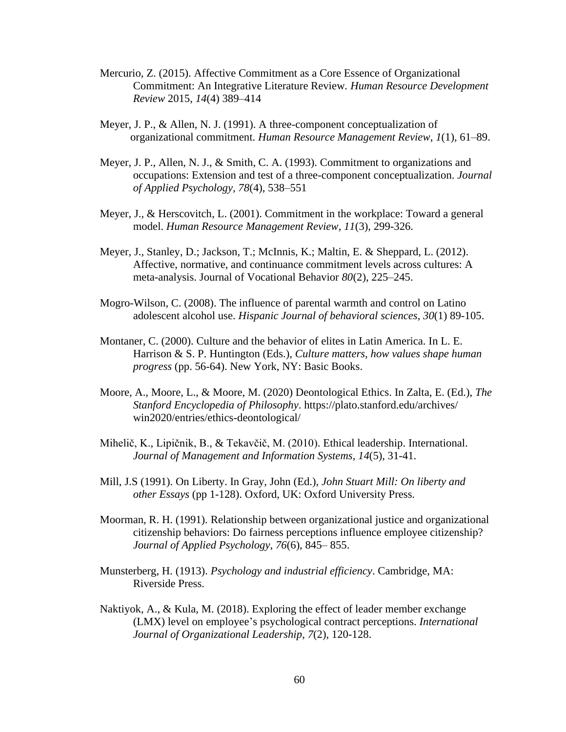- Mercurio, Z. (2015). Affective Commitment as a Core Essence of Organizational Commitment: An Integrative Literature Review*. Human Resource Development Review* 2015, *14*(4) 389–414
- Meyer, J. P., & Allen, N. J. (1991). A three-component conceptualization of organizational commitment. *Human Resource Management Review*, *1*(1), 61–89.
- Meyer, J. P., Allen, N. J., & Smith, C. A. (1993). Commitment to organizations and occupations: Extension and test of a three-component conceptualization. *Journal of Applied Psychology, 78*(4), 538–551
- Meyer, J., & Herscovitch, L. (2001). Commitment in the workplace: Toward a general model. *Human Resource Management Review*, *11*(3), 299-326.
- Meyer, J., Stanley, D.; Jackson, T.; McInnis, K.; Maltin, E. & Sheppard, L. (2012). Affective, normative, and continuance commitment levels across cultures: A meta-analysis. Journal of Vocational Behavior *80*(2), 225–245.
- Mogro-Wilson, C. (2008). The influence of parental warmth and control on Latino adolescent alcohol use. *Hispanic Journal of behavioral sciences*, *30*(1) 89-105.
- Montaner, C. (2000). Culture and the behavior of elites in Latin America. In L. E. Harrison & S. P. Huntington (Eds.), *Culture matters, how values shape human progress* (pp. 56-64). New York, NY: Basic Books.
- Moore, A., Moore, L., & Moore, M. (2020) Deontological Ethics. In Zalta, E. (Ed.), *The Stanford Encyclopedia of Philosophy*.<https://plato.stanford.edu/archives/> win2020/entries/ethics-deontological/
- Mihelič, K., Lipičnik, B., & Tekavčič, M. (2010). Ethical leadership. International. *Journal of Management and Information Systems*, *14*(5), 31-41.
- Mill, J.S (1991). On Liberty. In Gray, John (Ed.), *John Stuart Mill: On liberty and other Essays* (pp 1-128). Oxford, UK: Oxford University Press.
- Moorman, R. H. (1991). Relationship between organizational justice and organizational citizenship behaviors: Do fairness perceptions influence employee citizenship? *Journal of Applied Psychology*, *76*(6), 845– 855.
- Munsterberg, H. (1913). *Psychology and industrial efficiency*. Cambridge, MA: Riverside Press.
- Naktiyok, A., & Kula, M. (2018). Exploring the effect of leader member exchange (LMX) level on employee's psychological contract perceptions. *International Journal of Organizational Leadership*, *7*(2), 120-128.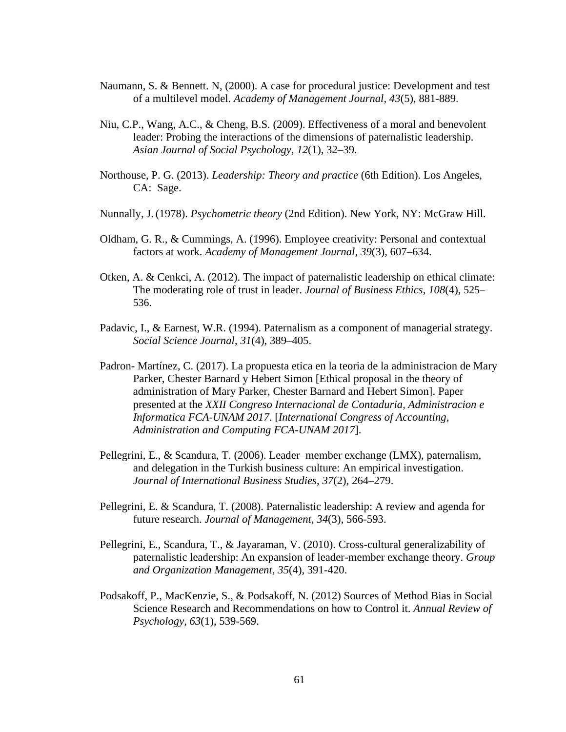- Naumann, S. & Bennett. N, (2000). A case for procedural justice: Development and test of a multilevel model. *Academy of Management Journal, 43*(5), 881-889.
- Niu, C.P., Wang, A.C., & Cheng, B.S. (2009). Effectiveness of a moral and benevolent leader: Probing the interactions of the dimensions of paternalistic leadership*. Asian Journal of Social Psychology*, *12*(1), 32–39.
- Northouse, P. G. (2013). *Leadership: Theory and practice* (6th Edition). Los Angeles, CA: Sage.
- Nunnally, J. (1978). *Psychometric theory* (2nd Edition). New York, NY: McGraw Hill.
- Oldham, G. R., & Cummings, A. (1996). Employee creativity: Personal and contextual factors at work. *Academy of Management Journal*, *39*(3), 607–634.
- Otken, A. & Cenkci, A. (2012). The impact of paternalistic leadership on ethical climate: The moderating role of trust in leader. *Journal of Business Ethics*, *108*(4), 525– 536.
- Padavic, I., & Earnest, W.R. (1994). Paternalism as a component of managerial strategy. *Social Science Journal*, *31*(4), 389–405.
- Padron- Martínez, C. (2017). La propuesta etica en la teoria de la administracion de Mary Parker, Chester Barnard y Hebert Simon [Ethical proposal in the theory of administration of Mary Parker, Chester Barnard and Hebert Simon]. Paper presented at the *XXII Congreso Internacional de Contaduria, Administracion e Informatica FCA-UNAM 2017*. [*International Congress of Accounting, Administration and Computing FCA-UNAM 2017*].
- Pellegrini, E., & Scandura, T. (2006). Leader–member exchange (LMX), paternalism, and delegation in the Turkish business culture: An empirical investigation. *Journal of International Business Studies*, *37*(2), 264–279.
- Pellegrini, E. & Scandura, T. (2008). Paternalistic leadership: A review and agenda for future research. *Journal of Management*, *34*(3), 566-593.
- Pellegrini, E., Scandura, T., & Jayaraman, V. (2010). Cross-cultural generalizability of paternalistic leadership: An expansion of leader-member exchange theory. *Group and Organization Management*, *35*(4), 391-420.
- Podsakoff, P., MacKenzie, S., & Podsakoff, N. (2012) Sources of Method Bias in Social Science Research and Recommendations on how to Control it. *Annual Review of Psychology, 63*(1), 539-569.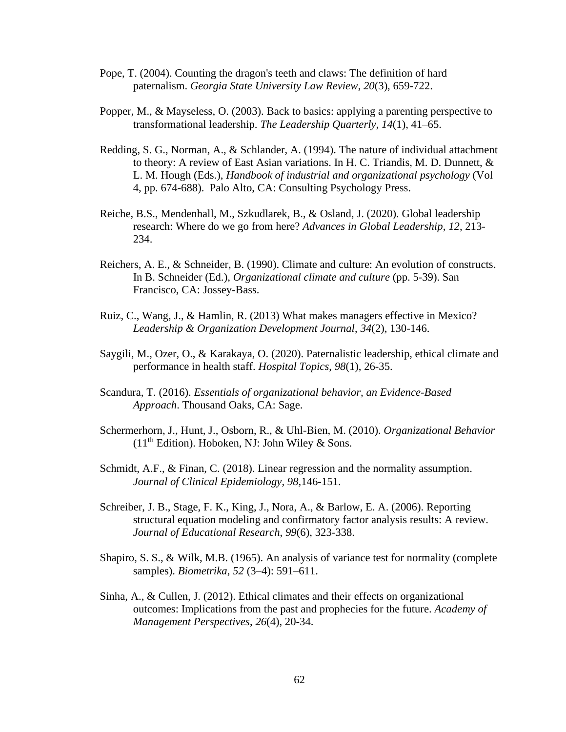- Pope, T. (2004). Counting the dragon's teeth and claws: The definition of hard paternalism. *Georgia State University Law Review*, *20*(3), 659-722.
- Popper, M., & Mayseless, O. (2003). Back to basics: applying a parenting perspective to transformational leadership. *The Leadership Quarterly*, *14*(1), 41–65.
- Redding, S. G., Norman, A., & Schlander, A. (1994). The nature of individual attachment to theory: A review of East Asian variations. In H. C. Triandis, M. D. Dunnett, & L. M. Hough (Eds.), *Handbook of industrial and organizational psychology* (Vol 4, pp. 674-688). Palo Alto, CA: Consulting Psychology Press.
- Reiche, B.S., Mendenhall, M., Szkudlarek, B., & Osland, J. (2020). Global leadership research: Where do we go from here? *Advances in Global Leadership*, *12*, 213- 234.
- Reichers, A. E., & Schneider, B. (1990). Climate and culture: An evolution of constructs. In B. Schneider (Ed.), *Organizational climate and culture* (pp. 5-39). San Francisco, CA: Jossey-Bass.
- Ruiz, C., Wang, J., & Hamlin, R. (2013) What makes managers effective in Mexico? *Leadership & Organization Development Journal*, *34*(2), 130-146.
- Saygili, M., Ozer, O., & Karakaya, O. (2020). Paternalistic leadership, ethical climate and performance in health staff. *Hospital Topics*, *98*(1), 26-35.
- Scandura, T. (2016). *Essentials of organizational behavior, an Evidence-Based Approach*. Thousand Oaks, CA: Sage.
- Schermerhorn, J., Hunt, J., Osborn, R., & Uhl-Bien, M. (2010). *Organizational Behavior*  $(11<sup>th</sup> Edition)$ . Hoboken, NJ: John Wiley & Sons.
- Schmidt, A.F., & Finan, C. (2018). Linear regression and the normality assumption. *Journal of Clinical Epidemiology, 98,*146-151.
- Schreiber, J. B., Stage, F. K., King, J., Nora, A., & Barlow, E. A. (2006). Reporting structural equation modeling and confirmatory factor analysis results: A review. *Journal of Educational Research*, *99*(6), 323-338.
- Shapiro, S. S., & Wilk, M.B. (1965). An analysis of variance test for normality (complete samples). *Biometrika*, *52* (3–4): 591–611.
- Sinha, A., & Cullen, J. (2012). Ethical climates and their effects on organizational outcomes: Implications from the past and prophecies for the future. *Academy of Management Perspectives*, *26*(4), 20-34.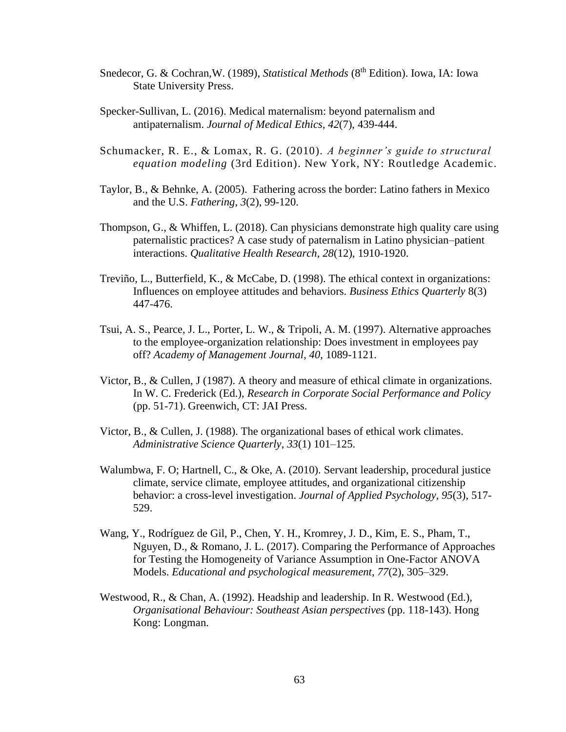- Snedecor, G. & Cochran,W. (1989), *Statistical Methods* (8th Edition). Iowa, IA: Iowa State University Press.
- Specker-Sullivan, L. (2016). Medical maternalism: beyond paternalism and antipaternalism. *Journal of Medical Ethics*, *42*(7), 439-444.
- Schumacker, R. E., & Lomax, R. G. (2010). *A beginner's guide to structural equation modeling* (3rd Edition). New York, NY: Routledge Academic.
- Taylor, B., & Behnke, A. (2005). Fathering across the border: Latino fathers in Mexico and the U.S. *Fathering*, *3*(2), 99-120.
- Thompson, G., & Whiffen, L. (2018). Can physicians demonstrate high quality care using paternalistic practices? A case study of paternalism in Latino physician–patient interactions. *Qualitative Health Research, 28*(12), 1910-1920.
- [Treviño,](about:blank) L., [Butterfield,](about:blank) K., & McCabe, D. (1998). The ethical context in organizations: Influences on employee attitudes and behaviors. *Business Ethics Quarterly* 8(3) 447-476.
- Tsui, A. S., Pearce, J. L., Porter, L. W., & Tripoli, A. M. (1997). Alternative approaches to the employee-organization relationship: Does investment in employees pay off? *Academy of Management Journal*, *40*, 1089-1121.
- Victor, B., & Cullen, J (1987). A theory and measure of ethical climate in organizations. In W. C. Frederick (Ed.), *Research in Corporate Social Performance and Policy* (pp. 51-71). Greenwich, CT: JAI Press.
- Victor, B., & Cullen, J. (1988). The organizational bases of ethical work climates. *Administrative Science Quarterly*, *33*(1) 101–125.
- Walumbwa, F. O; Hartnell, C., & Oke, A. (2010). Servant leadership, procedural justice climate, service climate, employee attitudes, and organizational citizenship behavior: a cross-level investigation. *Journal of Applied Psychology, 95*(3), 517- 529.
- Wang, Y., Rodríguez de Gil, P., Chen, Y. H., Kromrey, J. D., Kim, E. S., Pham, T., Nguyen, D., & Romano, J. L. (2017). Comparing the Performance of Approaches for Testing the Homogeneity of Variance Assumption in One-Factor ANOVA Models. *Educational and psychological measurement*, *77*(2), 305–329.
- Westwood, R., & Chan, A. (1992). Headship and leadership. In R. Westwood (Ed.), *Organisational Behaviour: Southeast Asian perspectives* (pp. 118-143). Hong Kong: Longman.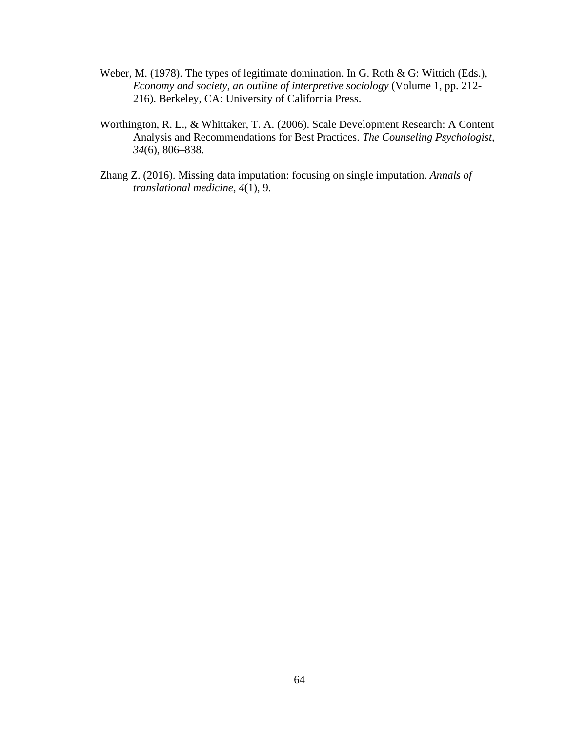- Weber, M. (1978). The types of legitimate domination. In G. Roth & G: Wittich (Eds.), *Economy and society, an outline of interpretive sociology* (Volume 1, pp. 212- 216). Berkeley, CA: University of California Press.
- Worthington, R. L., & Whittaker, T. A. (2006). Scale Development Research: A Content Analysis and Recommendations for Best Practices. *The Counseling Psychologist, 34*(6), 806–838.
- Zhang Z. (2016). Missing data imputation: focusing on single imputation. *Annals of translational medicine*, *4*(1), 9.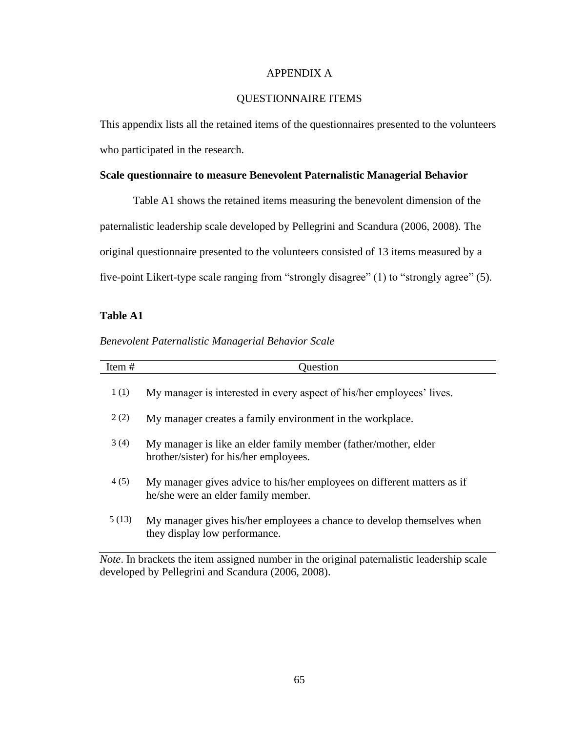#### APPENDIX A

## QUESTIONNAIRE ITEMS

This appendix lists all the retained items of the questionnaires presented to the volunteers who participated in the research.

## **Scale questionnaire to measure Benevolent Paternalistic Managerial Behavior**

Table A1 shows the retained items measuring the benevolent dimension of the paternalistic leadership scale developed by Pellegrini and Scandura (2006, 2008). The original questionnaire presented to the volunteers consisted of 13 items measured by a five-point Likert-type scale ranging from "strongly disagree" (1) to "strongly agree" (5).

### **Table A1**

## *Benevolent Paternalistic Managerial Behavior Scale*

| Item# | Question                                                                                                       |
|-------|----------------------------------------------------------------------------------------------------------------|
| 1(1)  | My manager is interested in every aspect of his/her employees' lives.                                          |
| 2(2)  | My manager creates a family environment in the workplace.                                                      |
| 3(4)  | My manager is like an elder family member (father/mother, elder<br>brother/sister) for his/her employees.      |
| 4(5)  | My manager gives advice to his/her employees on different matters as if<br>he/she were an elder family member. |
| 5(13) | My manager gives his/her employees a chance to develop themselves when<br>they display low performance.        |

*Note*. In brackets the item assigned number in the original paternalistic leadership scale developed by Pellegrini and Scandura (2006, 2008).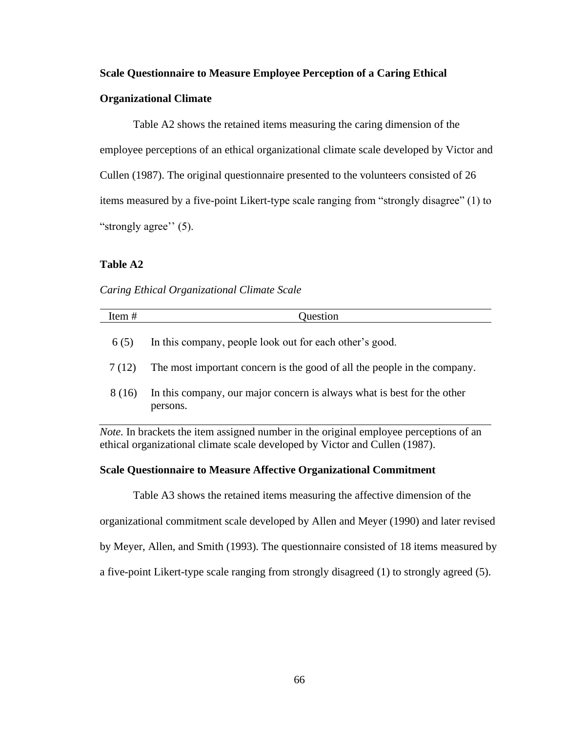#### **Scale Questionnaire to Measure Employee Perception of a Caring Ethical**

## **Organizational Climate**

Table A2 shows the retained items measuring the caring dimension of the employee perceptions of an ethical organizational climate scale developed by Victor and Cullen (1987). The original questionnaire presented to the volunteers consisted of 26 items measured by a five-point Likert-type scale ranging from "strongly disagree" (1) to "strongly agree" (5).

## **Table A2**

#### *Caring Ethical Organizational Climate Scale*

| Item#  | Question                                                                                      |
|--------|-----------------------------------------------------------------------------------------------|
| 6(5)   | In this company, people look out for each other's good.                                       |
| 7(12)  | The most important concern is the good of all the people in the company.                      |
| 8 (16) | In this company, our major concern is always what is best for the other<br>persons.           |
|        | <i>Note</i> . In brackets the item assigned number in the original employee perceptions of an |

ethical organizational climate scale developed by Victor and Cullen (1987).

#### **Scale Questionnaire to Measure Affective Organizational Commitment**

Table A3 shows the retained items measuring the affective dimension of the organizational commitment scale developed by Allen and Meyer (1990) and later revised by Meyer, Allen, and Smith (1993). The questionnaire consisted of 18 items measured by

a five-point Likert-type scale ranging from strongly disagreed (1) to strongly agreed (5).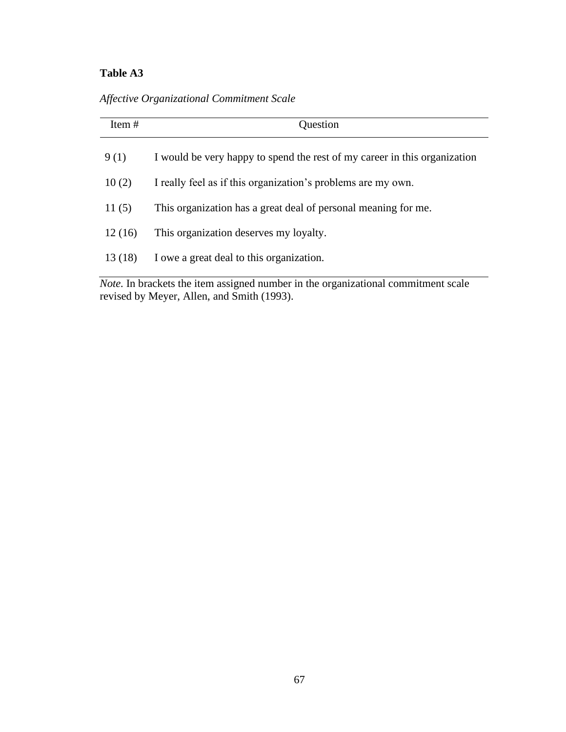## **Table A3**

*Affective Organizational Commitment Scale*

| Item $#$ | Question                                                                  |  |
|----------|---------------------------------------------------------------------------|--|
| 9(1)     | I would be very happy to spend the rest of my career in this organization |  |
| 10(2)    | I really feel as if this organization's problems are my own.              |  |
| 11(5)    | This organization has a great deal of personal meaning for me.            |  |
| 12(16)   | This organization deserves my loyalty.                                    |  |
| 13(18)   | I owe a great deal to this organization.                                  |  |
|          |                                                                           |  |

*Note.* In brackets the item assigned number in the organizational commitment scale revised by Meyer, Allen, and Smith (1993).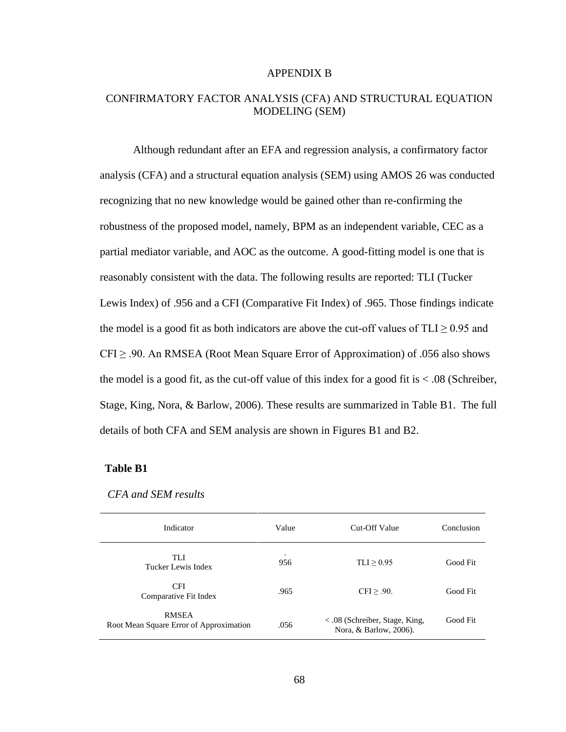#### APPENDIX B

## CONFIRMATORY FACTOR ANALYSIS (CFA) AND STRUCTURAL EQUATION MODELING (SEM)

Although redundant after an EFA and regression analysis, a confirmatory factor analysis (CFA) and a structural equation analysis (SEM) using AMOS 26 was conducted recognizing that no new knowledge would be gained other than re-confirming the robustness of the proposed model, namely, BPM as an independent variable, CEC as a partial mediator variable, and AOC as the outcome. A good-fitting model is one that is reasonably consistent with the data. The following results are reported: TLI (Tucker Lewis Index) of .956 and a CFI (Comparative Fit Index) of .965. Those findings indicate the model is a good fit as both indicators are above the cut-off values of  $TLI \ge 0.95$  and  $CFI \geq .90$ . An RMSEA (Root Mean Square Error of Approximation) of .056 also shows the model is a good fit, as the cut-off value of this index for a good fit is < .08 (Schreiber, Stage, King, Nora, & Barlow, 2006). These results are summarized in Table B1. The full details of both CFA and SEM analysis are shown in Figures B1 and B2.

### **Table B1**

| Indicator                                               | Value    | Cut-Off Value                                              | Conclusion |
|---------------------------------------------------------|----------|------------------------------------------------------------|------------|
| TLI<br>Tucker Lewis Index                               | ٠<br>956 | $TLI \geq 0.95$                                            | Good Fit   |
| <b>CFI</b><br>Comparative Fit Index                     | .965     | CFI > .90.                                                 | Good Fit   |
| <b>RMSEA</b><br>Root Mean Square Error of Approximation | .056     | $<$ .08 (Schreiber, Stage, King,<br>Nora, & Barlow, 2006). | Good Fit   |

*CFA and SEM results*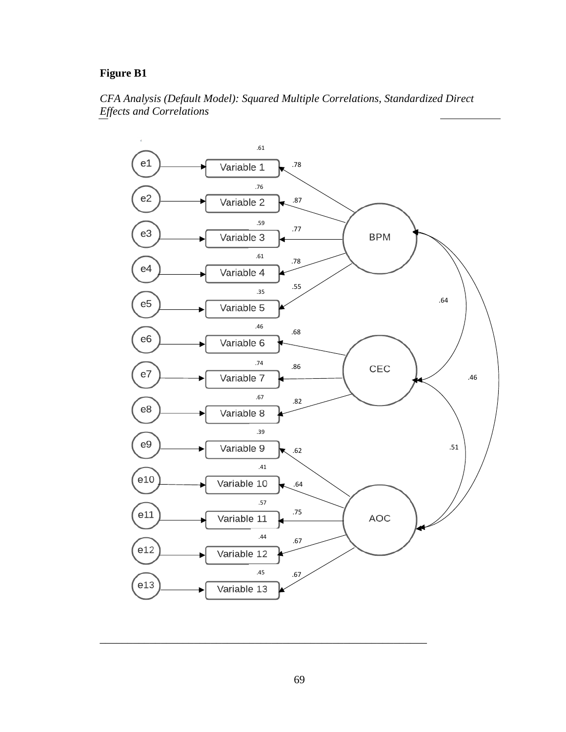## **Figure B1**





\_\_\_\_\_\_\_\_\_\_\_\_\_\_\_\_\_\_\_\_\_\_\_\_\_\_\_\_\_\_\_\_\_\_\_\_\_\_\_\_\_\_\_\_\_\_\_\_\_\_\_\_\_\_\_\_\_\_\_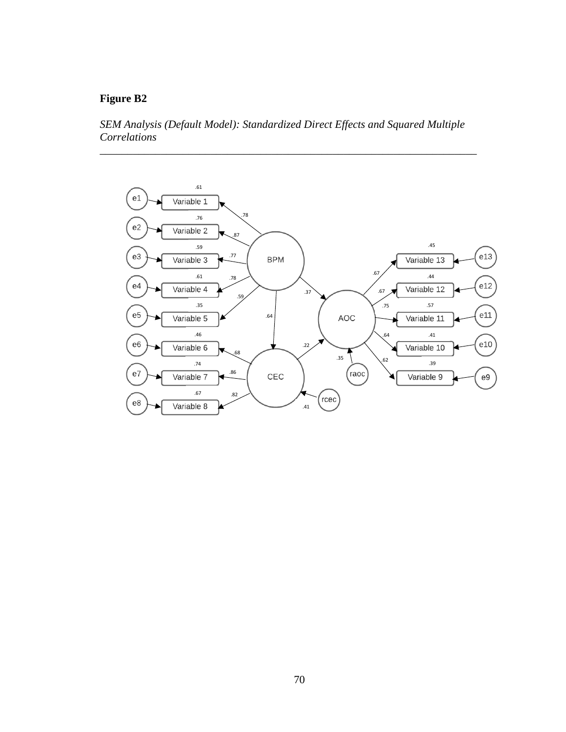## **Figure B2**

*SEM Analysis (Default Model): Standardized Direct Effects and Squared Multiple Correlations*

\_\_\_\_\_\_\_\_\_\_\_\_\_\_\_\_\_\_\_\_\_\_\_\_\_\_\_\_\_\_\_\_\_\_\_\_\_\_\_\_\_\_\_\_\_\_\_\_\_\_\_\_\_\_\_\_\_\_\_\_\_\_\_\_\_\_\_\_